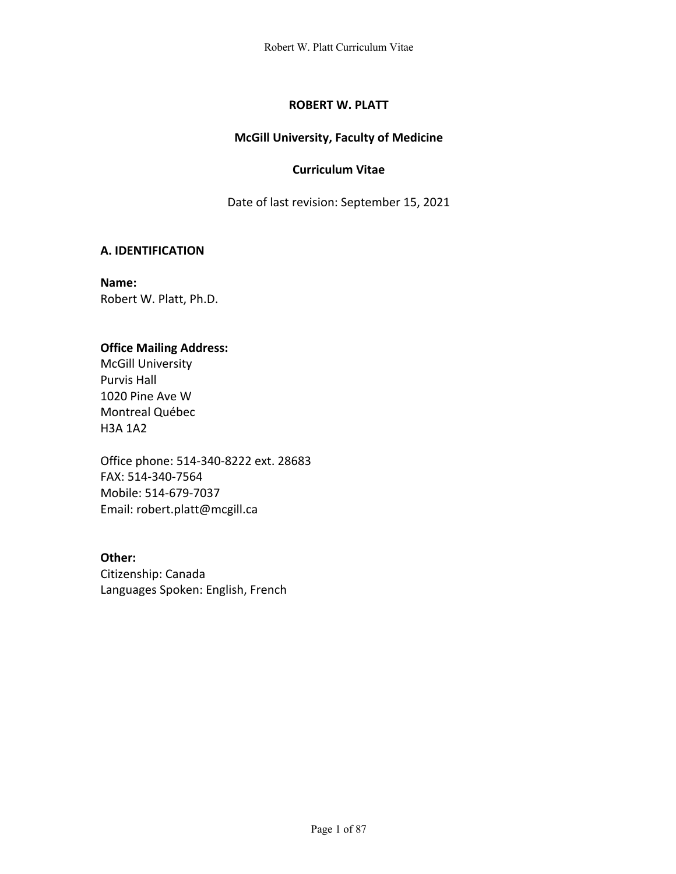# **ROBERT W. PLATT**

# **McGill University, Faculty of Medicine**

# **Curriculum Vitae**

Date of last revision: September 15, 2021

# **A. IDENTIFICATION**

**Name:** Robert W. Platt, Ph.D.

# **Office Mailing Address:**

McGill University Purvis Hall 1020 Pine Ave W Montreal Québec H3A 1A2

Office phone: 514-340-8222 ext. 28683 FAX: 514-340-7564 Mobile: 514-679-7037 Email: robert.platt@mcgill.ca

**Other:** Citizenship: Canada Languages Spoken: English, French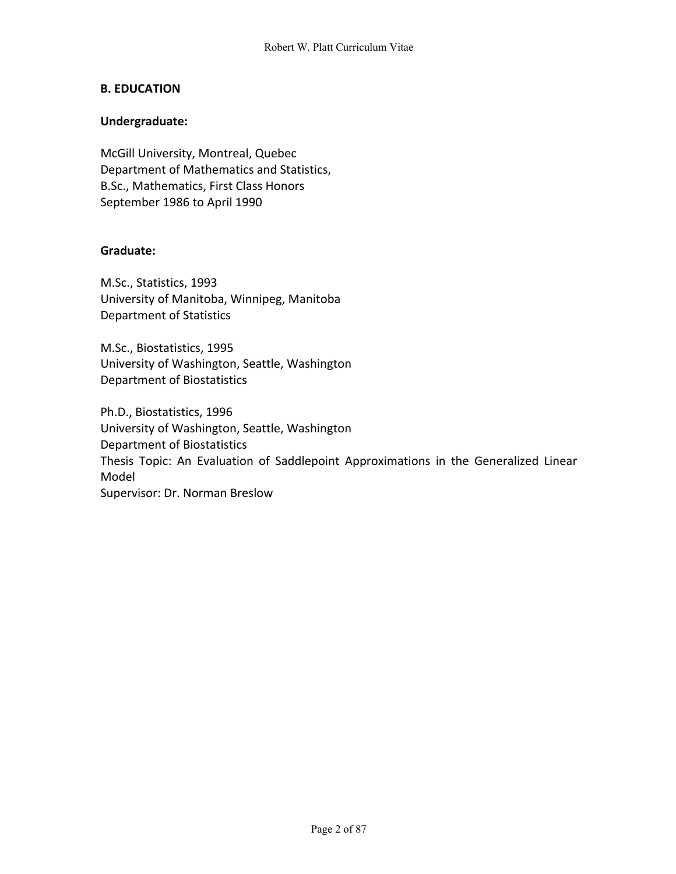### **B. EDUCATION**

### **Undergraduate:**

McGill University, Montreal, Quebec Department of Mathematics and Statistics, B.Sc., Mathematics, First Class Honors September 1986 to April 1990

### **Graduate:**

M.Sc., Statistics, 1993 University of Manitoba, Winnipeg, Manitoba Department of Statistics

M.Sc., Biostatistics, 1995 University of Washington, Seattle, Washington Department of Biostatistics

Ph.D., Biostatistics, 1996 University of Washington, Seattle, Washington Department of Biostatistics Thesis Topic: An Evaluation of Saddlepoint Approximations in the Generalized Linear Model Supervisor: Dr. Norman Breslow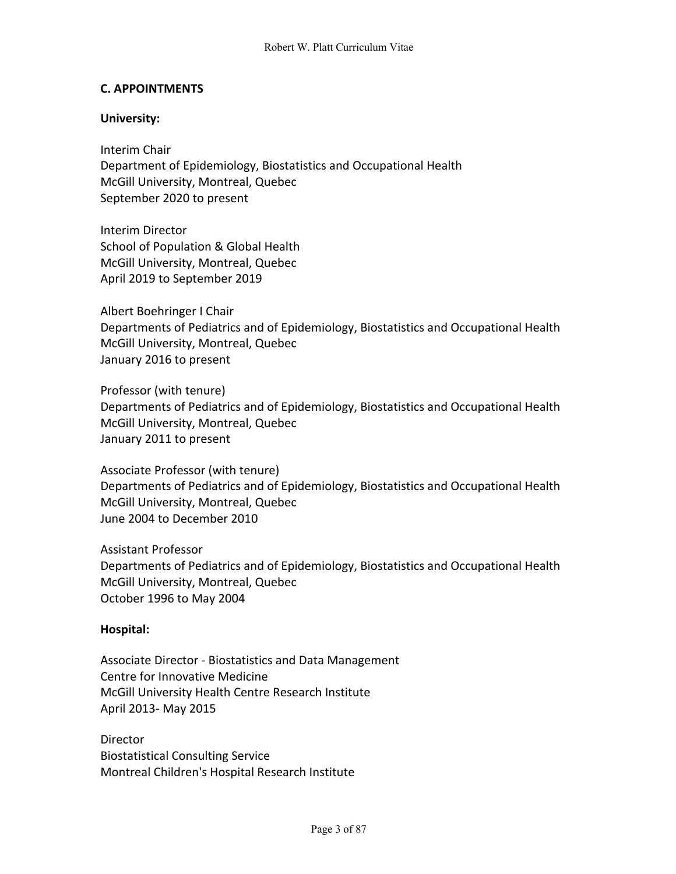### **C. APPOINTMENTS**

### **University:**

Interim Chair Department of Epidemiology, Biostatistics and Occupational Health McGill University, Montreal, Quebec September 2020 to present

Interim Director School of Population & Global Health McGill University, Montreal, Quebec April 2019 to September 2019

Albert Boehringer I Chair Departments of Pediatrics and of Epidemiology, Biostatistics and Occupational Health McGill University, Montreal, Quebec January 2016 to present

Professor (with tenure) Departments of Pediatrics and of Epidemiology, Biostatistics and Occupational Health McGill University, Montreal, Quebec January 2011 to present

Associate Professor (with tenure) Departments of Pediatrics and of Epidemiology, Biostatistics and Occupational Health McGill University, Montreal, Quebec June 2004 to December 2010

Assistant Professor Departments of Pediatrics and of Epidemiology, Biostatistics and Occupational Health McGill University, Montreal, Quebec October 1996 to May 2004

#### **Hospital:**

Associate Director - Biostatistics and Data Management Centre for Innovative Medicine McGill University Health Centre Research Institute April 2013- May 2015

Director Biostatistical Consulting Service Montreal Children's Hospital Research Institute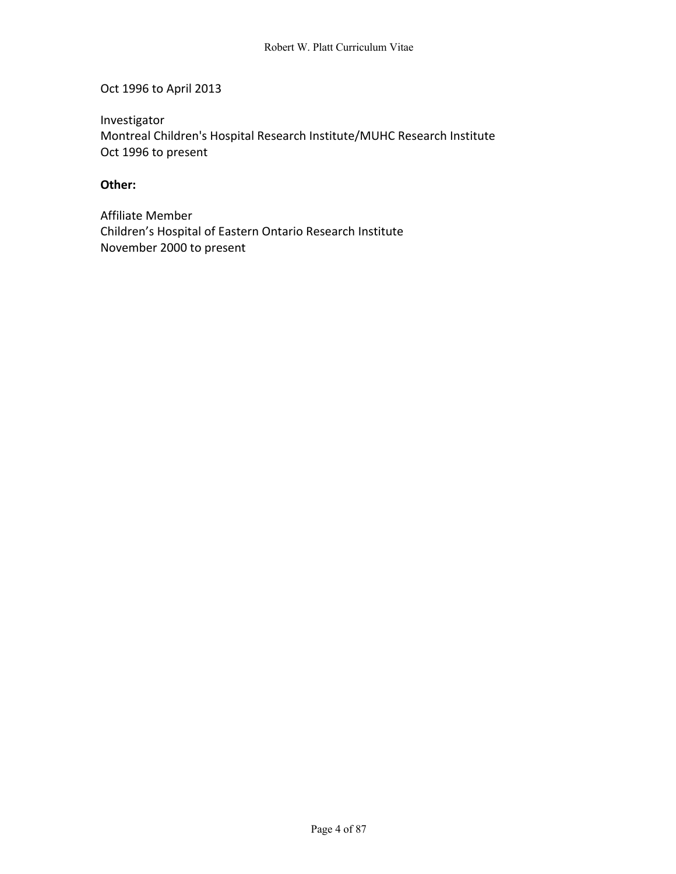Oct 1996 to April 2013

Investigator Montreal Children's Hospital Research Institute/MUHC Research Institute Oct 1996 to present

## **Other:**

Affiliate Member Children's Hospital of Eastern Ontario Research Institute November 2000 to present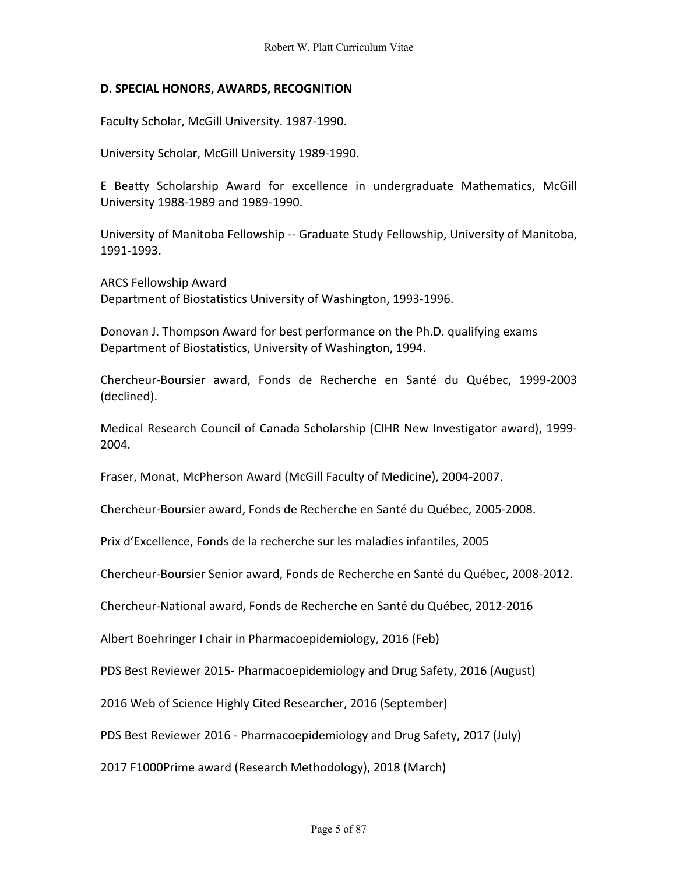### **D. SPECIAL HONORS, AWARDS, RECOGNITION**

Faculty Scholar, McGill University. 1987-1990.

University Scholar, McGill University 1989-1990.

E Beatty Scholarship Award for excellence in undergraduate Mathematics, McGill University 1988-1989 and 1989-1990.

University of Manitoba Fellowship -- Graduate Study Fellowship, University of Manitoba, 1991-1993.

ARCS Fellowship Award Department of Biostatistics University of Washington, 1993-1996.

Donovan J. Thompson Award for best performance on the Ph.D. qualifying exams Department of Biostatistics, University of Washington, 1994.

Chercheur-Boursier award, Fonds de Recherche en Santé du Québec, 1999-2003 (declined).

Medical Research Council of Canada Scholarship (CIHR New Investigator award), 1999- 2004.

Fraser, Monat, McPherson Award (McGill Faculty of Medicine), 2004-2007.

Chercheur-Boursier award, Fonds de Recherche en Santé du Québec, 2005-2008.

Prix d'Excellence, Fonds de la recherche sur les maladies infantiles, 2005

Chercheur-Boursier Senior award, Fonds de Recherche en Santé du Québec, 2008-2012.

Chercheur-National award, Fonds de Recherche en Santé du Québec, 2012-2016

Albert Boehringer I chair in Pharmacoepidemiology, 2016 (Feb)

PDS Best Reviewer 2015- Pharmacoepidemiology and Drug Safety, 2016 (August)

2016 Web of Science Highly Cited Researcher, 2016 (September)

PDS Best Reviewer 2016 - Pharmacoepidemiology and Drug Safety, 2017 (July)

2017 F1000Prime award (Research Methodology), 2018 (March)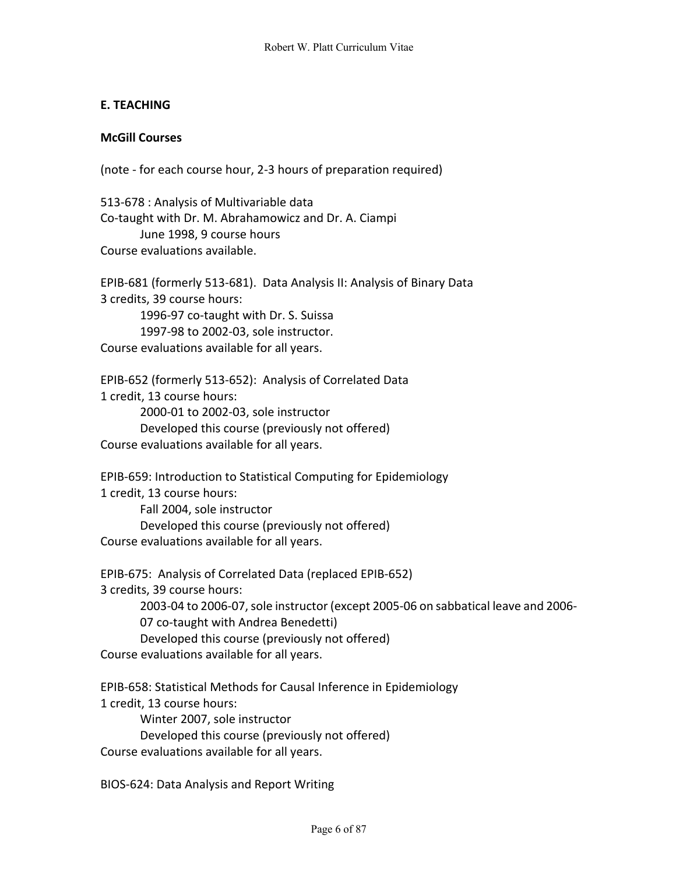# **E. TEACHING**

# **McGill Courses**

(note - for each course hour, 2-3 hours of preparation required)

513-678 : Analysis of Multivariable data Co-taught with Dr. M. Abrahamowicz and Dr. A. Ciampi June 1998, 9 course hours Course evaluations available.

EPIB-681 (formerly 513-681). Data Analysis II: Analysis of Binary Data 3 credits, 39 course hours: 1996-97 co-taught with Dr. S. Suissa 1997-98 to 2002-03, sole instructor. Course evaluations available for all years.

EPIB-652 (formerly 513-652): Analysis of Correlated Data 1 credit, 13 course hours: 2000-01 to 2002-03, sole instructor Developed this course (previously not offered) Course evaluations available for all years.

EPIB-659: Introduction to Statistical Computing for Epidemiology 1 credit, 13 course hours: Fall 2004, sole instructor Developed this course (previously not offered)

Course evaluations available for all years.

EPIB-675: Analysis of Correlated Data (replaced EPIB-652) 3 credits, 39 course hours: 2003-04 to 2006-07, sole instructor (except 2005-06 on sabbatical leave and 2006- 07 co-taught with Andrea Benedetti) Developed this course (previously not offered) Course evaluations available for all years.

EPIB-658: Statistical Methods for Causal Inference in Epidemiology 1 credit, 13 course hours: Winter 2007, sole instructor Developed this course (previously not offered) Course evaluations available for all years.

BIOS-624: Data Analysis and Report Writing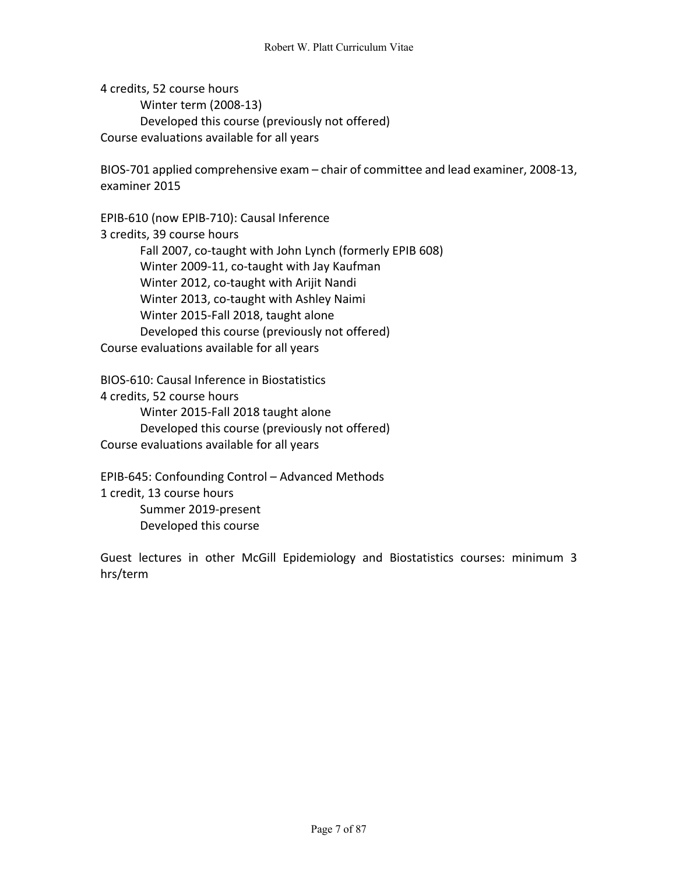4 credits, 52 course hours Winter term (2008-13) Developed this course (previously not offered) Course evaluations available for all years

BIOS-701 applied comprehensive exam – chair of committee and lead examiner, 2008-13, examiner 2015

EPIB-610 (now EPIB-710): Causal Inference 3 credits, 39 course hours Fall 2007, co-taught with John Lynch (formerly EPIB 608) Winter 2009-11, co-taught with Jay Kaufman Winter 2012, co-taught with Arijit Nandi Winter 2013, co-taught with Ashley Naimi Winter 2015-Fall 2018, taught alone Developed this course (previously not offered) Course evaluations available for all years

BIOS-610: Causal Inference in Biostatistics 4 credits, 52 course hours Winter 2015-Fall 2018 taught alone Developed this course (previously not offered) Course evaluations available for all years

EPIB-645: Confounding Control – Advanced Methods 1 credit, 13 course hours Summer 2019-present Developed this course

Guest lectures in other McGill Epidemiology and Biostatistics courses: minimum 3 hrs/term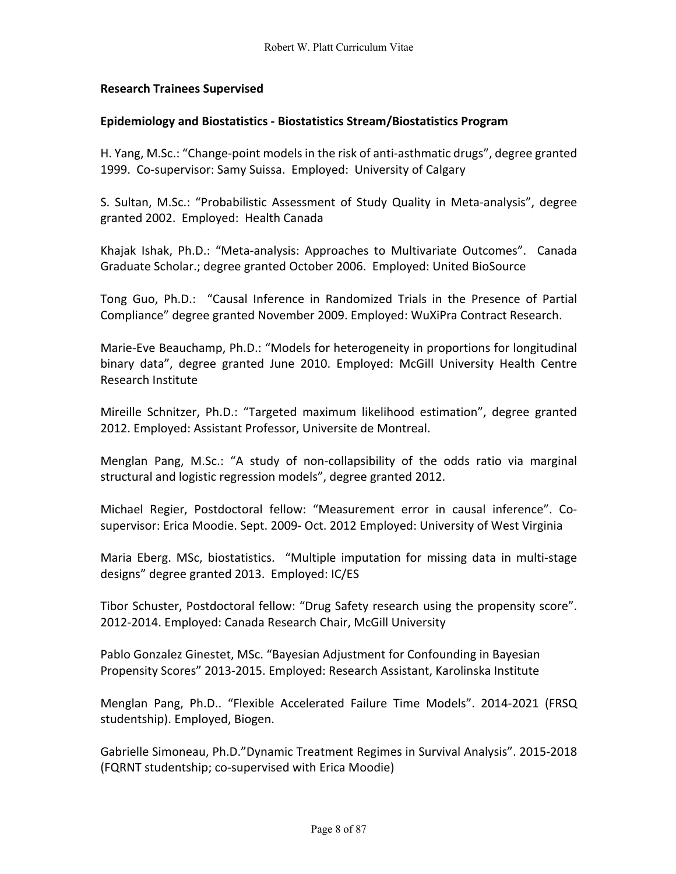# **Research Trainees Supervised**

### **Epidemiology and Biostatistics - Biostatistics Stream/Biostatistics Program**

H. Yang, M.Sc.: "Change-point models in the risk of anti-asthmatic drugs", degree granted 1999. Co-supervisor: Samy Suissa. Employed: University of Calgary

S. Sultan, M.Sc.: "Probabilistic Assessment of Study Quality in Meta-analysis", degree granted 2002. Employed: Health Canada

Khajak Ishak, Ph.D.: "Meta-analysis: Approaches to Multivariate Outcomes". Canada Graduate Scholar.; degree granted October 2006. Employed: United BioSource

Tong Guo, Ph.D.: "Causal Inference in Randomized Trials in the Presence of Partial Compliance" degree granted November 2009. Employed: WuXiPra Contract Research.

Marie-Eve Beauchamp, Ph.D.: "Models for heterogeneity in proportions for longitudinal binary data", degree granted June 2010. Employed: McGill University Health Centre Research Institute

Mireille Schnitzer, Ph.D.: "Targeted maximum likelihood estimation", degree granted 2012. Employed: Assistant Professor, Universite de Montreal.

Menglan Pang, M.Sc.: "A study of non-collapsibility of the odds ratio via marginal structural and logistic regression models", degree granted 2012.

Michael Regier, Postdoctoral fellow: "Measurement error in causal inference". Cosupervisor: Erica Moodie. Sept. 2009- Oct. 2012 Employed: University of West Virginia

Maria Eberg. MSc, biostatistics. "Multiple imputation for missing data in multi-stage designs" degree granted 2013. Employed: IC/ES

Tibor Schuster, Postdoctoral fellow: "Drug Safety research using the propensity score". 2012-2014. Employed: Canada Research Chair, McGill University

Pablo Gonzalez Ginestet, MSc. "Bayesian Adjustment for Confounding in Bayesian Propensity Scores" 2013-2015. Employed: Research Assistant, Karolinska Institute

Menglan Pang, Ph.D.. "Flexible Accelerated Failure Time Models". 2014-2021 (FRSQ studentship). Employed, Biogen.

Gabrielle Simoneau, Ph.D."Dynamic Treatment Regimes in Survival Analysis". 2015-2018 (FQRNT studentship; co-supervised with Erica Moodie)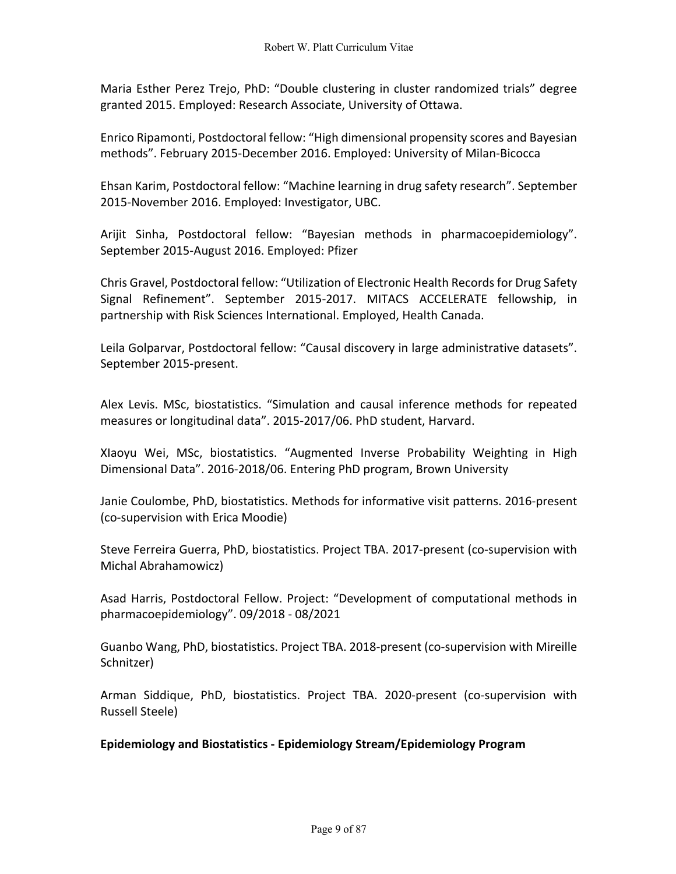Maria Esther Perez Trejo, PhD: "Double clustering in cluster randomized trials" degree granted 2015. Employed: Research Associate, University of Ottawa.

Enrico Ripamonti, Postdoctoral fellow: "High dimensional propensity scores and Bayesian methods". February 2015-December 2016. Employed: University of Milan-Bicocca

Ehsan Karim, Postdoctoral fellow: "Machine learning in drug safety research". September 2015-November 2016. Employed: Investigator, UBC.

Arijit Sinha, Postdoctoral fellow: "Bayesian methods in pharmacoepidemiology". September 2015-August 2016. Employed: Pfizer

Chris Gravel, Postdoctoral fellow: "Utilization of Electronic Health Records for Drug Safety Signal Refinement". September 2015-2017. MITACS ACCELERATE fellowship, in partnership with Risk Sciences International. Employed, Health Canada.

Leila Golparvar, Postdoctoral fellow: "Causal discovery in large administrative datasets". September 2015-present.

Alex Levis. MSc, biostatistics. "Simulation and causal inference methods for repeated measures or longitudinal data". 2015-2017/06. PhD student, Harvard.

XIaoyu Wei, MSc, biostatistics. "Augmented Inverse Probability Weighting in High Dimensional Data". 2016-2018/06. Entering PhD program, Brown University

Janie Coulombe, PhD, biostatistics. Methods for informative visit patterns. 2016-present (co-supervision with Erica Moodie)

Steve Ferreira Guerra, PhD, biostatistics. Project TBA. 2017-present (co-supervision with Michal Abrahamowicz)

Asad Harris, Postdoctoral Fellow. Project: "Development of computational methods in pharmacoepidemiology". 09/2018 - 08/2021

Guanbo Wang, PhD, biostatistics. Project TBA. 2018-present (co-supervision with Mireille Schnitzer)

Arman Siddique, PhD, biostatistics. Project TBA. 2020-present (co-supervision with Russell Steele)

# **Epidemiology and Biostatistics - Epidemiology Stream/Epidemiology Program**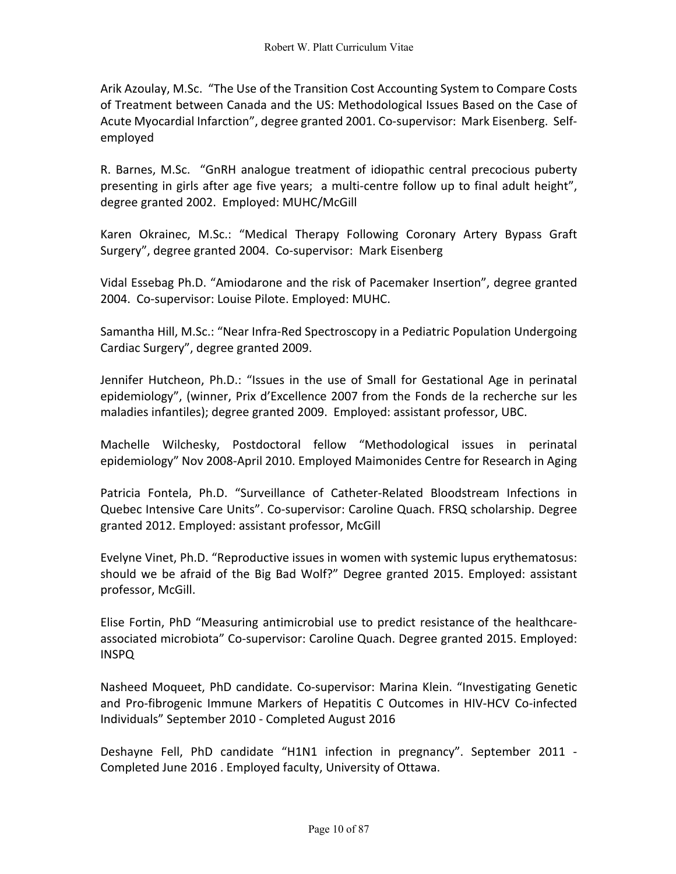Arik Azoulay, M.Sc. "The Use of the Transition Cost Accounting System to Compare Costs of Treatment between Canada and the US: Methodological Issues Based on the Case of Acute Myocardial Infarction", degree granted 2001. Co-supervisor: Mark Eisenberg. Selfemployed

R. Barnes, M.Sc. "GnRH analogue treatment of idiopathic central precocious puberty presenting in girls after age five years; a multi-centre follow up to final adult height", degree granted 2002. Employed: MUHC/McGill

Karen Okrainec, M.Sc.: "Medical Therapy Following Coronary Artery Bypass Graft Surgery", degree granted 2004. Co-supervisor: Mark Eisenberg

Vidal Essebag Ph.D. "Amiodarone and the risk of Pacemaker Insertion", degree granted 2004. Co-supervisor: Louise Pilote. Employed: MUHC.

Samantha Hill, M.Sc.: "Near Infra-Red Spectroscopy in a Pediatric Population Undergoing Cardiac Surgery", degree granted 2009.

Jennifer Hutcheon, Ph.D.: "Issues in the use of Small for Gestational Age in perinatal epidemiology", (winner, Prix d'Excellence 2007 from the Fonds de la recherche sur les maladies infantiles); degree granted 2009. Employed: assistant professor, UBC.

Machelle Wilchesky, Postdoctoral fellow "Methodological issues in perinatal epidemiology" Nov 2008-April 2010. Employed Maimonides Centre for Research in Aging

Patricia Fontela, Ph.D. "Surveillance of Catheter-Related Bloodstream Infections in Quebec Intensive Care Units". Co-supervisor: Caroline Quach. FRSQ scholarship. Degree granted 2012. Employed: assistant professor, McGill

Evelyne Vinet, Ph.D. "Reproductive issues in women with systemic lupus erythematosus: should we be afraid of the Big Bad Wolf?" Degree granted 2015. Employed: assistant professor, McGill.

Elise Fortin, PhD "Measuring antimicrobial use to predict resistance of the healthcareassociated microbiota" Co-supervisor: Caroline Quach. Degree granted 2015. Employed: INSPQ

Nasheed Moqueet, PhD candidate. Co-supervisor: Marina Klein. "Investigating Genetic and Pro-fibrogenic Immune Markers of Hepatitis C Outcomes in HIV-HCV Co-infected Individuals" September 2010 - Completed August 2016

Deshayne Fell, PhD candidate "H1N1 infection in pregnancy". September 2011 - Completed June 2016 . Employed faculty, University of Ottawa.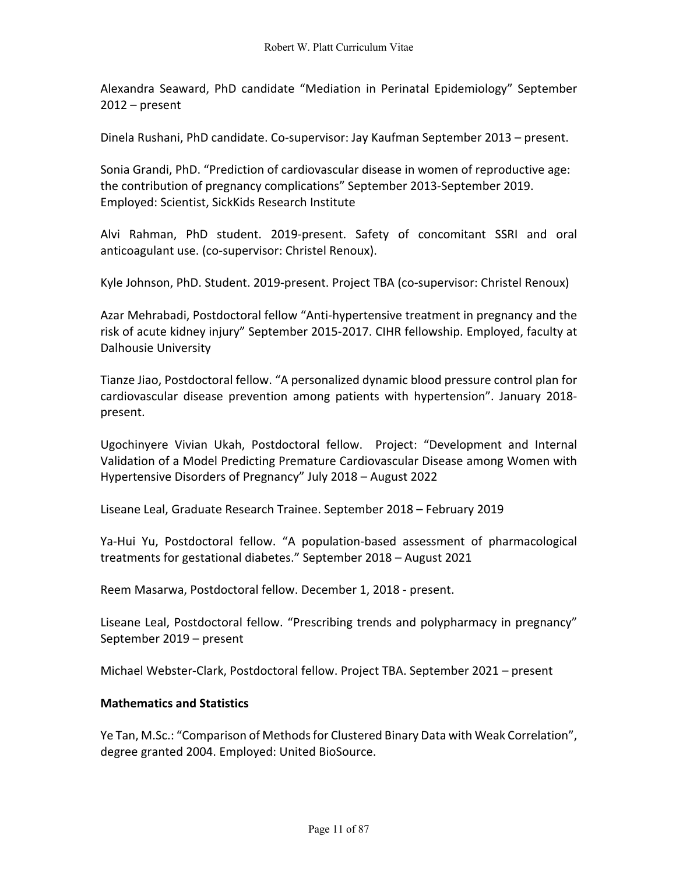Alexandra Seaward, PhD candidate "Mediation in Perinatal Epidemiology" September 2012 – present

Dinela Rushani, PhD candidate. Co-supervisor: Jay Kaufman September 2013 – present.

Sonia Grandi, PhD. "Prediction of cardiovascular disease in women of reproductive age: the contribution of pregnancy complications" September 2013-September 2019. Employed: Scientist, SickKids Research Institute

Alvi Rahman, PhD student. 2019-present. Safety of concomitant SSRI and oral anticoagulant use. (co-supervisor: Christel Renoux).

Kyle Johnson, PhD. Student. 2019-present. Project TBA (co-supervisor: Christel Renoux)

Azar Mehrabadi, Postdoctoral fellow "Anti-hypertensive treatment in pregnancy and the risk of acute kidney injury" September 2015-2017. CIHR fellowship. Employed, faculty at Dalhousie University

Tianze Jiao, Postdoctoral fellow. "A personalized dynamic blood pressure control plan for cardiovascular disease prevention among patients with hypertension". January 2018 present.

Ugochinyere Vivian Ukah, Postdoctoral fellow. Project: "Development and Internal Validation of a Model Predicting Premature Cardiovascular Disease among Women with Hypertensive Disorders of Pregnancy" July 2018 – August 2022

Liseane Leal, Graduate Research Trainee. September 2018 – February 2019

Ya-Hui Yu, Postdoctoral fellow. "A population-based assessment of pharmacological treatments for gestational diabetes." September 2018 – August 2021

Reem Masarwa, Postdoctoral fellow. December 1, 2018 - present.

Liseane Leal, Postdoctoral fellow. "Prescribing trends and polypharmacy in pregnancy" September 2019 – present

Michael Webster-Clark, Postdoctoral fellow. Project TBA. September 2021 – present

#### **Mathematics and Statistics**

Ye Tan, M.Sc.: "Comparison of Methods for Clustered Binary Data with Weak Correlation", degree granted 2004. Employed: United BioSource.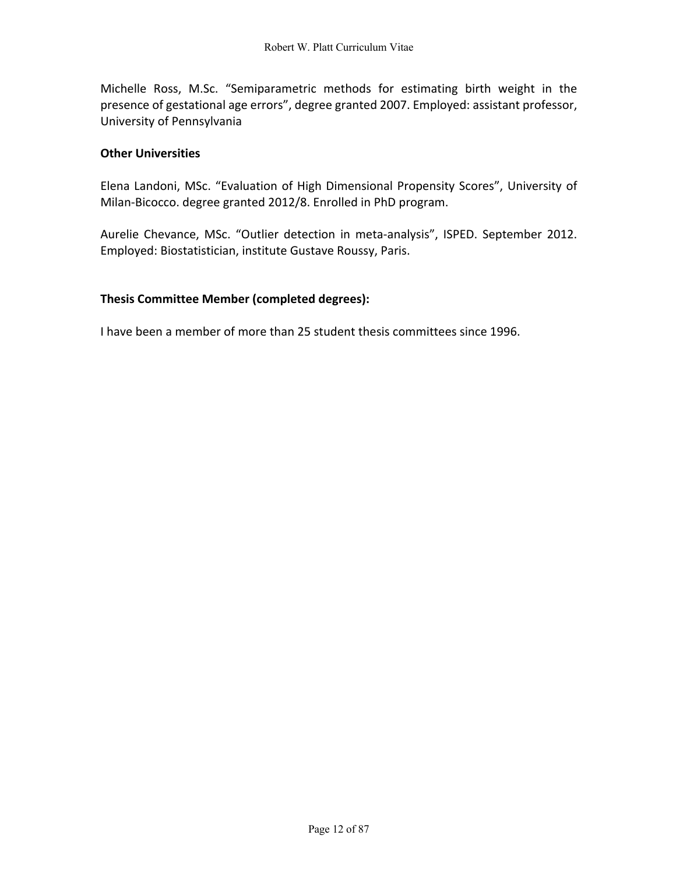Michelle Ross, M.Sc. "Semiparametric methods for estimating birth weight in the presence of gestational age errors", degree granted 2007. Employed: assistant professor, University of Pennsylvania

# **Other Universities**

Elena Landoni, MSc. "Evaluation of High Dimensional Propensity Scores", University of Milan-Bicocco. degree granted 2012/8. Enrolled in PhD program.

Aurelie Chevance, MSc. "Outlier detection in meta-analysis", ISPED. September 2012. Employed: Biostatistician, institute Gustave Roussy, Paris.

### **Thesis Committee Member (completed degrees):**

I have been a member of more than 25 student thesis committees since 1996.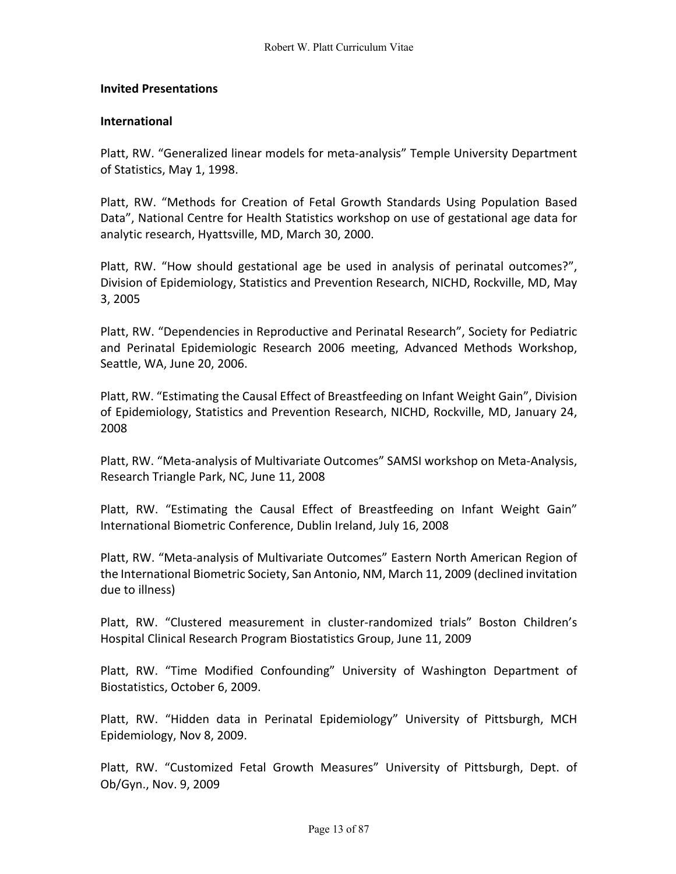### **Invited Presentations**

### **International**

Platt, RW. "Generalized linear models for meta-analysis" Temple University Department of Statistics, May 1, 1998.

Platt, RW. "Methods for Creation of Fetal Growth Standards Using Population Based Data", National Centre for Health Statistics workshop on use of gestational age data for analytic research, Hyattsville, MD, March 30, 2000.

Platt, RW. "How should gestational age be used in analysis of perinatal outcomes?", Division of Epidemiology, Statistics and Prevention Research, NICHD, Rockville, MD, May 3, 2005

Platt, RW. "Dependencies in Reproductive and Perinatal Research", Society for Pediatric and Perinatal Epidemiologic Research 2006 meeting, Advanced Methods Workshop, Seattle, WA, June 20, 2006.

Platt, RW. "Estimating the Causal Effect of Breastfeeding on Infant Weight Gain", Division of Epidemiology, Statistics and Prevention Research, NICHD, Rockville, MD, January 24, 2008

Platt, RW. "Meta-analysis of Multivariate Outcomes" SAMSI workshop on Meta-Analysis, Research Triangle Park, NC, June 11, 2008

Platt, RW. "Estimating the Causal Effect of Breastfeeding on Infant Weight Gain" International Biometric Conference, Dublin Ireland, July 16, 2008

Platt, RW. "Meta-analysis of Multivariate Outcomes" Eastern North American Region of the International Biometric Society, San Antonio, NM, March 11, 2009 (declined invitation due to illness)

Platt, RW. "Clustered measurement in cluster-randomized trials" Boston Children's Hospital Clinical Research Program Biostatistics Group, June 11, 2009

Platt, RW. "Time Modified Confounding" University of Washington Department of Biostatistics, October 6, 2009.

Platt, RW. "Hidden data in Perinatal Epidemiology" University of Pittsburgh, MCH Epidemiology, Nov 8, 2009.

Platt, RW. "Customized Fetal Growth Measures" University of Pittsburgh, Dept. of Ob/Gyn., Nov. 9, 2009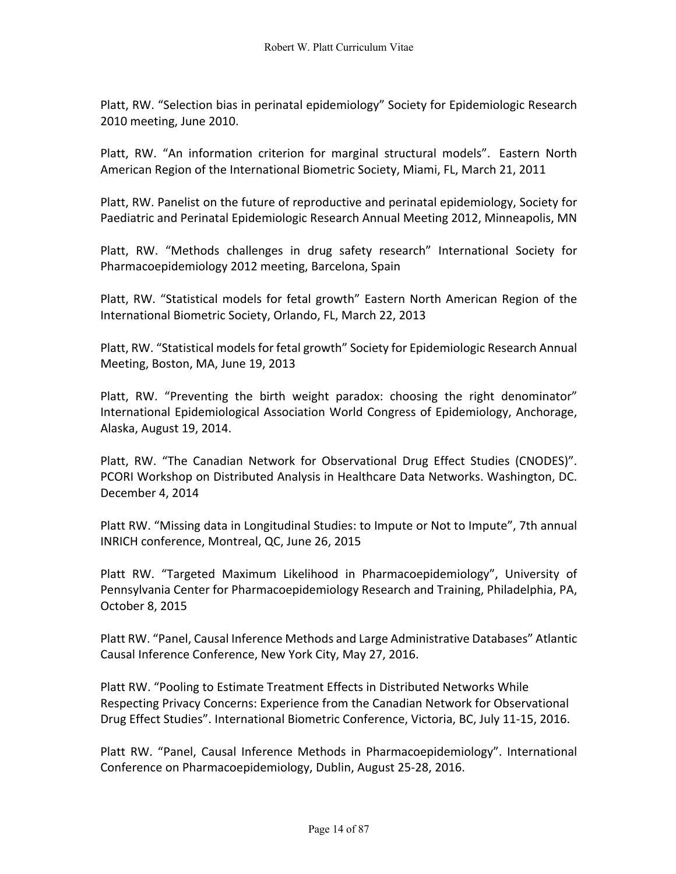Platt, RW. "Selection bias in perinatal epidemiology" Society for Epidemiologic Research 2010 meeting, June 2010.

Platt, RW. "An information criterion for marginal structural models". Eastern North American Region of the International Biometric Society, Miami, FL, March 21, 2011

Platt, RW. Panelist on the future of reproductive and perinatal epidemiology, Society for Paediatric and Perinatal Epidemiologic Research Annual Meeting 2012, Minneapolis, MN

Platt, RW. "Methods challenges in drug safety research" International Society for Pharmacoepidemiology 2012 meeting, Barcelona, Spain

Platt, RW. "Statistical models for fetal growth" Eastern North American Region of the International Biometric Society, Orlando, FL, March 22, 2013

Platt, RW. "Statistical models for fetal growth" Society for Epidemiologic Research Annual Meeting, Boston, MA, June 19, 2013

Platt, RW. "Preventing the birth weight paradox: choosing the right denominator" International Epidemiological Association World Congress of Epidemiology, Anchorage, Alaska, August 19, 2014.

Platt, RW. "The Canadian Network for Observational Drug Effect Studies (CNODES)". PCORI Workshop on Distributed Analysis in Healthcare Data Networks. Washington, DC. December 4, 2014

Platt RW. "Missing data in Longitudinal Studies: to Impute or Not to Impute", 7th annual INRICH conference, Montreal, QC, June 26, 2015

Platt RW. "Targeted Maximum Likelihood in Pharmacoepidemiology", University of Pennsylvania Center for Pharmacoepidemiology Research and Training, Philadelphia, PA, October 8, 2015

Platt RW. "Panel, Causal Inference Methods and Large Administrative Databases" Atlantic Causal Inference Conference, New York City, May 27, 2016.

Platt RW. "Pooling to Estimate Treatment Effects in Distributed Networks While Respecting Privacy Concerns: Experience from the Canadian Network for Observational Drug Effect Studies". International Biometric Conference, Victoria, BC, July 11-15, 2016.

Platt RW. "Panel, Causal Inference Methods in Pharmacoepidemiology". International Conference on Pharmacoepidemiology, Dublin, August 25-28, 2016.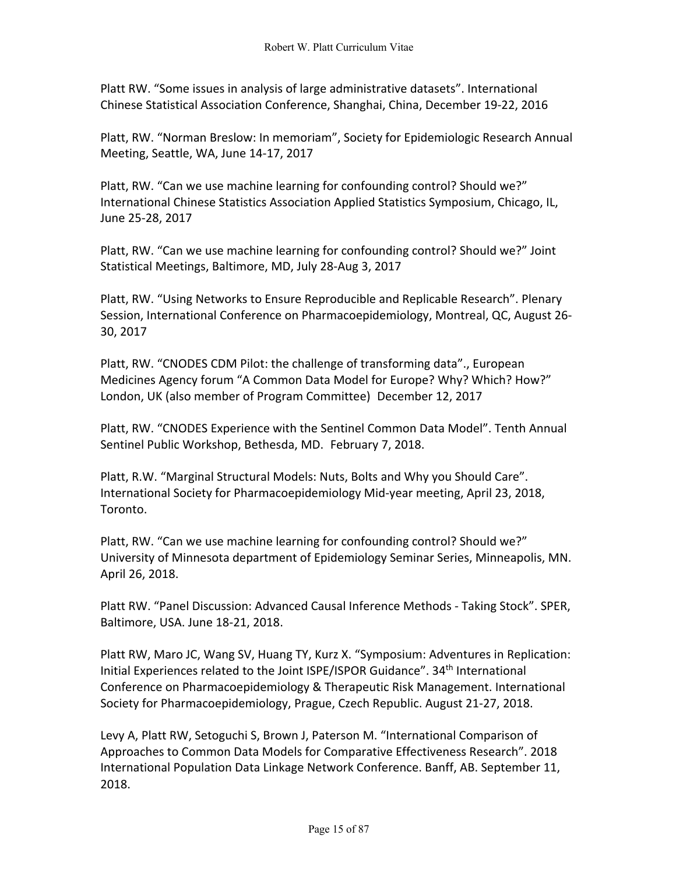Platt RW. "Some issues in analysis of large administrative datasets". International Chinese Statistical Association Conference, Shanghai, China, December 19-22, 2016

Platt, RW. "Norman Breslow: In memoriam", Society for Epidemiologic Research Annual Meeting, Seattle, WA, June 14-17, 2017

Platt, RW. "Can we use machine learning for confounding control? Should we?" International Chinese Statistics Association Applied Statistics Symposium, Chicago, IL, June 25-28, 2017

Platt, RW. "Can we use machine learning for confounding control? Should we?" Joint Statistical Meetings, Baltimore, MD, July 28-Aug 3, 2017

Platt, RW. "Using Networks to Ensure Reproducible and Replicable Research". Plenary Session, International Conference on Pharmacoepidemiology, Montreal, QC, August 26- 30, 2017

Platt, RW. "CNODES CDM Pilot: the challenge of transforming data"., European Medicines Agency forum "A Common Data Model for Europe? Why? Which? How?" London, UK (also member of Program Committee) December 12, 2017

Platt, RW. "CNODES Experience with the Sentinel Common Data Model". Tenth Annual Sentinel Public Workshop, Bethesda, MD. February 7, 2018.

Platt, R.W. "Marginal Structural Models: Nuts, Bolts and Why you Should Care". International Society for Pharmacoepidemiology Mid-year meeting, April 23, 2018, Toronto.

Platt, RW. "Can we use machine learning for confounding control? Should we?" University of Minnesota department of Epidemiology Seminar Series, Minneapolis, MN. April 26, 2018.

Platt RW. "Panel Discussion: Advanced Causal Inference Methods - Taking Stock". SPER, Baltimore, USA. June 18-21, 2018.

Platt RW, Maro JC, Wang SV, Huang TY, Kurz X. "Symposium: Adventures in Replication: Initial Experiences related to the Joint ISPE/ISPOR Guidance". 34<sup>th</sup> International Conference on Pharmacoepidemiology & Therapeutic Risk Management. International Society for Pharmacoepidemiology, Prague, Czech Republic. August 21-27, 2018.

Levy A, Platt RW, Setoguchi S, Brown J, Paterson M. "International Comparison of Approaches to Common Data Models for Comparative Effectiveness Research". 2018 International Population Data Linkage Network Conference. Banff, AB. September 11, 2018.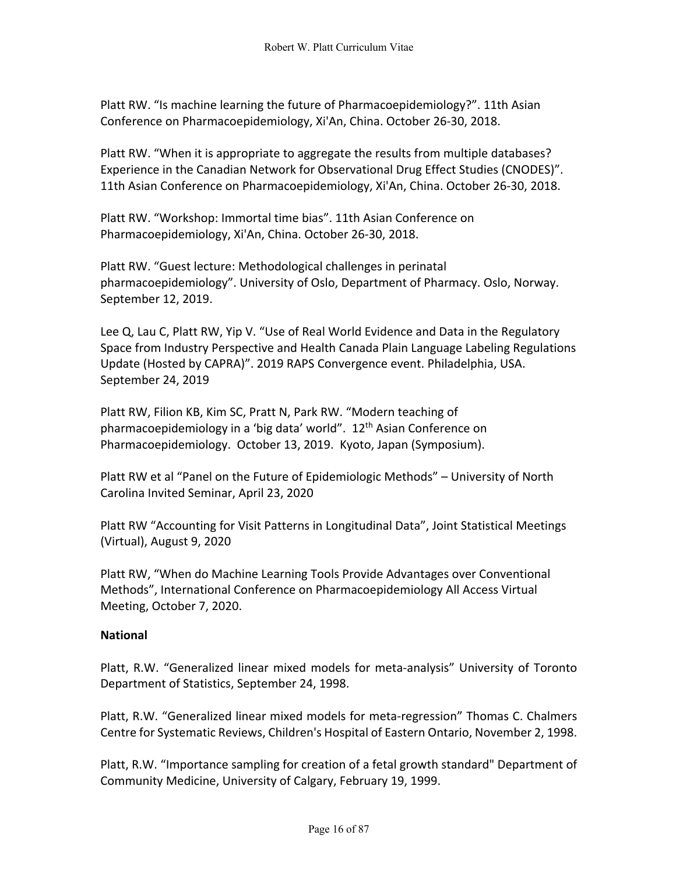Platt RW. "Is machine learning the future of Pharmacoepidemiology?". 11th Asian Conference on Pharmacoepidemiology, Xi'An, China. October 26-30, 2018.

Platt RW. "When it is appropriate to aggregate the results from multiple databases? Experience in the Canadian Network for Observational Drug Effect Studies (CNODES)". 11th Asian Conference on Pharmacoepidemiology, Xi'An, China. October 26-30, 2018.

Platt RW. "Workshop: Immortal time bias". 11th Asian Conference on Pharmacoepidemiology, Xi'An, China. October 26-30, 2018.

Platt RW. "Guest lecture: Methodological challenges in perinatal pharmacoepidemiology". University of Oslo, Department of Pharmacy. Oslo, Norway. September 12, 2019.

Lee Q, Lau C, Platt RW, Yip V. "Use of Real World Evidence and Data in the Regulatory Space from Industry Perspective and Health Canada Plain Language Labeling Regulations Update (Hosted by CAPRA)". 2019 RAPS Convergence event. Philadelphia, USA. September 24, 2019

Platt RW, Filion KB, Kim SC, Pratt N, Park RW. "Modern teaching of pharmacoepidemiology in a 'big data' world". 12<sup>th</sup> Asian Conference on Pharmacoepidemiology. October 13, 2019. Kyoto, Japan (Symposium).

Platt RW et al "Panel on the Future of Epidemiologic Methods" – University of North Carolina Invited Seminar, April 23, 2020

Platt RW "Accounting for Visit Patterns in Longitudinal Data", Joint Statistical Meetings (Virtual), August 9, 2020

Platt RW, "When do Machine Learning Tools Provide Advantages over Conventional Methods", International Conference on Pharmacoepidemiology All Access Virtual Meeting, October 7, 2020.

# **National**

Platt, R.W. "Generalized linear mixed models for meta-analysis" University of Toronto Department of Statistics, September 24, 1998.

Platt, R.W. "Generalized linear mixed models for meta-regression" Thomas C. Chalmers Centre for Systematic Reviews, Children's Hospital of Eastern Ontario, November 2, 1998.

Platt, R.W. "Importance sampling for creation of a fetal growth standard" Department of Community Medicine, University of Calgary, February 19, 1999.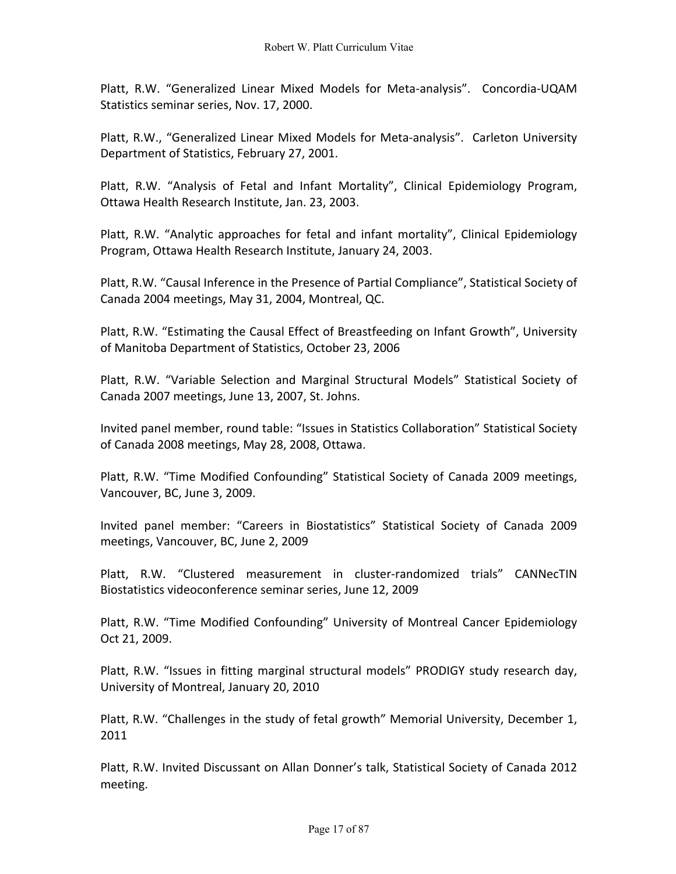Platt, R.W. "Generalized Linear Mixed Models for Meta-analysis". Concordia-UQAM Statistics seminar series, Nov. 17, 2000.

Platt, R.W., "Generalized Linear Mixed Models for Meta-analysis". Carleton University Department of Statistics, February 27, 2001.

Platt, R.W. "Analysis of Fetal and Infant Mortality", Clinical Epidemiology Program, Ottawa Health Research Institute, Jan. 23, 2003.

Platt, R.W. "Analytic approaches for fetal and infant mortality", Clinical Epidemiology Program, Ottawa Health Research Institute, January 24, 2003.

Platt, R.W. "Causal Inference in the Presence of Partial Compliance", Statistical Society of Canada 2004 meetings, May 31, 2004, Montreal, QC.

Platt, R.W. "Estimating the Causal Effect of Breastfeeding on Infant Growth", University of Manitoba Department of Statistics, October 23, 2006

Platt, R.W. "Variable Selection and Marginal Structural Models" Statistical Society of Canada 2007 meetings, June 13, 2007, St. Johns.

Invited panel member, round table: "Issues in Statistics Collaboration" Statistical Society of Canada 2008 meetings, May 28, 2008, Ottawa.

Platt, R.W. "Time Modified Confounding" Statistical Society of Canada 2009 meetings, Vancouver, BC, June 3, 2009.

Invited panel member: "Careers in Biostatistics" Statistical Society of Canada 2009 meetings, Vancouver, BC, June 2, 2009

Platt, R.W. "Clustered measurement in cluster-randomized trials" CANNecTIN Biostatistics videoconference seminar series, June 12, 2009

Platt, R.W. "Time Modified Confounding" University of Montreal Cancer Epidemiology Oct 21, 2009.

Platt, R.W. "Issues in fitting marginal structural models" PRODIGY study research day, University of Montreal, January 20, 2010

Platt, R.W. "Challenges in the study of fetal growth" Memorial University, December 1, 2011

Platt, R.W. Invited Discussant on Allan Donner's talk, Statistical Society of Canada 2012 meeting.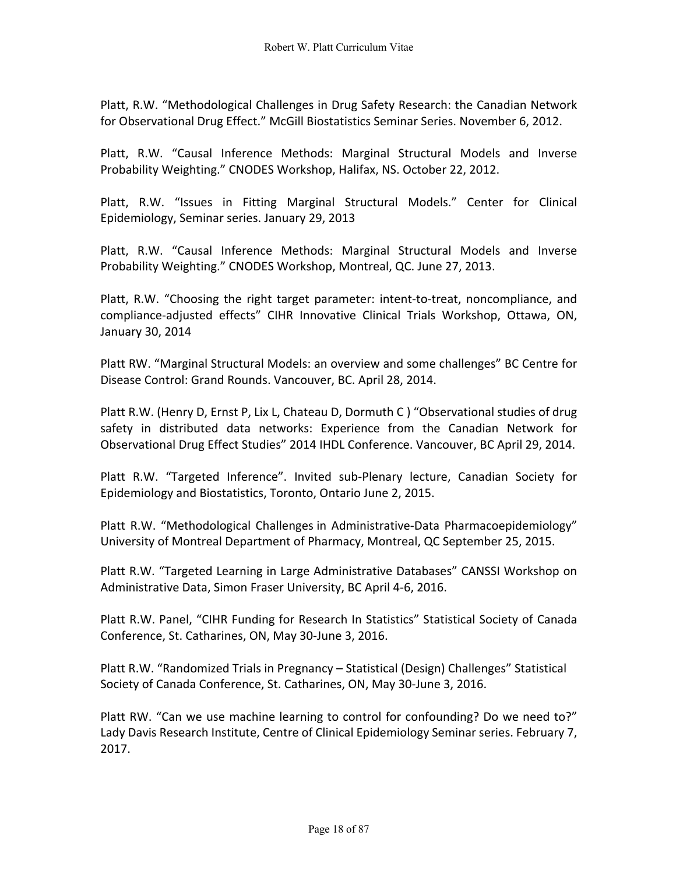Platt, R.W. "Methodological Challenges in Drug Safety Research: the Canadian Network for Observational Drug Effect." McGill Biostatistics Seminar Series. November 6, 2012.

Platt, R.W. "Causal Inference Methods: Marginal Structural Models and Inverse Probability Weighting." CNODES Workshop, Halifax, NS. October 22, 2012.

Platt, R.W. "Issues in Fitting Marginal Structural Models." Center for Clinical Epidemiology, Seminar series. January 29, 2013

Platt, R.W. "Causal Inference Methods: Marginal Structural Models and Inverse Probability Weighting." CNODES Workshop, Montreal, QC. June 27, 2013.

Platt, R.W. "Choosing the right target parameter: intent-to-treat, noncompliance, and compliance-adjusted effects" CIHR Innovative Clinical Trials Workshop, Ottawa, ON, January 30, 2014

Platt RW. "Marginal Structural Models: an overview and some challenges" BC Centre for Disease Control: Grand Rounds. Vancouver, BC. April 28, 2014.

Platt R.W. (Henry D, Ernst P, Lix L, Chateau D, Dormuth C ) "Observational studies of drug safety in distributed data networks: Experience from the Canadian Network for Observational Drug Effect Studies" 2014 IHDL Conference. Vancouver, BC April 29, 2014.

Platt R.W. "Targeted Inference". Invited sub-Plenary lecture, Canadian Society for Epidemiology and Biostatistics, Toronto, Ontario June 2, 2015.

Platt R.W. "Methodological Challenges in Administrative-Data Pharmacoepidemiology" University of Montreal Department of Pharmacy, Montreal, QC September 25, 2015.

Platt R.W. "Targeted Learning in Large Administrative Databases" CANSSI Workshop on Administrative Data, Simon Fraser University, BC April 4-6, 2016.

Platt R.W. Panel, "CIHR Funding for Research In Statistics" Statistical Society of Canada Conference, St. Catharines, ON, May 30-June 3, 2016.

Platt R.W. "Randomized Trials in Pregnancy – Statistical (Design) Challenges" Statistical Society of Canada Conference, St. Catharines, ON, May 30-June 3, 2016.

Platt RW. "Can we use machine learning to control for confounding? Do we need to?" Lady Davis Research Institute, Centre of Clinical Epidemiology Seminar series. February 7, 2017.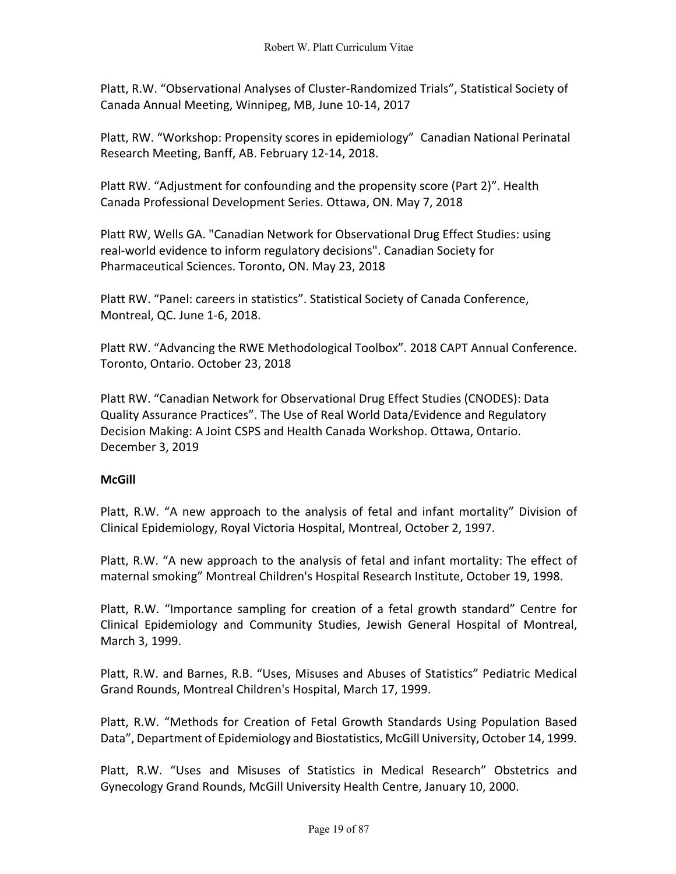Platt, R.W. "Observational Analyses of Cluster-Randomized Trials", Statistical Society of Canada Annual Meeting, Winnipeg, MB, June 10-14, 2017

Platt, RW. "Workshop: Propensity scores in epidemiology" Canadian National Perinatal Research Meeting, Banff, AB. February 12-14, 2018.

Platt RW. "Adjustment for confounding and the propensity score (Part 2)". Health Canada Professional Development Series. Ottawa, ON. May 7, 2018

Platt RW, Wells GA. "Canadian Network for Observational Drug Effect Studies: using real-world evidence to inform regulatory decisions". Canadian Society for Pharmaceutical Sciences. Toronto, ON. May 23, 2018

Platt RW. "Panel: careers in statistics". Statistical Society of Canada Conference, Montreal, QC. June 1-6, 2018.

Platt RW. "Advancing the RWE Methodological Toolbox". 2018 CAPT Annual Conference. Toronto, Ontario. October 23, 2018

Platt RW. "Canadian Network for Observational Drug Effect Studies (CNODES): Data Quality Assurance Practices". The Use of Real World Data/Evidence and Regulatory Decision Making: A Joint CSPS and Health Canada Workshop. Ottawa, Ontario. December 3, 2019

# **McGill**

Platt, R.W. "A new approach to the analysis of fetal and infant mortality" Division of Clinical Epidemiology, Royal Victoria Hospital, Montreal, October 2, 1997.

Platt, R.W. "A new approach to the analysis of fetal and infant mortality: The effect of maternal smoking" Montreal Children's Hospital Research Institute, October 19, 1998.

Platt, R.W. "Importance sampling for creation of a fetal growth standard" Centre for Clinical Epidemiology and Community Studies, Jewish General Hospital of Montreal, March 3, 1999.

Platt, R.W. and Barnes, R.B. "Uses, Misuses and Abuses of Statistics" Pediatric Medical Grand Rounds, Montreal Children's Hospital, March 17, 1999.

Platt, R.W. "Methods for Creation of Fetal Growth Standards Using Population Based Data", Department of Epidemiology and Biostatistics, McGill University, October 14, 1999.

Platt, R.W. "Uses and Misuses of Statistics in Medical Research" Obstetrics and Gynecology Grand Rounds, McGill University Health Centre, January 10, 2000.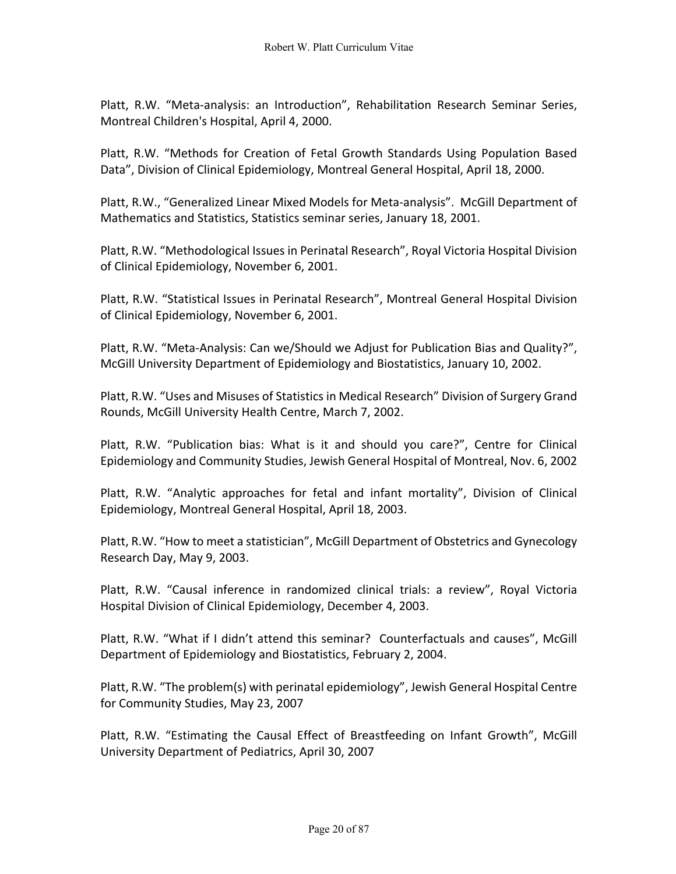Platt, R.W. "Meta-analysis: an Introduction", Rehabilitation Research Seminar Series, Montreal Children's Hospital, April 4, 2000.

Platt, R.W. "Methods for Creation of Fetal Growth Standards Using Population Based Data", Division of Clinical Epidemiology, Montreal General Hospital, April 18, 2000.

Platt, R.W., "Generalized Linear Mixed Models for Meta-analysis". McGill Department of Mathematics and Statistics, Statistics seminar series, January 18, 2001.

Platt, R.W. "Methodological Issues in Perinatal Research", Royal Victoria Hospital Division of Clinical Epidemiology, November 6, 2001.

Platt, R.W. "Statistical Issues in Perinatal Research", Montreal General Hospital Division of Clinical Epidemiology, November 6, 2001.

Platt, R.W. "Meta-Analysis: Can we/Should we Adjust for Publication Bias and Quality?", McGill University Department of Epidemiology and Biostatistics, January 10, 2002.

Platt, R.W. "Uses and Misuses of Statistics in Medical Research" Division of Surgery Grand Rounds, McGill University Health Centre, March 7, 2002.

Platt, R.W. "Publication bias: What is it and should you care?", Centre for Clinical Epidemiology and Community Studies, Jewish General Hospital of Montreal, Nov. 6, 2002

Platt, R.W. "Analytic approaches for fetal and infant mortality", Division of Clinical Epidemiology, Montreal General Hospital, April 18, 2003.

Platt, R.W. "How to meet a statistician", McGill Department of Obstetrics and Gynecology Research Day, May 9, 2003.

Platt, R.W. "Causal inference in randomized clinical trials: a review", Royal Victoria Hospital Division of Clinical Epidemiology, December 4, 2003.

Platt, R.W. "What if I didn't attend this seminar? Counterfactuals and causes", McGill Department of Epidemiology and Biostatistics, February 2, 2004.

Platt, R.W. "The problem(s) with perinatal epidemiology", Jewish General Hospital Centre for Community Studies, May 23, 2007

Platt, R.W. "Estimating the Causal Effect of Breastfeeding on Infant Growth", McGill University Department of Pediatrics, April 30, 2007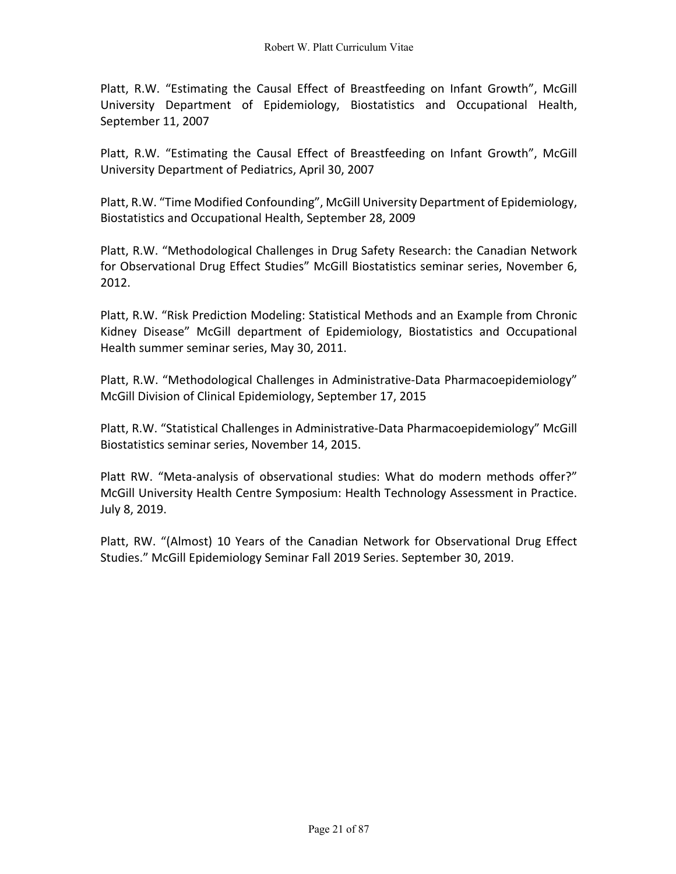Platt, R.W. "Estimating the Causal Effect of Breastfeeding on Infant Growth", McGill University Department of Epidemiology, Biostatistics and Occupational Health, September 11, 2007

Platt, R.W. "Estimating the Causal Effect of Breastfeeding on Infant Growth", McGill University Department of Pediatrics, April 30, 2007

Platt, R.W. "Time Modified Confounding", McGill University Department of Epidemiology, Biostatistics and Occupational Health, September 28, 2009

Platt, R.W. "Methodological Challenges in Drug Safety Research: the Canadian Network for Observational Drug Effect Studies" McGill Biostatistics seminar series, November 6, 2012.

Platt, R.W. "Risk Prediction Modeling: Statistical Methods and an Example from Chronic Kidney Disease" McGill department of Epidemiology, Biostatistics and Occupational Health summer seminar series, May 30, 2011.

Platt, R.W. "Methodological Challenges in Administrative-Data Pharmacoepidemiology" McGill Division of Clinical Epidemiology, September 17, 2015

Platt, R.W. "Statistical Challenges in Administrative-Data Pharmacoepidemiology" McGill Biostatistics seminar series, November 14, 2015.

Platt RW. "Meta-analysis of observational studies: What do modern methods offer?" McGill University Health Centre Symposium: Health Technology Assessment in Practice. July 8, 2019.

Platt, RW. "(Almost) 10 Years of the Canadian Network for Observational Drug Effect Studies." McGill Epidemiology Seminar Fall 2019 Series. September 30, 2019.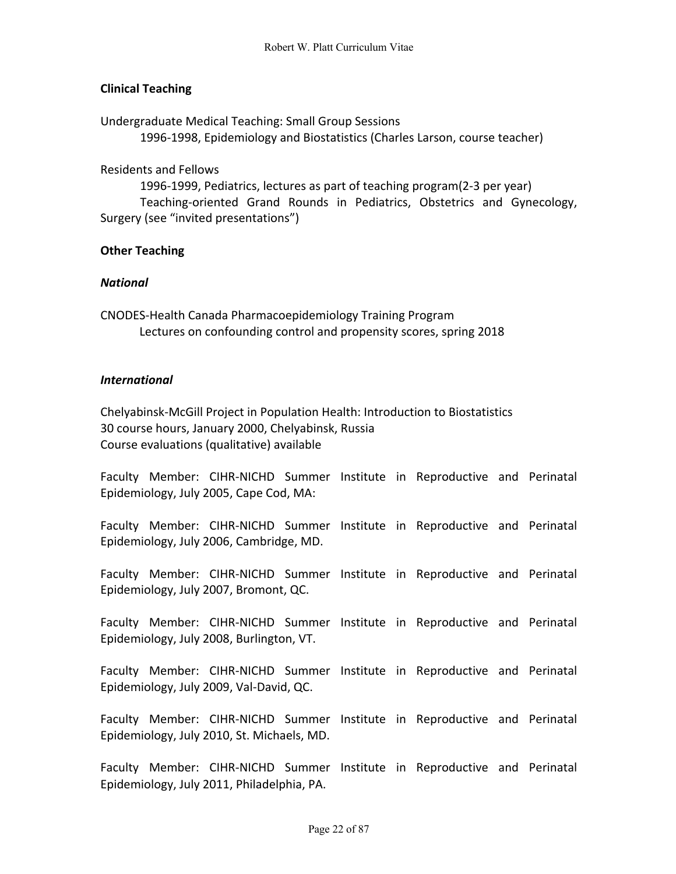# **Clinical Teaching**

Undergraduate Medical Teaching: Small Group Sessions 1996-1998, Epidemiology and Biostatistics (Charles Larson, course teacher)

Residents and Fellows

1996-1999, Pediatrics, lectures as part of teaching program(2-3 per year) Teaching-oriented Grand Rounds in Pediatrics, Obstetrics and Gynecology, Surgery (see "invited presentations")

### **Other Teaching**

#### *National*

CNODES-Health Canada Pharmacoepidemiology Training Program Lectures on confounding control and propensity scores, spring 2018

#### *International*

Chelyabinsk-McGill Project in Population Health: Introduction to Biostatistics 30 course hours, January 2000, Chelyabinsk, Russia Course evaluations (qualitative) available

Faculty Member: CIHR-NICHD Summer Institute in Reproductive and Perinatal Epidemiology, July 2005, Cape Cod, MA:

Faculty Member: CIHR-NICHD Summer Institute in Reproductive and Perinatal Epidemiology, July 2006, Cambridge, MD.

Faculty Member: CIHR-NICHD Summer Institute in Reproductive and Perinatal Epidemiology, July 2007, Bromont, QC.

Faculty Member: CIHR-NICHD Summer Institute in Reproductive and Perinatal Epidemiology, July 2008, Burlington, VT.

Faculty Member: CIHR-NICHD Summer Institute in Reproductive and Perinatal Epidemiology, July 2009, Val-David, QC.

Faculty Member: CIHR-NICHD Summer Institute in Reproductive and Perinatal Epidemiology, July 2010, St. Michaels, MD.

Faculty Member: CIHR-NICHD Summer Institute in Reproductive and Perinatal Epidemiology, July 2011, Philadelphia, PA.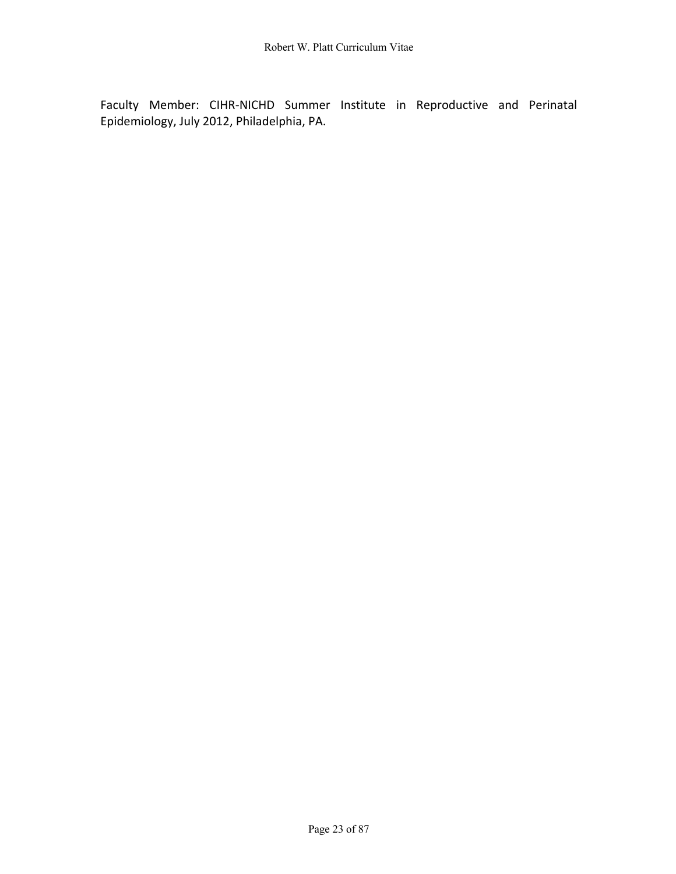Faculty Member: CIHR-NICHD Summer Institute in Reproductive and Perinatal Epidemiology, July 2012, Philadelphia, PA.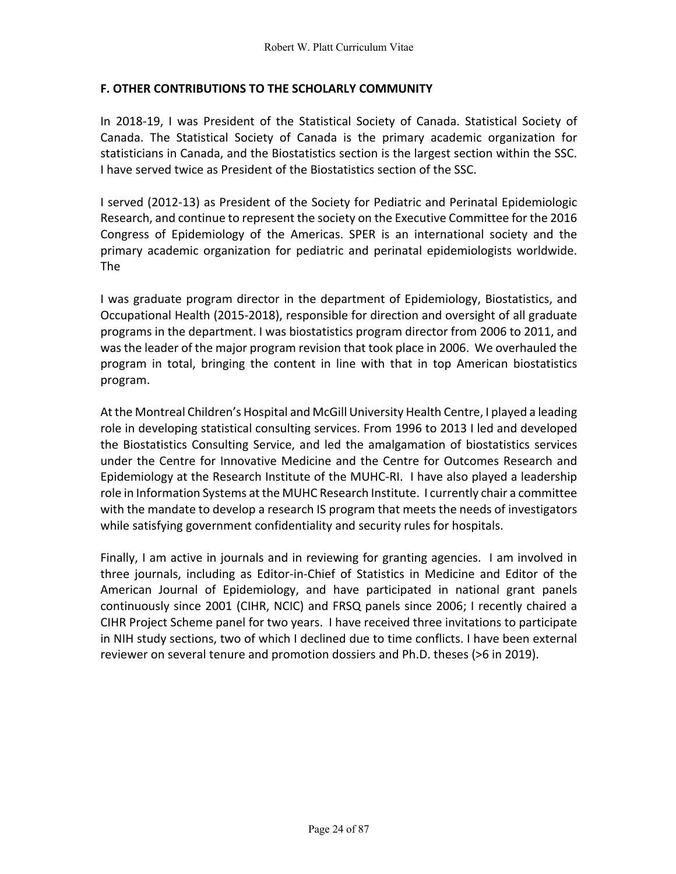# **F. OTHER CONTRIBUTIONS TO THE SCHOLARLY COMMUNITY**

In 2018-19, I was President of the Statistical Society of Canada. Statistical Society of Canada. The Statistical Society of Canada is the primary academic organization for statisticians in Canada, and the Biostatistics section is the largest section within the SSC. I have served twice as President of the Biostatistics section of the SSC.

I served (2012-13) as President of the Society for Pediatric and Perinatal Epidemiologic Research, and continue to represent the society on the Executive Committee for the 2016 Congress of Epidemiology of the Americas. SPER is an international society and the primary academic organization for pediatric and perinatal epidemiologists worldwide. The

I was graduate program director in the department of Epidemiology, Biostatistics, and Occupational Health (2015-2018), responsible for direction and oversight of all graduate programs in the department. I was biostatistics program director from 2006 to 2011, and was the leader of the major program revision that took place in 2006. We overhauled the program in total, bringing the content in line with that in top American biostatistics program.

At the Montreal Children's Hospital and McGill University Health Centre, I played a leading role in developing statistical consulting services. From 1996 to 2013 I led and developed the Biostatistics Consulting Service, and led the amalgamation of biostatistics services under the Centre for Innovative Medicine and the Centre for Outcomes Research and Epidemiology at the Research Institute of the MUHC-RI. I have also played a leadership role in Information Systems at the MUHC Research Institute. I currently chair a committee with the mandate to develop a research IS program that meets the needs of investigators while satisfying government confidentiality and security rules for hospitals.

Finally, I am active in journals and in reviewing for granting agencies. I am involved in three journals, including as Editor-in-Chief of Statistics in Medicine and Editor of the American Journal of Epidemiology, and have participated in national grant panels continuously since 2001 (CIHR, NCIC) and FRSQ panels since 2006; I recently chaired a CIHR Project Scheme panel for two years. I have received three invitations to participate in NIH study sections, two of which I declined due to time conflicts. I have been external reviewer on several tenure and promotion dossiers and Ph.D. theses (>6 in 2019).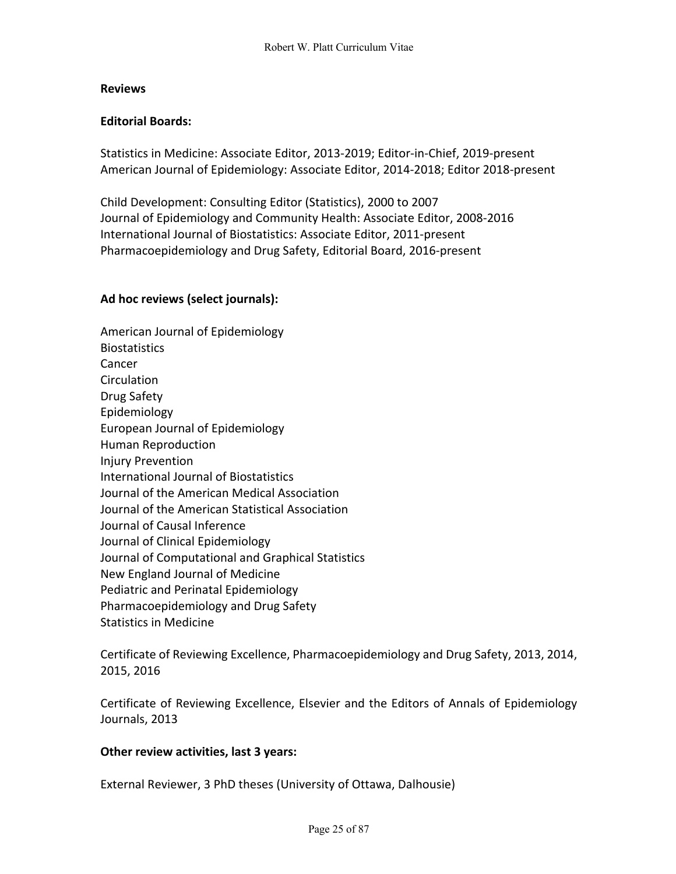### **Reviews**

# **Editorial Boards:**

Statistics in Medicine: Associate Editor, 2013-2019; Editor-in-Chief, 2019-present American Journal of Epidemiology: Associate Editor, 2014-2018; Editor 2018-present

Child Development: Consulting Editor (Statistics), 2000 to 2007 Journal of Epidemiology and Community Health: Associate Editor, 2008-2016 International Journal of Biostatistics: Associate Editor, 2011-present Pharmacoepidemiology and Drug Safety, Editorial Board, 2016-present

### **Ad hoc reviews (select journals):**

American Journal of Epidemiology **Biostatistics** Cancer Circulation Drug Safety Epidemiology European Journal of Epidemiology Human Reproduction Injury Prevention International Journal of Biostatistics Journal of the American Medical Association Journal of the American Statistical Association Journal of Causal Inference Journal of Clinical Epidemiology Journal of Computational and Graphical Statistics New England Journal of Medicine Pediatric and Perinatal Epidemiology Pharmacoepidemiology and Drug Safety Statistics in Medicine

Certificate of Reviewing Excellence, Pharmacoepidemiology and Drug Safety, 2013, 2014, 2015, 2016

Certificate of Reviewing Excellence, Elsevier and the Editors of Annals of Epidemiology Journals, 2013

#### **Other review activities, last 3 years:**

External Reviewer, 3 PhD theses (University of Ottawa, Dalhousie)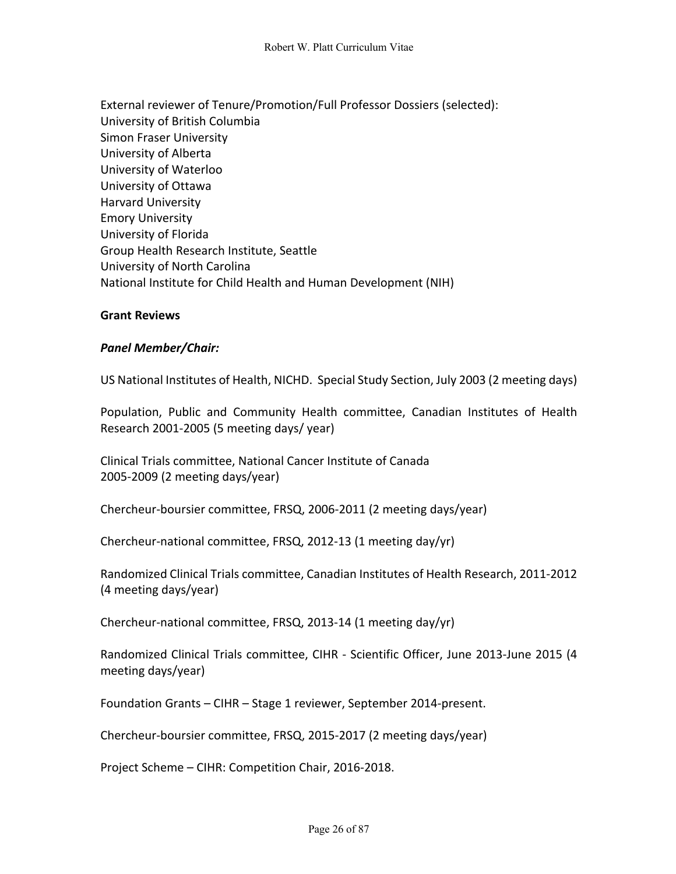External reviewer of Tenure/Promotion/Full Professor Dossiers (selected): University of British Columbia Simon Fraser University University of Alberta University of Waterloo University of Ottawa Harvard University Emory University University of Florida Group Health Research Institute, Seattle University of North Carolina National Institute for Child Health and Human Development (NIH)

#### **Grant Reviews**

#### *Panel Member/Chair:*

US National Institutes of Health, NICHD. Special Study Section, July 2003 (2 meeting days)

Population, Public and Community Health committee, Canadian Institutes of Health Research 2001-2005 (5 meeting days/ year)

Clinical Trials committee, National Cancer Institute of Canada 2005-2009 (2 meeting days/year)

Chercheur-boursier committee, FRSQ, 2006-2011 (2 meeting days/year)

Chercheur-national committee, FRSQ, 2012-13 (1 meeting day/yr)

Randomized Clinical Trials committee, Canadian Institutes of Health Research, 2011-2012 (4 meeting days/year)

Chercheur-national committee, FRSQ, 2013-14 (1 meeting day/yr)

Randomized Clinical Trials committee, CIHR - Scientific Officer, June 2013-June 2015 (4 meeting days/year)

Foundation Grants – CIHR – Stage 1 reviewer, September 2014-present.

Chercheur-boursier committee, FRSQ, 2015-2017 (2 meeting days/year)

Project Scheme – CIHR: Competition Chair, 2016-2018.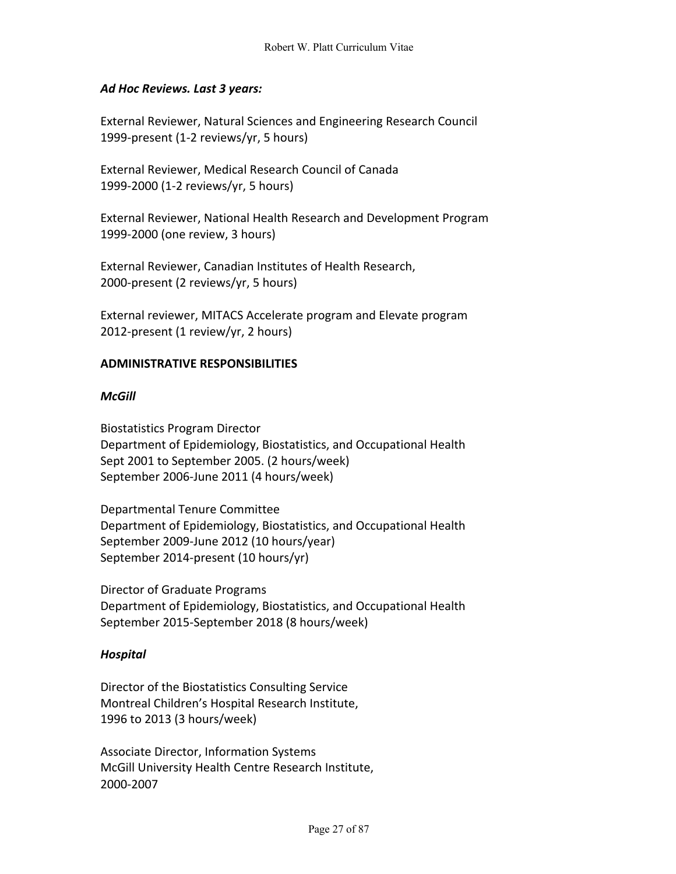# *Ad Hoc Reviews. Last 3 years:*

External Reviewer, Natural Sciences and Engineering Research Council 1999-present (1-2 reviews/yr, 5 hours)

External Reviewer, Medical Research Council of Canada 1999-2000 (1-2 reviews/yr, 5 hours)

External Reviewer, National Health Research and Development Program 1999-2000 (one review, 3 hours)

External Reviewer, Canadian Institutes of Health Research, 2000-present (2 reviews/yr, 5 hours)

External reviewer, MITACS Accelerate program and Elevate program 2012-present (1 review/yr, 2 hours)

### **ADMINISTRATIVE RESPONSIBILITIES**

### *McGill*

Biostatistics Program Director Department of Epidemiology, Biostatistics, and Occupational Health Sept 2001 to September 2005. (2 hours/week) September 2006-June 2011 (4 hours/week)

Departmental Tenure Committee Department of Epidemiology, Biostatistics, and Occupational Health September 2009-June 2012 (10 hours/year) September 2014-present (10 hours/yr)

Director of Graduate Programs Department of Epidemiology, Biostatistics, and Occupational Health September 2015-September 2018 (8 hours/week)

#### *Hospital*

Director of the Biostatistics Consulting Service Montreal Children's Hospital Research Institute, 1996 to 2013 (3 hours/week)

Associate Director, Information Systems McGill University Health Centre Research Institute, 2000-2007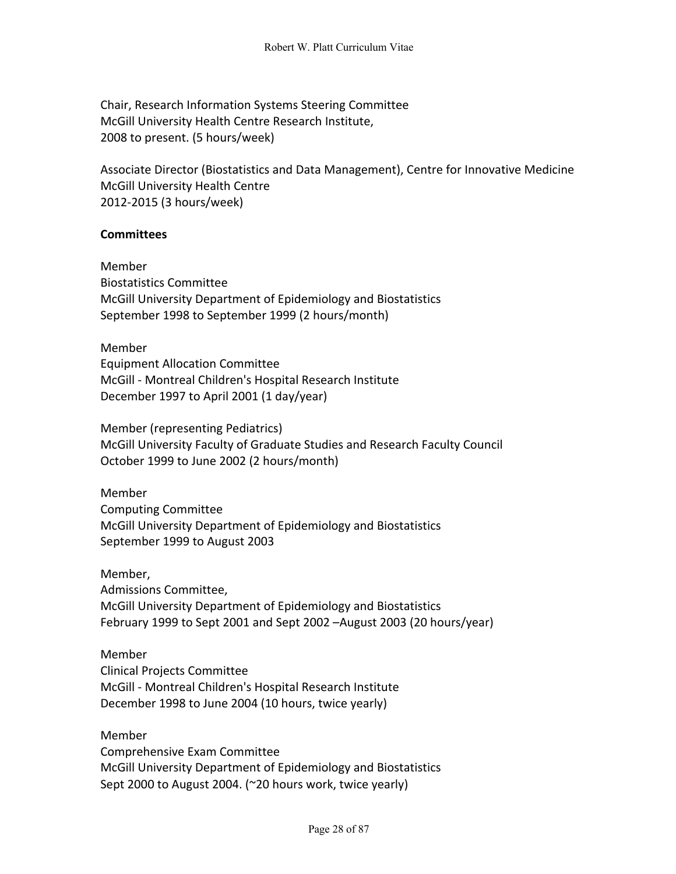Chair, Research Information Systems Steering Committee McGill University Health Centre Research Institute, 2008 to present. (5 hours/week)

Associate Director (Biostatistics and Data Management), Centre for Innovative Medicine McGill University Health Centre 2012-2015 (3 hours/week)

# **Committees**

Member Biostatistics Committee McGill University Department of Epidemiology and Biostatistics September 1998 to September 1999 (2 hours/month)

Member Equipment Allocation Committee McGill - Montreal Children's Hospital Research Institute December 1997 to April 2001 (1 day/year)

Member (representing Pediatrics) McGill University Faculty of Graduate Studies and Research Faculty Council October 1999 to June 2002 (2 hours/month)

Member Computing Committee McGill University Department of Epidemiology and Biostatistics September 1999 to August 2003

Member, Admissions Committee, McGill University Department of Epidemiology and Biostatistics February 1999 to Sept 2001 and Sept 2002 –August 2003 (20 hours/year)

# Member

Clinical Projects Committee McGill - Montreal Children's Hospital Research Institute December 1998 to June 2004 (10 hours, twice yearly)

## Member

Comprehensive Exam Committee McGill University Department of Epidemiology and Biostatistics Sept 2000 to August 2004. (~20 hours work, twice yearly)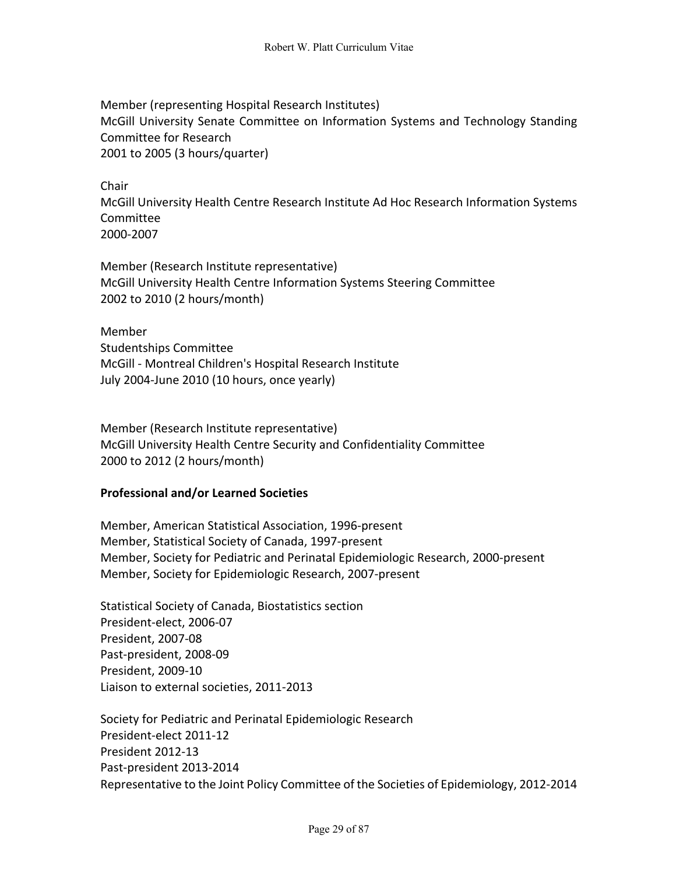Member (representing Hospital Research Institutes) McGill University Senate Committee on Information Systems and Technology Standing Committee for Research 2001 to 2005 (3 hours/quarter)

Chair McGill University Health Centre Research Institute Ad Hoc Research Information Systems Committee 2000-2007

Member (Research Institute representative) McGill University Health Centre Information Systems Steering Committee 2002 to 2010 (2 hours/month)

Member Studentships Committee McGill - Montreal Children's Hospital Research Institute July 2004-June 2010 (10 hours, once yearly)

Member (Research Institute representative) McGill University Health Centre Security and Confidentiality Committee 2000 to 2012 (2 hours/month)

# **Professional and/or Learned Societies**

Member, American Statistical Association, 1996-present Member, Statistical Society of Canada, 1997-present Member, Society for Pediatric and Perinatal Epidemiologic Research, 2000-present Member, Society for Epidemiologic Research, 2007-present

Statistical Society of Canada, Biostatistics section President-elect, 2006-07 President, 2007-08 Past-president, 2008-09 President, 2009-10 Liaison to external societies, 2011-2013

Society for Pediatric and Perinatal Epidemiologic Research President-elect 2011-12 President 2012-13 Past-president 2013-2014 Representative to the Joint Policy Committee of the Societies of Epidemiology, 2012-2014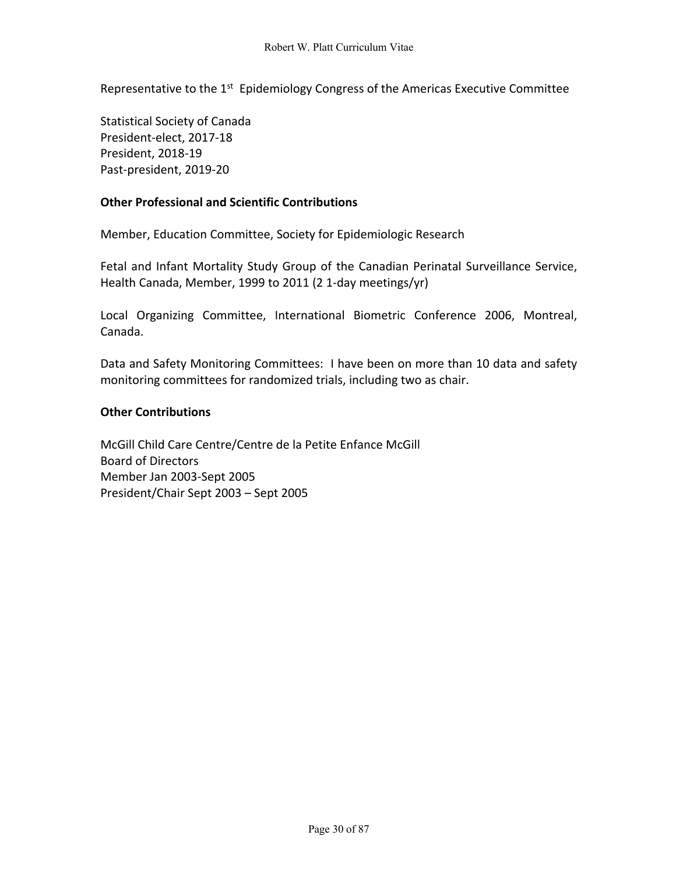Representative to the 1<sup>st</sup> Epidemiology Congress of the Americas Executive Committee

Statistical Society of Canada President-elect, 2017-18 President, 2018-19 Past-president, 2019-20

## **Other Professional and Scientific Contributions**

Member, Education Committee, Society for Epidemiologic Research

Fetal and Infant Mortality Study Group of the Canadian Perinatal Surveillance Service, Health Canada, Member, 1999 to 2011 (2 1-day meetings/yr)

Local Organizing Committee, International Biometric Conference 2006, Montreal, Canada.

Data and Safety Monitoring Committees: I have been on more than 10 data and safety monitoring committees for randomized trials, including two as chair.

### **Other Contributions**

McGill Child Care Centre/Centre de la Petite Enfance McGill Board of Directors Member Jan 2003-Sept 2005 President/Chair Sept 2003 – Sept 2005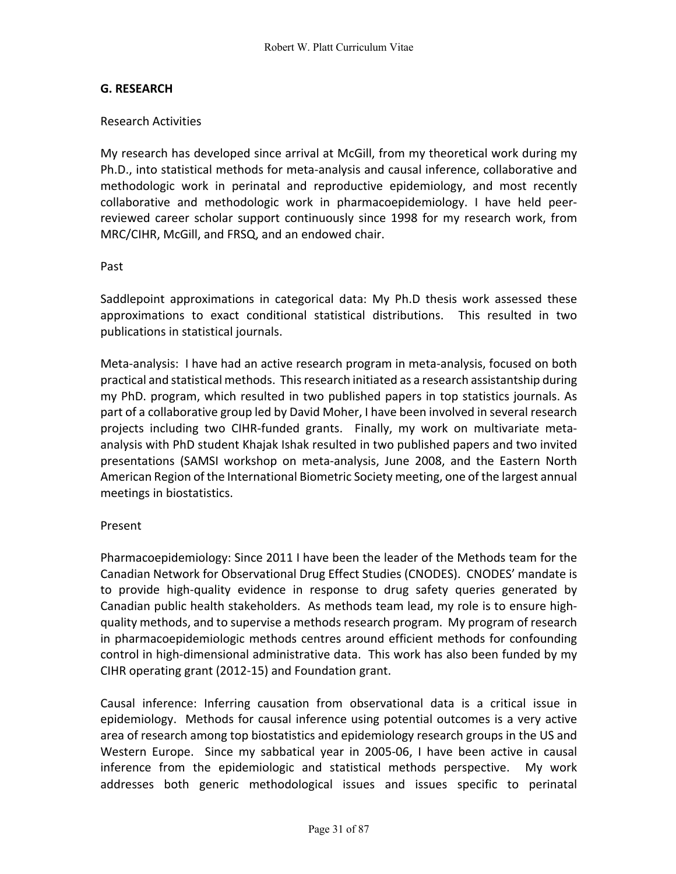# **G. RESEARCH**

# Research Activities

My research has developed since arrival at McGill, from my theoretical work during my Ph.D., into statistical methods for meta-analysis and causal inference, collaborative and methodologic work in perinatal and reproductive epidemiology, and most recently collaborative and methodologic work in pharmacoepidemiology. I have held peerreviewed career scholar support continuously since 1998 for my research work, from MRC/CIHR, McGill, and FRSQ, and an endowed chair.

### Past

Saddlepoint approximations in categorical data: My Ph.D thesis work assessed these approximations to exact conditional statistical distributions. This resulted in two publications in statistical journals.

Meta-analysis: I have had an active research program in meta-analysis, focused on both practical and statistical methods. This research initiated as a research assistantship during my PhD. program, which resulted in two published papers in top statistics journals. As part of a collaborative group led by David Moher, I have been involved in several research projects including two CIHR-funded grants. Finally, my work on multivariate metaanalysis with PhD student Khajak Ishak resulted in two published papers and two invited presentations (SAMSI workshop on meta-analysis, June 2008, and the Eastern North American Region of the International Biometric Society meeting, one of the largest annual meetings in biostatistics.

# Present

Pharmacoepidemiology: Since 2011 I have been the leader of the Methods team for the Canadian Network for Observational Drug Effect Studies (CNODES). CNODES' mandate is to provide high-quality evidence in response to drug safety queries generated by Canadian public health stakeholders. As methods team lead, my role is to ensure highquality methods, and to supervise a methods research program. My program of research in pharmacoepidemiologic methods centres around efficient methods for confounding control in high-dimensional administrative data. This work has also been funded by my CIHR operating grant (2012-15) and Foundation grant.

Causal inference: Inferring causation from observational data is a critical issue in epidemiology. Methods for causal inference using potential outcomes is a very active area of research among top biostatistics and epidemiology research groups in the US and Western Europe. Since my sabbatical year in 2005-06, I have been active in causal inference from the epidemiologic and statistical methods perspective. My work addresses both generic methodological issues and issues specific to perinatal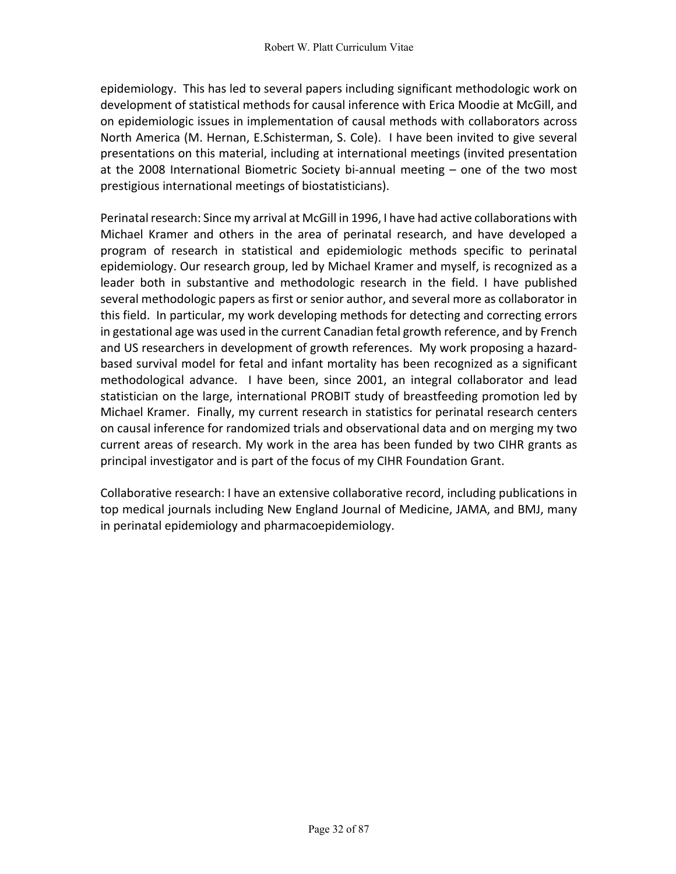epidemiology. This has led to several papers including significant methodologic work on development of statistical methods for causal inference with Erica Moodie at McGill, and on epidemiologic issues in implementation of causal methods with collaborators across North America (M. Hernan, E.Schisterman, S. Cole). I have been invited to give several presentations on this material, including at international meetings (invited presentation at the 2008 International Biometric Society bi-annual meeting – one of the two most prestigious international meetings of biostatisticians).

Perinatal research: Since my arrival at McGill in 1996, I have had active collaborations with Michael Kramer and others in the area of perinatal research, and have developed a program of research in statistical and epidemiologic methods specific to perinatal epidemiology. Our research group, led by Michael Kramer and myself, is recognized as a leader both in substantive and methodologic research in the field. I have published several methodologic papers as first or senior author, and several more as collaborator in this field. In particular, my work developing methods for detecting and correcting errors in gestational age was used in the current Canadian fetal growth reference, and by French and US researchers in development of growth references. My work proposing a hazardbased survival model for fetal and infant mortality has been recognized as a significant methodological advance. I have been, since 2001, an integral collaborator and lead statistician on the large, international PROBIT study of breastfeeding promotion led by Michael Kramer. Finally, my current research in statistics for perinatal research centers on causal inference for randomized trials and observational data and on merging my two current areas of research. My work in the area has been funded by two CIHR grants as principal investigator and is part of the focus of my CIHR Foundation Grant.

Collaborative research: I have an extensive collaborative record, including publications in top medical journals including New England Journal of Medicine, JAMA, and BMJ, many in perinatal epidemiology and pharmacoepidemiology.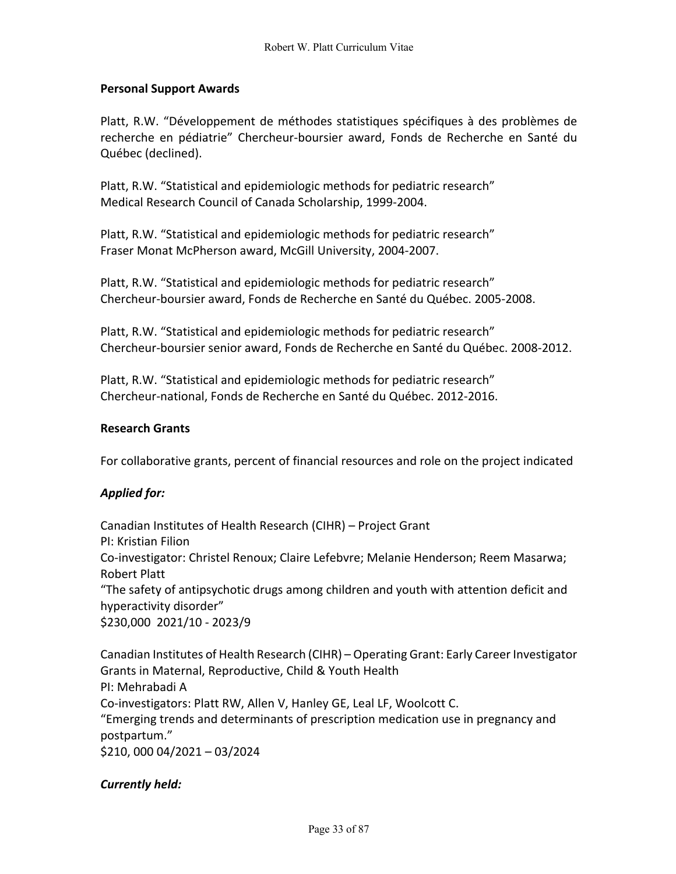## **Personal Support Awards**

Platt, R.W. "Développement de méthodes statistiques spécifiques à des problèmes de recherche en pédiatrie" Chercheur-boursier award, Fonds de Recherche en Santé du Québec (declined).

Platt, R.W. "Statistical and epidemiologic methods for pediatric research" Medical Research Council of Canada Scholarship, 1999-2004.

Platt, R.W. "Statistical and epidemiologic methods for pediatric research" Fraser Monat McPherson award, McGill University, 2004-2007.

Platt, R.W. "Statistical and epidemiologic methods for pediatric research" Chercheur-boursier award, Fonds de Recherche en Santé du Québec. 2005-2008.

Platt, R.W. "Statistical and epidemiologic methods for pediatric research" Chercheur-boursier senior award, Fonds de Recherche en Santé du Québec. 2008-2012.

Platt, R.W. "Statistical and epidemiologic methods for pediatric research" Chercheur-national, Fonds de Recherche en Santé du Québec. 2012-2016.

#### **Research Grants**

For collaborative grants, percent of financial resources and role on the project indicated

#### *Applied for:*

Canadian Institutes of Health Research (CIHR) – Project Grant PI: Kristian Filion Co-investigator: Christel Renoux; Claire Lefebvre; Melanie Henderson; Reem Masarwa; Robert Platt "The safety of antipsychotic drugs among children and youth with attention deficit and hyperactivity disorder" \$230,000 2021/10 - 2023/9

Canadian Institutes of Health Research (CIHR) – Operating Grant: Early Career Investigator Grants in Maternal, Reproductive, Child & Youth Health PI: Mehrabadi A Co-investigators: Platt RW, Allen V, Hanley GE, Leal LF, Woolcott C. "Emerging trends and determinants of prescription medication use in pregnancy and postpartum." \$210, 000 04/2021 – 03/2024

#### *Currently held:*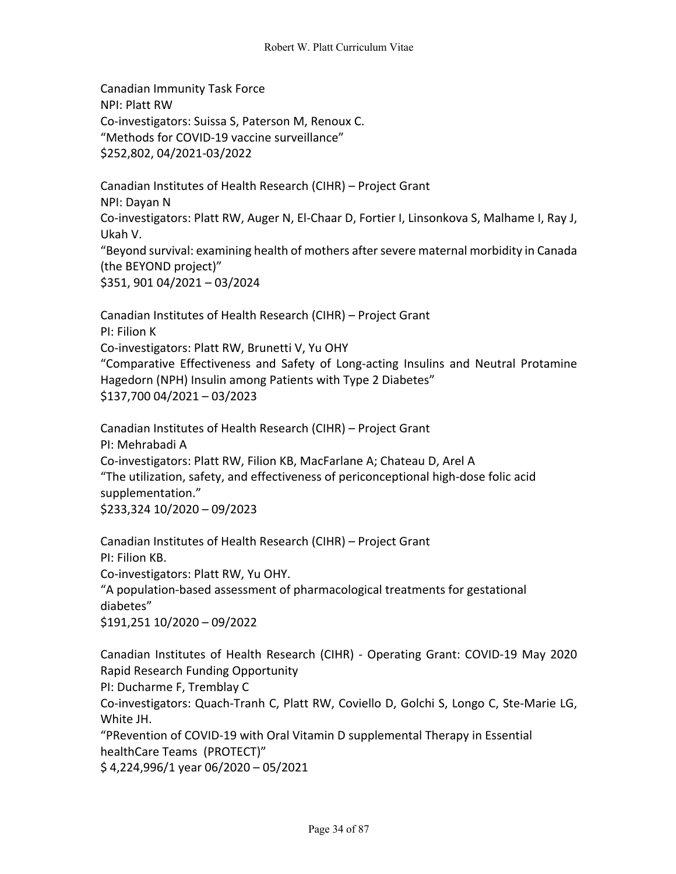Canadian Immunity Task Force NPI: Platt RW Co-investigators: Suissa S, Paterson M, Renoux C. "Methods for COVID-19 vaccine surveillance" \$252,802, 04/2021-03/2022

Canadian Institutes of Health Research (CIHR) – Project Grant NPI: Dayan N Co-investigators: Platt RW, Auger N, El-Chaar D, Fortier I, Linsonkova S, Malhame I, Ray J, Ukah V. "Beyond survival: examining health of mothers after severe maternal morbidity in Canada (the BEYOND project)" \$351, 901 04/2021 – 03/2024

Canadian Institutes of Health Research (CIHR) – Project Grant PI: Filion K Co-investigators: Platt RW, Brunetti V, Yu OHY "Comparative Effectiveness and Safety of Long-acting Insulins and Neutral Protamine Hagedorn (NPH) Insulin among Patients with Type 2 Diabetes" \$137,700 04/2021 – 03/2023

Canadian Institutes of Health Research (CIHR) – Project Grant PI: Mehrabadi A Co-investigators: Platt RW, Filion KB, MacFarlane A; Chateau D, Arel A "The utilization, safety, and effectiveness of periconceptional high-dose folic acid supplementation." \$233,324 10/2020 – 09/2023

Canadian Institutes of Health Research (CIHR) – Project Grant PI: Filion KB. Co-investigators: Platt RW, Yu OHY. "A population-based assessment of pharmacological treatments for gestational diabetes" \$191,251 10/2020 – 09/2022

Canadian Institutes of Health Research (CIHR) - Operating Grant: COVID-19 May 2020 Rapid Research Funding Opportunity PI: Ducharme F, Tremblay C Co-investigators: Quach-Tranh C, Platt RW, Coviello D, Golchi S, Longo C, Ste-Marie LG,

White JH. "PRevention of COVID-19 with Oral Vitamin D supplemental Therapy in Essential healthCare Teams (PROTECT)"

\$ 4,224,996/1 year 06/2020 – 05/2021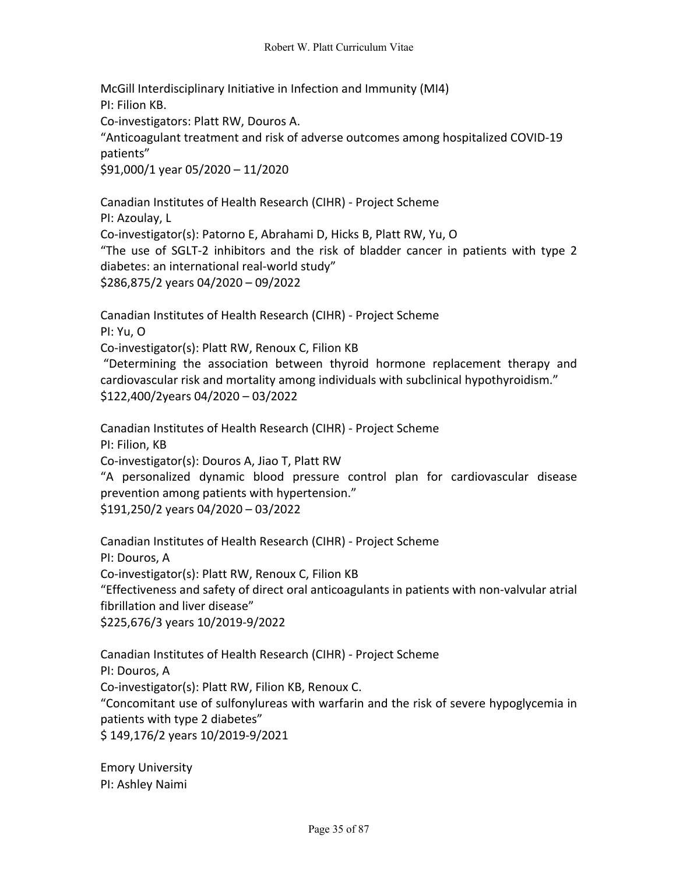McGill Interdisciplinary Initiative in Infection and Immunity (MI4) PI: Filion KB. Co-investigators: Platt RW, Douros A. "Anticoagulant treatment and risk of adverse outcomes among hospitalized COVID-19 patients" \$91,000/1 year 05/2020 – 11/2020

Canadian Institutes of Health Research (CIHR) - Project Scheme PI: Azoulay, L Co-investigator(s): Patorno E, Abrahami D, Hicks B, Platt RW, Yu, O "The use of SGLT-2 inhibitors and the risk of bladder cancer in patients with type 2 diabetes: an international real-world study" \$286,875/2 years 04/2020 – 09/2022

Canadian Institutes of Health Research (CIHR) - Project Scheme

PI: Yu, O

Co-investigator(s): Platt RW, Renoux C, Filion KB

"Determining the association between thyroid hormone replacement therapy and cardiovascular risk and mortality among individuals with subclinical hypothyroidism." \$122,400/2years 04/2020 – 03/2022

Canadian Institutes of Health Research (CIHR) - Project Scheme PI: Filion, KB

Co-investigator(s): Douros A, Jiao T, Platt RW

"A personalized dynamic blood pressure control plan for cardiovascular disease prevention among patients with hypertension."

\$191,250/2 years 04/2020 – 03/2022

Canadian Institutes of Health Research (CIHR) - Project Scheme PI: Douros, A Co-investigator(s): Platt RW, Renoux C, Filion KB "Effectiveness and safety of direct oral anticoagulants in patients with non-valvular atrial fibrillation and liver disease" \$225,676/3 years 10/2019-9/2022

Canadian Institutes of Health Research (CIHR) - Project Scheme PI: Douros, A Co-investigator(s): Platt RW, Filion KB, Renoux C. "Concomitant use of sulfonylureas with warfarin and the risk of severe hypoglycemia in patients with type 2 diabetes" \$ 149,176/2 years 10/2019-9/2021

Emory University PI: Ashley Naimi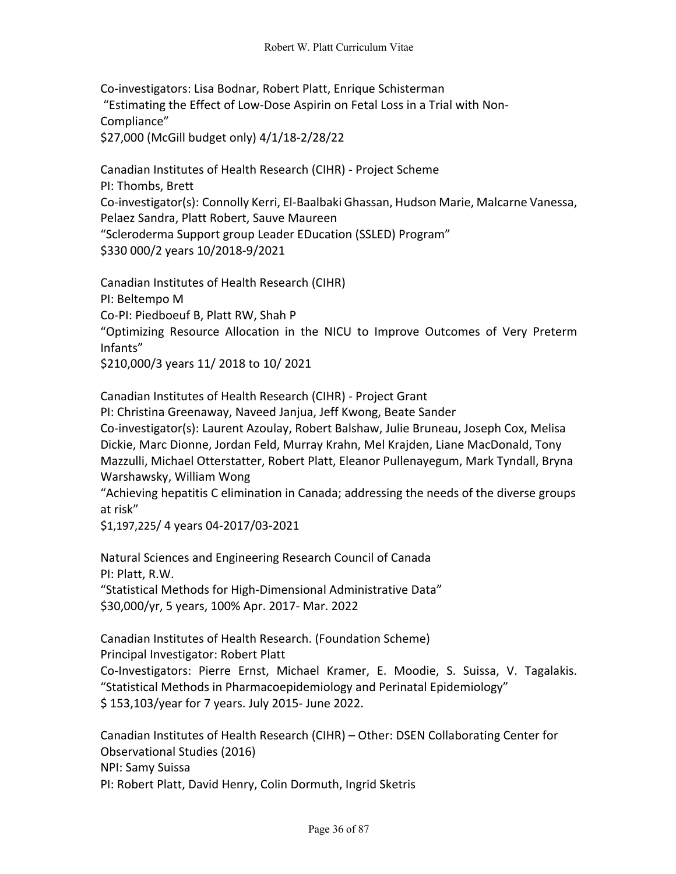Co-investigators: Lisa Bodnar, Robert Platt, Enrique Schisterman "Estimating the Effect of Low-Dose Aspirin on Fetal Loss in a Trial with Non-Compliance" \$27,000 (McGill budget only) 4/1/18-2/28/22

Canadian Institutes of Health Research (CIHR) - Project Scheme PI: Thombs, Brett Co-investigator(s): Connolly Kerri, El-Baalbaki Ghassan, Hudson Marie, Malcarne Vanessa, Pelaez Sandra, Platt Robert, Sauve Maureen "Scleroderma Support group Leader EDucation (SSLED) Program" \$330 000/2 years 10/2018-9/2021

Canadian Institutes of Health Research (CIHR) PI: Beltempo M Co-PI: Piedboeuf B, Platt RW, Shah P "Optimizing Resource Allocation in the NICU to Improve Outcomes of Very Preterm Infants" \$210,000/3 years 11/ 2018 to 10/ 2021

Canadian Institutes of Health Research (CIHR) - Project Grant PI: Christina Greenaway, Naveed Janjua, Jeff Kwong, Beate Sander Co-investigator(s): Laurent Azoulay, Robert Balshaw, Julie Bruneau, Joseph Cox, Melisa Dickie, Marc Dionne, Jordan Feld, Murray Krahn, Mel Krajden, Liane MacDonald, Tony Mazzulli, Michael Otterstatter, Robert Platt, Eleanor Pullenayegum, Mark Tyndall, Bryna Warshawsky, William Wong

"Achieving hepatitis C elimination in Canada; addressing the needs of the diverse groups at risk"

\$1,197,225/ 4 years 04-2017/03-2021

Natural Sciences and Engineering Research Council of Canada PI: Platt, R.W. "Statistical Methods for High-Dimensional Administrative Data" \$30,000/yr, 5 years, 100% Apr. 2017- Mar. 2022

Canadian Institutes of Health Research. (Foundation Scheme) Principal Investigator: Robert Platt Co-Investigators: Pierre Ernst, Michael Kramer, E. Moodie, S. Suissa, V. Tagalakis. "Statistical Methods in Pharmacoepidemiology and Perinatal Epidemiology" \$ 153,103/year for 7 years. July 2015- June 2022.

Canadian Institutes of Health Research (CIHR) – Other: DSEN Collaborating Center for Observational Studies (2016) NPI: Samy Suissa PI: Robert Platt, David Henry, Colin Dormuth, Ingrid Sketris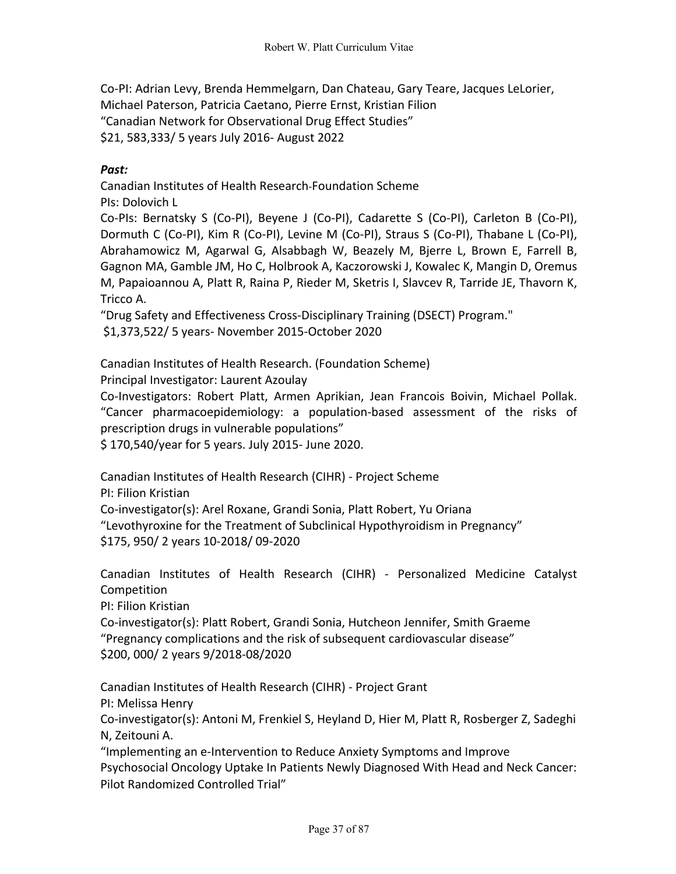Co-PI: Adrian Levy, Brenda Hemmelgarn, Dan Chateau, Gary Teare, Jacques LeLorier, Michael Paterson, Patricia Caetano, Pierre Ernst, Kristian Filion "Canadian Network for Observational Drug Effect Studies" \$21, 583,333/ 5 years July 2016- August 2022

## *Past:*

Canadian Institutes of Health Research-Foundation Scheme PIs: Dolovich L

Co-PIs: Bernatsky S (Co-PI), Beyene J (Co-PI), Cadarette S (Co-PI), Carleton B (Co-PI), Dormuth C (Co-PI), Kim R (Co-PI), Levine M (Co-PI), Straus S (Co-PI), Thabane L (Co-PI), Abrahamowicz M, Agarwal G, Alsabbagh W, Beazely M, Bjerre L, Brown E, Farrell B, Gagnon MA, Gamble JM, Ho C, Holbrook A, Kaczorowski J, Kowalec K, Mangin D, Oremus M, Papaioannou A, Platt R, Raina P, Rieder M, Sketris I, Slavcev R, Tarride JE, Thavorn K, Tricco A.

"Drug Safety and Effectiveness Cross-Disciplinary Training (DSECT) Program."

\$1,373,522/ 5 years- November 2015-October 2020

Canadian Institutes of Health Research. (Foundation Scheme)

Principal Investigator: Laurent Azoulay

Co-Investigators: Robert Platt, Armen Aprikian, Jean Francois Boivin, Michael Pollak. "Cancer pharmacoepidemiology: a population-based assessment of the risks of prescription drugs in vulnerable populations"

\$ 170,540/year for 5 years. July 2015- June 2020.

Canadian Institutes of Health Research (CIHR) - Project Scheme

PI: Filion Kristian

Co-investigator(s): Arel Roxane, Grandi Sonia, Platt Robert, Yu Oriana "Levothyroxine for the Treatment of Subclinical Hypothyroidism in Pregnancy" \$175, 950/ 2 years 10-2018/ 09-2020

Canadian Institutes of Health Research (CIHR) - Personalized Medicine Catalyst Competition

PI: Filion Kristian

Co-investigator(s): Platt Robert, Grandi Sonia, Hutcheon Jennifer, Smith Graeme "Pregnancy complications and the risk of subsequent cardiovascular disease" \$200, 000/ 2 years 9/2018-08/2020

Canadian Institutes of Health Research (CIHR) - Project Grant

PI: Melissa Henry

Co-investigator(s): Antoni M, Frenkiel S, Heyland D, Hier M, Platt R, Rosberger Z, Sadeghi N, Zeitouni A.

"Implementing an e-Intervention to Reduce Anxiety Symptoms and Improve Psychosocial Oncology Uptake In Patients Newly Diagnosed With Head and Neck Cancer: Pilot Randomized Controlled Trial"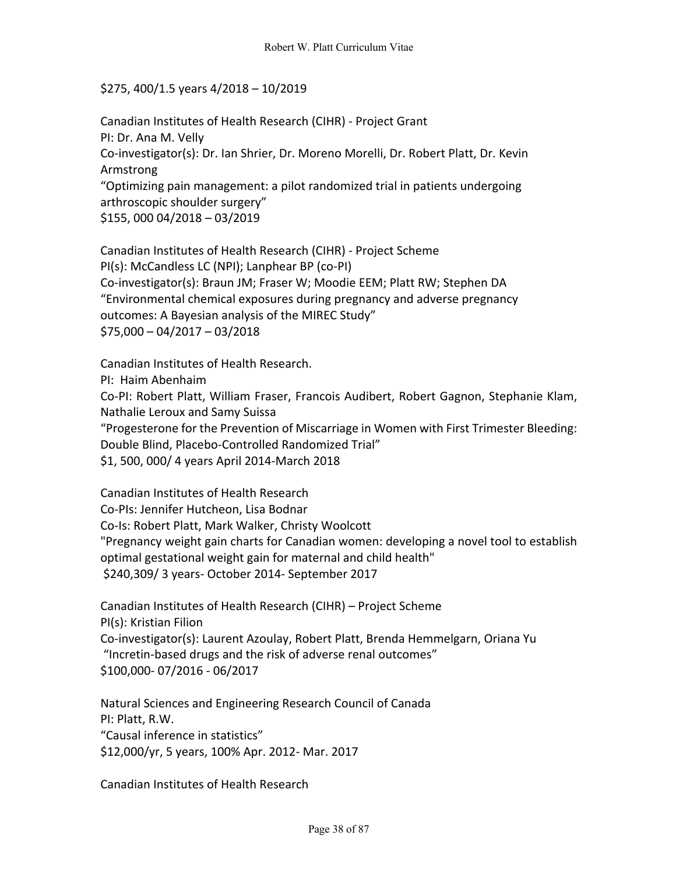## \$275, 400/1.5 years 4/2018 – 10/2019

Canadian Institutes of Health Research (CIHR) - Project Grant PI: Dr. Ana M. Velly Co-investigator(s): Dr. Ian Shrier, Dr. Moreno Morelli, Dr. Robert Platt, Dr. Kevin Armstrong "Optimizing pain management: a pilot randomized trial in patients undergoing arthroscopic shoulder surgery" \$155, 000 04/2018 – 03/2019

Canadian Institutes of Health Research (CIHR) - Project Scheme PI(s): McCandless LC (NPI); Lanphear BP (co-PI) Co-investigator(s): Braun JM; Fraser W; Moodie EEM; Platt RW; Stephen DA "Environmental chemical exposures during pregnancy and adverse pregnancy outcomes: A Bayesian analysis of the MIREC Study" \$75,000 – 04/2017 – 03/2018

Canadian Institutes of Health Research.

PI: Haim Abenhaim

Co-PI: Robert Platt, William Fraser, Francois Audibert, Robert Gagnon, Stephanie Klam, Nathalie Leroux and Samy Suissa

"Progesterone for the Prevention of Miscarriage in Women with First Trimester Bleeding: Double Blind, Placebo-Controlled Randomized Trial"

\$1, 500, 000/ 4 years April 2014-March 2018

Canadian Institutes of Health Research Co-PIs: Jennifer Hutcheon, Lisa Bodnar Co-Is: Robert Platt, Mark Walker, Christy Woolcott "Pregnancy weight gain charts for Canadian women: developing a novel tool to establish optimal gestational weight gain for maternal and child health" \$240,309/ 3 years- October 2014- September 2017

Canadian Institutes of Health Research (CIHR) – Project Scheme PI(s): Kristian Filion Co-investigator(s): Laurent Azoulay, Robert Platt, Brenda Hemmelgarn, Oriana Yu "Incretin-based drugs and the risk of adverse renal outcomes" \$100,000- 07/2016 - 06/2017

Natural Sciences and Engineering Research Council of Canada PI: Platt, R.W. "Causal inference in statistics" \$12,000/yr, 5 years, 100% Apr. 2012- Mar. 2017

Canadian Institutes of Health Research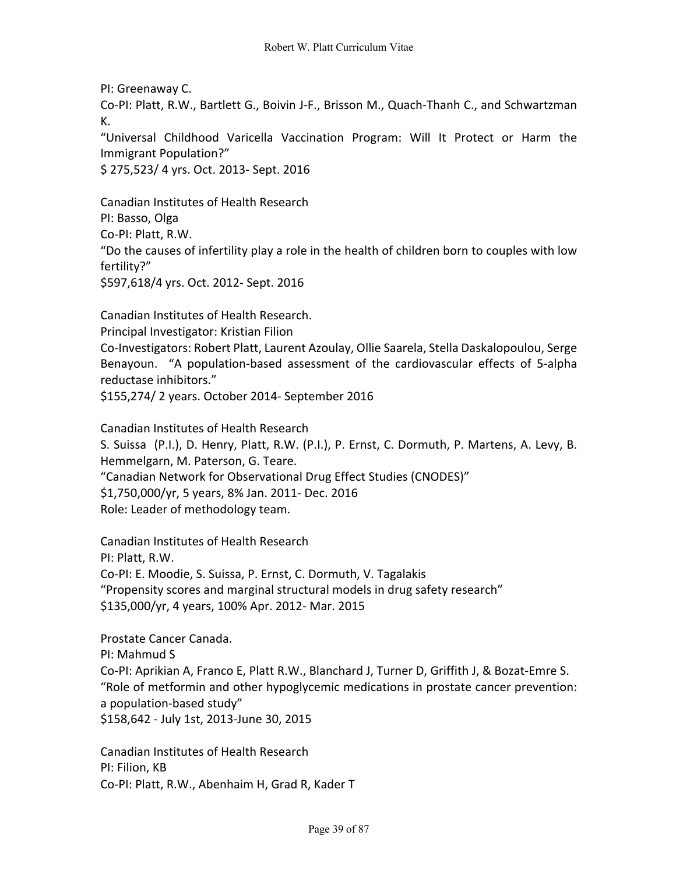PI: Greenaway C. Co-PI: Platt, R.W., Bartlett G., Boivin J-F., Brisson M., Quach-Thanh C., and Schwartzman K. "Universal Childhood Varicella Vaccination Program: Will It Protect or Harm the Immigrant Population?"

\$ 275,523/ 4 yrs. Oct. 2013- Sept. 2016

Canadian Institutes of Health Research PI: Basso, Olga Co-PI: Platt, R.W. "Do the causes of infertility play a role in the health of children born to couples with low fertility?" \$597,618/4 yrs. Oct. 2012- Sept. 2016

Canadian Institutes of Health Research. Principal Investigator: Kristian Filion Co-Investigators: Robert Platt, Laurent Azoulay, Ollie Saarela, Stella Daskalopoulou, Serge Benayoun. "A population-based assessment of the cardiovascular effects of 5-alpha reductase inhibitors." \$155,274/ 2 years. October 2014- September 2016

Canadian Institutes of Health Research S. Suissa (P.I.), D. Henry, Platt, R.W. (P.I.), P. Ernst, C. Dormuth, P. Martens, A. Levy, B. Hemmelgarn, M. Paterson, G. Teare. "Canadian Network for Observational Drug Effect Studies (CNODES)" \$1,750,000/yr, 5 years, 8% Jan. 2011- Dec. 2016 Role: Leader of methodology team.

Canadian Institutes of Health Research PI: Platt, R.W. Co-PI: E. Moodie, S. Suissa, P. Ernst, C. Dormuth, V. Tagalakis "Propensity scores and marginal structural models in drug safety research" \$135,000/yr, 4 years, 100% Apr. 2012- Mar. 2015

Prostate Cancer Canada. PI: Mahmud S Co-PI: Aprikian A, Franco E, Platt R.W., Blanchard J, Turner D, Griffith J, & Bozat-Emre S. "Role of metformin and other hypoglycemic medications in prostate cancer prevention: a population-based study" \$158,642 - July 1st, 2013-June 30, 2015

Canadian Institutes of Health Research PI: Filion, KB Co-PI: Platt, R.W., Abenhaim H, Grad R, Kader T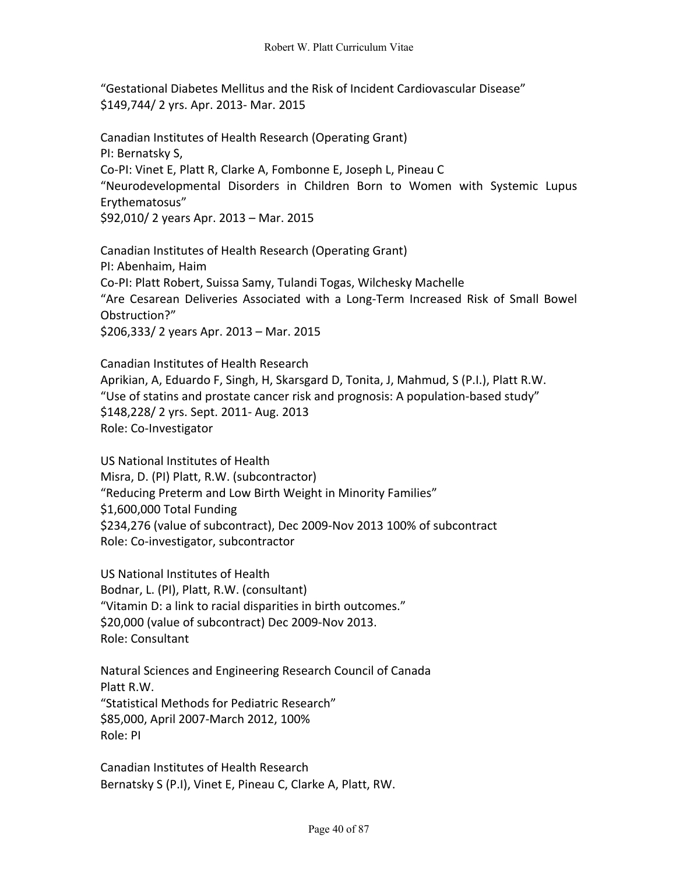"Gestational Diabetes Mellitus and the Risk of Incident Cardiovascular Disease" \$149,744/ 2 yrs. Apr. 2013- Mar. 2015

Canadian Institutes of Health Research (Operating Grant) PI: Bernatsky S, Co-PI: Vinet E, Platt R, Clarke A, Fombonne E, Joseph L, Pineau C "Neurodevelopmental Disorders in Children Born to Women with Systemic Lupus Erythematosus" \$92,010/ 2 years Apr. 2013 – Mar. 2015

Canadian Institutes of Health Research (Operating Grant) PI: Abenhaim, Haim Co-PI: Platt Robert, Suissa Samy, Tulandi Togas, Wilchesky Machelle "Are Cesarean Deliveries Associated with a Long-Term Increased Risk of Small Bowel Obstruction?" \$206,333/ 2 years Apr. 2013 – Mar. 2015

Canadian Institutes of Health Research Aprikian, A, Eduardo F, Singh, H, Skarsgard D, Tonita, J, Mahmud, S (P.I.), Platt R.W. "Use of statins and prostate cancer risk and prognosis: A population-based study" \$148,228/ 2 yrs. Sept. 2011- Aug. 2013 Role: Co-Investigator

US National Institutes of Health Misra, D. (PI) Platt, R.W. (subcontractor) "Reducing Preterm and Low Birth Weight in Minority Families" \$1,600,000 Total Funding \$234,276 (value of subcontract), Dec 2009-Nov 2013 100% of subcontract Role: Co-investigator, subcontractor

US National Institutes of Health Bodnar, L. (PI), Platt, R.W. (consultant) "Vitamin D: a link to racial disparities in birth outcomes." \$20,000 (value of subcontract) Dec 2009-Nov 2013. Role: Consultant

Natural Sciences and Engineering Research Council of Canada Platt R.W. "Statistical Methods for Pediatric Research" \$85,000, April 2007-March 2012, 100% Role: PI

Canadian Institutes of Health Research Bernatsky S (P.I), Vinet E, Pineau C, Clarke A, Platt, RW.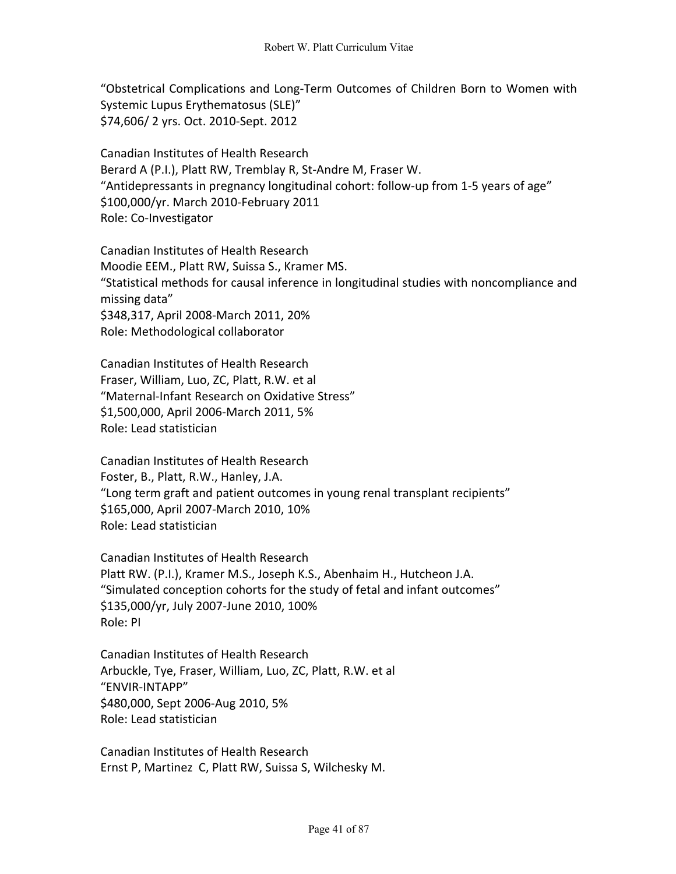"Obstetrical Complications and Long-Term Outcomes of Children Born to Women with Systemic Lupus Erythematosus (SLE)" \$74,606/ 2 yrs. Oct. 2010-Sept. 2012

Canadian Institutes of Health Research Berard A (P.I.), Platt RW, Tremblay R, St-Andre M, Fraser W. "Antidepressants in pregnancy longitudinal cohort: follow-up from 1-5 years of age" \$100,000/yr. March 2010-February 2011 Role: Co-Investigator

Canadian Institutes of Health Research Moodie EEM., Platt RW, Suissa S., Kramer MS. "Statistical methods for causal inference in longitudinal studies with noncompliance and missing data" \$348,317, April 2008-March 2011, 20% Role: Methodological collaborator

Canadian Institutes of Health Research Fraser, William, Luo, ZC, Platt, R.W. et al "Maternal-Infant Research on Oxidative Stress" \$1,500,000, April 2006-March 2011, 5% Role: Lead statistician

Canadian Institutes of Health Research Foster, B., Platt, R.W., Hanley, J.A. "Long term graft and patient outcomes in young renal transplant recipients" \$165,000, April 2007-March 2010, 10% Role: Lead statistician

Canadian Institutes of Health Research Platt RW. (P.I.), Kramer M.S., Joseph K.S., Abenhaim H., Hutcheon J.A. "Simulated conception cohorts for the study of fetal and infant outcomes" \$135,000/yr, July 2007-June 2010, 100% Role: PI

Canadian Institutes of Health Research Arbuckle, Tye, Fraser, William, Luo, ZC, Platt, R.W. et al "ENVIR-INTAPP" \$480,000, Sept 2006-Aug 2010, 5% Role: Lead statistician

Canadian Institutes of Health Research Ernst P, Martinez C, Platt RW, Suissa S, Wilchesky M.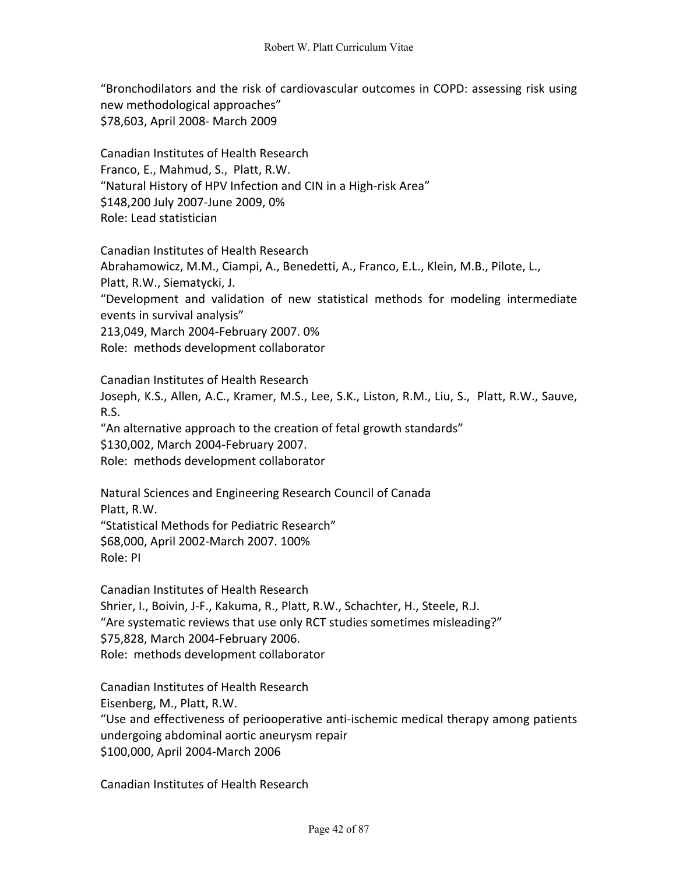"Bronchodilators and the risk of cardiovascular outcomes in COPD: assessing risk using new methodological approaches" \$78,603, April 2008- March 2009

Canadian Institutes of Health Research Franco, E., Mahmud, S., Platt, R.W. "Natural History of HPV Infection and CIN in a High-risk Area" \$148,200 July 2007-June 2009, 0% Role: Lead statistician

Canadian Institutes of Health Research Abrahamowicz, M.M., Ciampi, A., Benedetti, A., Franco, E.L., Klein, M.B., Pilote, L., Platt, R.W., Siematycki, J. "Development and validation of new statistical methods for modeling intermediate events in survival analysis" 213,049, March 2004-February 2007. 0% Role: methods development collaborator

Canadian Institutes of Health Research Joseph, K.S., Allen, A.C., Kramer, M.S., Lee, S.K., Liston, R.M., Liu, S., Platt, R.W., Sauve, R.S. "An alternative approach to the creation of fetal growth standards"

\$130,002, March 2004-February 2007.

Role: methods development collaborator

Natural Sciences and Engineering Research Council of Canada Platt, R.W. "Statistical Methods for Pediatric Research" \$68,000, April 2002-March 2007. 100% Role: PI

Canadian Institutes of Health Research Shrier, I., Boivin, J-F., Kakuma, R., Platt, R.W., Schachter, H., Steele, R.J. "Are systematic reviews that use only RCT studies sometimes misleading?" \$75,828, March 2004-February 2006. Role: methods development collaborator

Canadian Institutes of Health Research Eisenberg, M., Platt, R.W. "Use and effectiveness of periooperative anti-ischemic medical therapy among patients undergoing abdominal aortic aneurysm repair \$100,000, April 2004-March 2006

Canadian Institutes of Health Research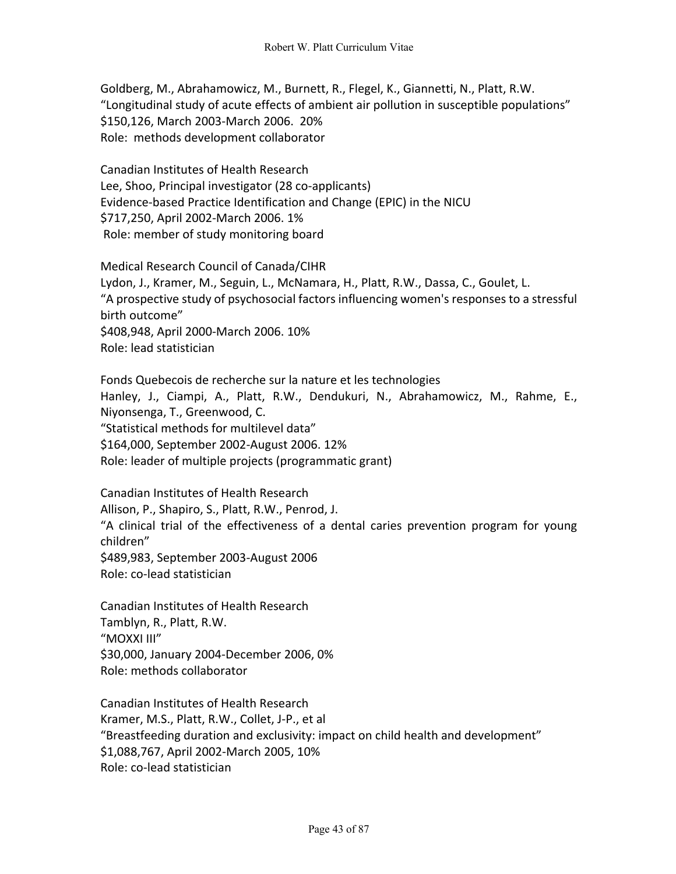Goldberg, M., Abrahamowicz, M., Burnett, R., Flegel, K., Giannetti, N., Platt, R.W. "Longitudinal study of acute effects of ambient air pollution in susceptible populations" \$150,126, March 2003-March 2006. 20% Role: methods development collaborator

Canadian Institutes of Health Research Lee, Shoo, Principal investigator (28 co-applicants) Evidence-based Practice Identification and Change (EPIC) in the NICU \$717,250, April 2002-March 2006. 1% Role: member of study monitoring board

Medical Research Council of Canada/CIHR Lydon, J., Kramer, M., Seguin, L., McNamara, H., Platt, R.W., Dassa, C., Goulet, L. "A prospective study of psychosocial factors influencing women's responses to a stressful birth outcome" \$408,948, April 2000-March 2006. 10% Role: lead statistician

Fonds Quebecois de recherche sur la nature et les technologies Hanley, J., Ciampi, A., Platt, R.W., Dendukuri, N., Abrahamowicz, M., Rahme, E., Niyonsenga, T., Greenwood, C. "Statistical methods for multilevel data" \$164,000, September 2002-August 2006. 12% Role: leader of multiple projects (programmatic grant)

Canadian Institutes of Health Research Allison, P., Shapiro, S., Platt, R.W., Penrod, J. "A clinical trial of the effectiveness of a dental caries prevention program for young children" \$489,983, September 2003-August 2006 Role: co-lead statistician

Canadian Institutes of Health Research Tamblyn, R., Platt, R.W. "MOXXI III" \$30,000, January 2004-December 2006, 0% Role: methods collaborator

Canadian Institutes of Health Research Kramer, M.S., Platt, R.W., Collet, J-P., et al "Breastfeeding duration and exclusivity: impact on child health and development" \$1,088,767, April 2002-March 2005, 10% Role: co-lead statistician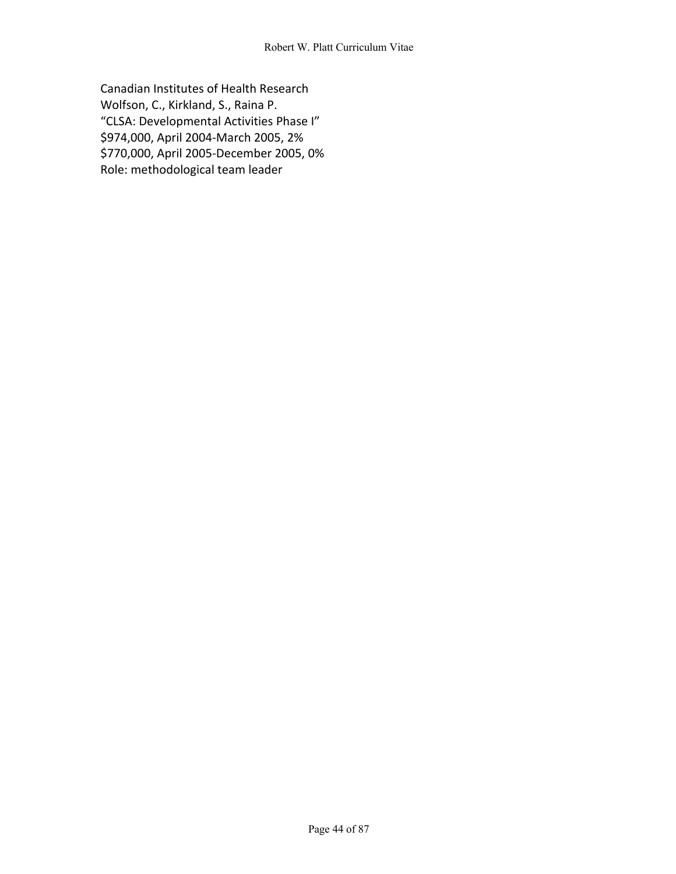Canadian Institutes of Health Research Wolfson, C., Kirkland, S., Raina P. "CLSA: Developmental Activities Phase I" \$974,000, April 2004-March 2005, 2% \$770,000, April 2005-December 2005, 0% Role: methodological team leader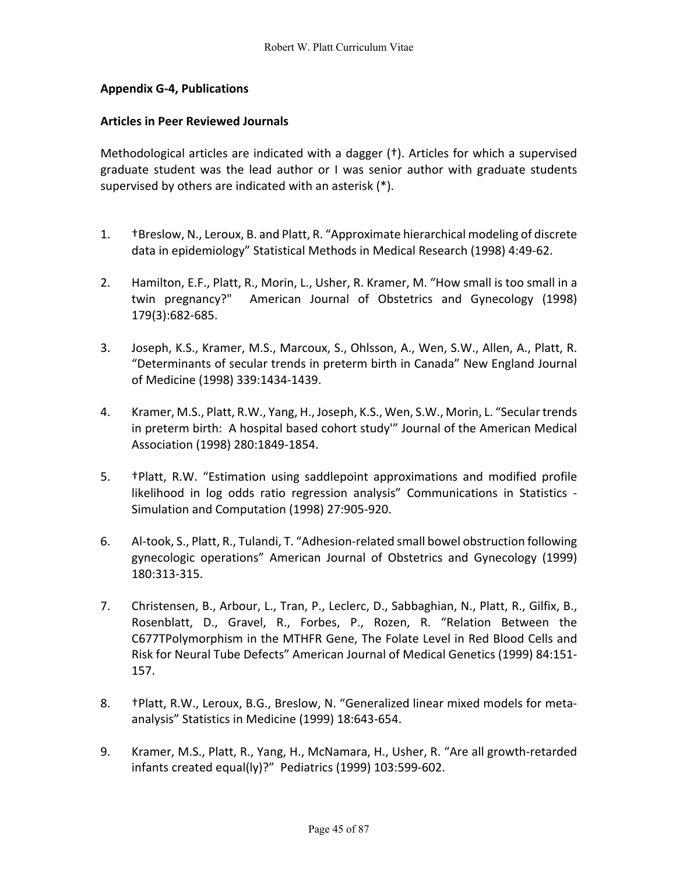## **Appendix G-4, Publications**

## **Articles in Peer Reviewed Journals**

Methodological articles are indicated with a dagger (†). Articles for which a supervised graduate student was the lead author or I was senior author with graduate students supervised by others are indicated with an asterisk (\*).

- 1. †Breslow, N., Leroux, B. and Platt, R. "Approximate hierarchical modeling of discrete data in epidemiology" Statistical Methods in Medical Research (1998) 4:49-62.
- 2. Hamilton, E.F., Platt, R., Morin, L., Usher, R. Kramer, M. "How small is too small in a twin pregnancy?" American Journal of Obstetrics and Gynecology (1998) 179(3):682-685.
- 3. Joseph, K.S., Kramer, M.S., Marcoux, S., Ohlsson, A., Wen, S.W., Allen, A., Platt, R. "Determinants of secular trends in preterm birth in Canada" New England Journal of Medicine (1998) 339:1434-1439.
- 4. Kramer, M.S., Platt, R.W., Yang, H., Joseph, K.S., Wen, S.W., Morin, L. "Secular trends in preterm birth: A hospital based cohort study'" Journal of the American Medical Association (1998) 280:1849-1854.
- 5. †Platt, R.W. "Estimation using saddlepoint approximations and modified profile likelihood in log odds ratio regression analysis" Communications in Statistics - Simulation and Computation (1998) 27:905-920.
- 6. Al-took, S., Platt, R., Tulandi, T. "Adhesion-related small bowel obstruction following gynecologic operations" American Journal of Obstetrics and Gynecology (1999) 180:313-315.
- 7. Christensen, B., Arbour, L., Tran, P., Leclerc, D., Sabbaghian, N., Platt, R., Gilfix, B., Rosenblatt, D., Gravel, R., Forbes, P., Rozen, R. "Relation Between the C677TPolymorphism in the MTHFR Gene, The Folate Level in Red Blood Cells and Risk for Neural Tube Defects" American Journal of Medical Genetics (1999) 84:151- 157.
- 8. †Platt, R.W., Leroux, B.G., Breslow, N. "Generalized linear mixed models for metaanalysis" Statistics in Medicine (1999) 18:643-654.
- 9. Kramer, M.S., Platt, R., Yang, H., McNamara, H., Usher, R. "Are all growth-retarded infants created equal(ly)?" Pediatrics (1999) 103:599-602.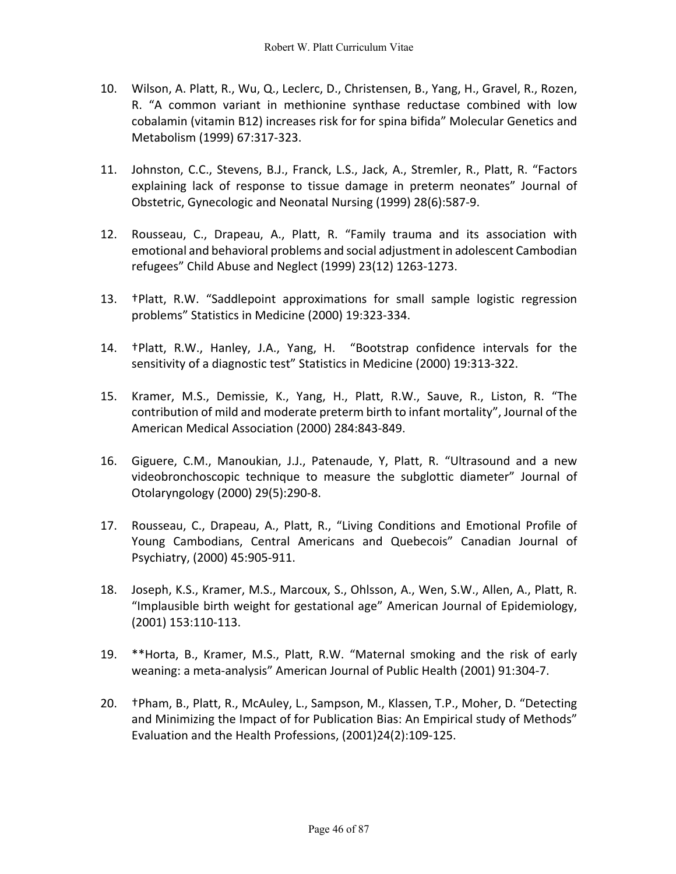- 10. Wilson, A. Platt, R., Wu, Q., Leclerc, D., Christensen, B., Yang, H., Gravel, R., Rozen, R. "A common variant in methionine synthase reductase combined with low cobalamin (vitamin B12) increases risk for for spina bifida" Molecular Genetics and Metabolism (1999) 67:317-323.
- 11. Johnston, C.C., Stevens, B.J., Franck, L.S., Jack, A., Stremler, R., Platt, R. "Factors explaining lack of response to tissue damage in preterm neonates" Journal of Obstetric, Gynecologic and Neonatal Nursing (1999) 28(6):587-9.
- 12. Rousseau, C., Drapeau, A., Platt, R. "Family trauma and its association with emotional and behavioral problems and social adjustment in adolescent Cambodian refugees" Child Abuse and Neglect (1999) 23(12) 1263-1273.
- 13. †Platt, R.W. "Saddlepoint approximations for small sample logistic regression problems" Statistics in Medicine (2000) 19:323-334.
- 14. †Platt, R.W., Hanley, J.A., Yang, H. "Bootstrap confidence intervals for the sensitivity of a diagnostic test" Statistics in Medicine (2000) 19:313-322.
- 15. Kramer, M.S., Demissie, K., Yang, H., Platt, R.W., Sauve, R., Liston, R. "The contribution of mild and moderate preterm birth to infant mortality", Journal of the American Medical Association (2000) 284:843-849.
- 16. Giguere, C.M., Manoukian, J.J., Patenaude, Y, Platt, R. "Ultrasound and a new videobronchoscopic technique to measure the subglottic diameter" Journal of Otolaryngology (2000) 29(5):290-8.
- 17. Rousseau, C., Drapeau, A., Platt, R., "Living Conditions and Emotional Profile of Young Cambodians, Central Americans and Quebecois" Canadian Journal of Psychiatry, (2000) 45:905-911.
- 18. Joseph, K.S., Kramer, M.S., Marcoux, S., Ohlsson, A., Wen, S.W., Allen, A., Platt, R. "Implausible birth weight for gestational age" American Journal of Epidemiology, (2001) 153:110-113.
- 19. \*\*Horta, B., Kramer, M.S., Platt, R.W. "Maternal smoking and the risk of early weaning: a meta-analysis" American Journal of Public Health (2001) 91:304-7.
- 20. †Pham, B., Platt, R., McAuley, L., Sampson, M., Klassen, T.P., Moher, D. "Detecting and Minimizing the Impact of for Publication Bias: An Empirical study of Methods" Evaluation and the Health Professions, (2001)24(2):109-125.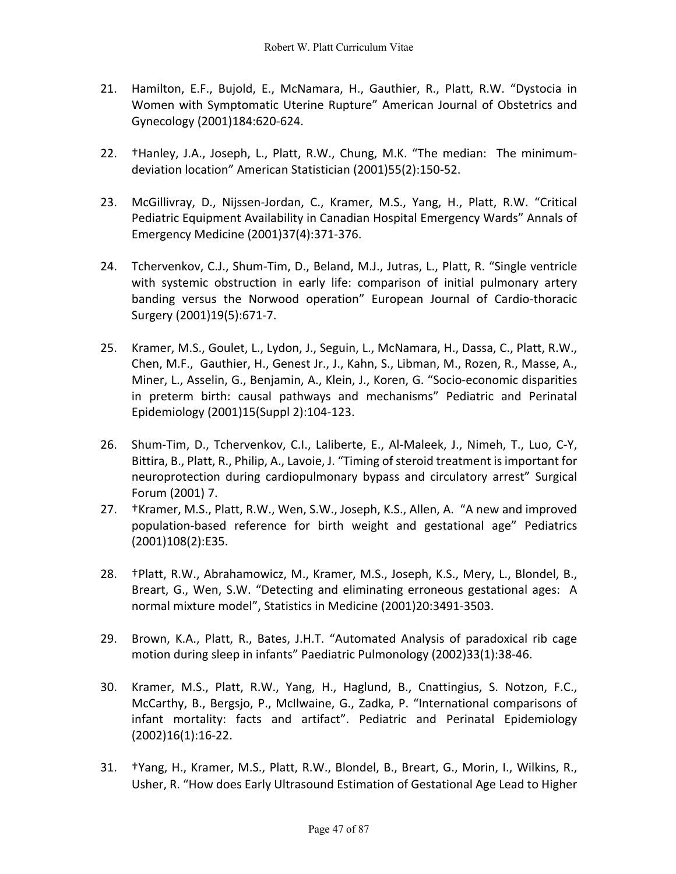- 21. Hamilton, E.F., Bujold, E., McNamara, H., Gauthier, R., Platt, R.W. "Dystocia in Women with Symptomatic Uterine Rupture" American Journal of Obstetrics and Gynecology (2001)184:620-624.
- 22. †Hanley, J.A., Joseph, L., Platt, R.W., Chung, M.K. "The median: The minimumdeviation location" American Statistician (2001)55(2):150-52.
- 23. McGillivray, D., Nijssen-Jordan, C., Kramer, M.S., Yang, H., Platt, R.W. "Critical Pediatric Equipment Availability in Canadian Hospital Emergency Wards" Annals of Emergency Medicine (2001)37(4):371-376.
- 24. Tchervenkov, C.J., Shum-Tim, D., Beland, M.J., Jutras, L., Platt, R. "Single ventricle with systemic obstruction in early life: comparison of initial pulmonary artery banding versus the Norwood operation" European Journal of Cardio-thoracic Surgery (2001)19(5):671-7.
- 25. Kramer, M.S., Goulet, L., Lydon, J., Seguin, L., McNamara, H., Dassa, C., Platt, R.W., Chen, M.F., Gauthier, H., Genest Jr., J., Kahn, S., Libman, M., Rozen, R., Masse, A., Miner, L., Asselin, G., Benjamin, A., Klein, J., Koren, G. "Socio-economic disparities in preterm birth: causal pathways and mechanisms" Pediatric and Perinatal Epidemiology (2001)15(Suppl 2):104-123.
- 26. Shum-Tim, D., Tchervenkov, C.I., Laliberte, E., Al-Maleek, J., Nimeh, T., Luo, C-Y, Bittira, B., Platt, R., Philip, A., Lavoie, J. "Timing of steroid treatment is important for neuroprotection during cardiopulmonary bypass and circulatory arrest" Surgical Forum (2001) 7.
- 27. †Kramer, M.S., Platt, R.W., Wen, S.W., Joseph, K.S., Allen, A. "A new and improved population-based reference for birth weight and gestational age" Pediatrics (2001)108(2):E35.
- 28. †Platt, R.W., Abrahamowicz, M., Kramer, M.S., Joseph, K.S., Mery, L., Blondel, B., Breart, G., Wen, S.W. "Detecting and eliminating erroneous gestational ages: A normal mixture model", Statistics in Medicine (2001)20:3491-3503.
- 29. Brown, K.A., Platt, R., Bates, J.H.T. "Automated Analysis of paradoxical rib cage motion during sleep in infants" Paediatric Pulmonology (2002)33(1):38-46.
- 30. Kramer, M.S., Platt, R.W., Yang, H., Haglund, B., Cnattingius, S. Notzon, F.C., McCarthy, B., Bergsjo, P., McIlwaine, G., Zadka, P. "International comparisons of infant mortality: facts and artifact". Pediatric and Perinatal Epidemiology (2002)16(1):16-22.
- 31. †Yang, H., Kramer, M.S., Platt, R.W., Blondel, B., Breart, G., Morin, I., Wilkins, R., Usher, R. "How does Early Ultrasound Estimation of Gestational Age Lead to Higher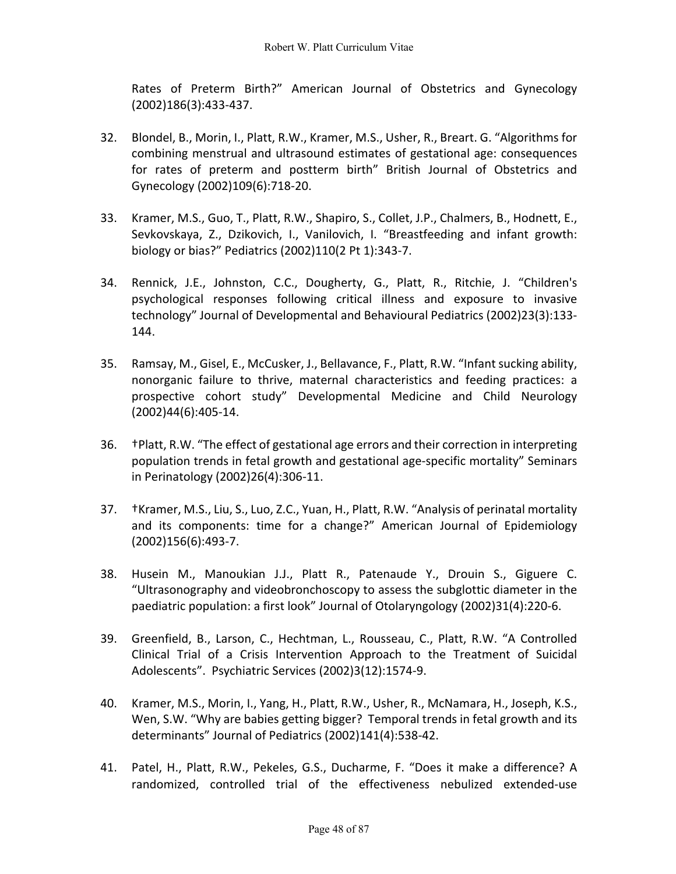Rates of Preterm Birth?" American Journal of Obstetrics and Gynecology (2002)186(3):433-437.

- 32. Blondel, B., Morin, I., Platt, R.W., Kramer, M.S., Usher, R., Breart. G. "Algorithms for combining menstrual and ultrasound estimates of gestational age: consequences for rates of preterm and postterm birth" British Journal of Obstetrics and Gynecology (2002)109(6):718-20.
- 33. Kramer, M.S., Guo, T., Platt, R.W., Shapiro, S., Collet, J.P., Chalmers, B., Hodnett, E., Sevkovskaya, Z., Dzikovich, I., Vanilovich, I. "Breastfeeding and infant growth: biology or bias?" Pediatrics (2002)110(2 Pt 1):343-7.
- 34. Rennick, J.E., Johnston, C.C., Dougherty, G., Platt, R., Ritchie, J. "Children's psychological responses following critical illness and exposure to invasive technology" Journal of Developmental and Behavioural Pediatrics (2002)23(3):133- 144.
- 35. Ramsay, M., Gisel, E., McCusker, J., Bellavance, F., Platt, R.W. "Infant sucking ability, nonorganic failure to thrive, maternal characteristics and feeding practices: a prospective cohort study" Developmental Medicine and Child Neurology (2002)44(6):405-14.
- 36. †Platt, R.W. "The effect of gestational age errors and their correction in interpreting population trends in fetal growth and gestational age-specific mortality" Seminars in Perinatology (2002)26(4):306-11.
- 37. †Kramer, M.S., Liu, S., Luo, Z.C., Yuan, H., Platt, R.W. "Analysis of perinatal mortality and its components: time for a change?" American Journal of Epidemiology (2002)156(6):493-7.
- 38. Husein M., Manoukian J.J., Platt R., Patenaude Y., Drouin S., Giguere C. "Ultrasonography and videobronchoscopy to assess the subglottic diameter in the paediatric population: a first look" Journal of Otolaryngology (2002)31(4):220-6.
- 39. Greenfield, B., Larson, C., Hechtman, L., Rousseau, C., Platt, R.W. "A Controlled Clinical Trial of a Crisis Intervention Approach to the Treatment of Suicidal Adolescents". Psychiatric Services (2002)3(12):1574-9.
- 40. Kramer, M.S., Morin, I., Yang, H., Platt, R.W., Usher, R., McNamara, H., Joseph, K.S., Wen, S.W. "Why are babies getting bigger? Temporal trends in fetal growth and its determinants" Journal of Pediatrics (2002)141(4):538-42.
- 41. Patel, H., Platt, R.W., Pekeles, G.S., Ducharme, F. "Does it make a difference? A randomized, controlled trial of the effectiveness nebulized extended-use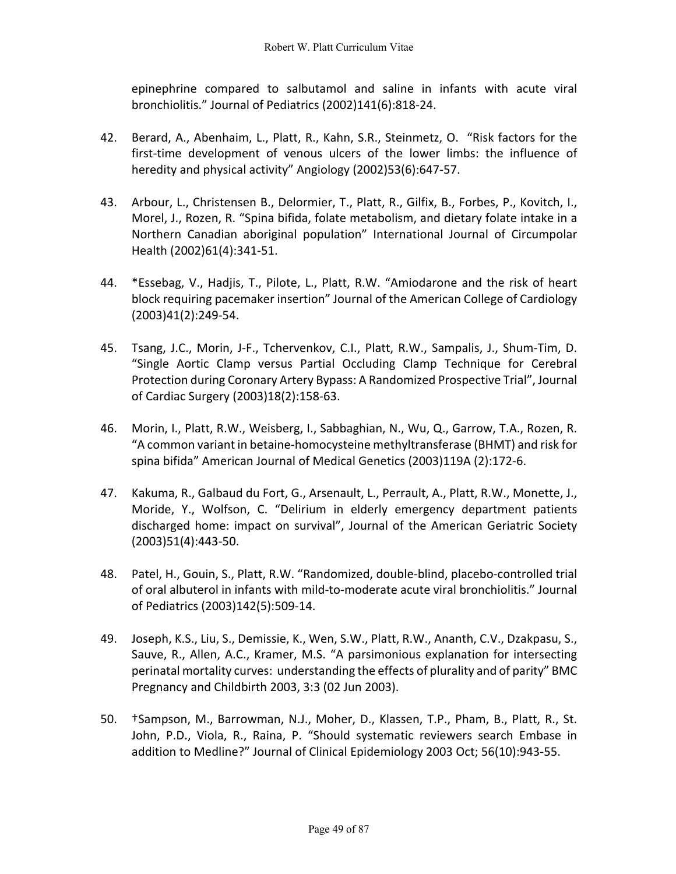epinephrine compared to salbutamol and saline in infants with acute viral bronchiolitis." Journal of Pediatrics (2002)141(6):818-24.

- 42. Berard, A., Abenhaim, L., Platt, R., Kahn, S.R., Steinmetz, O. "Risk factors for the first-time development of venous ulcers of the lower limbs: the influence of heredity and physical activity" Angiology (2002)53(6):647-57.
- 43. Arbour, L., Christensen B., Delormier, T., Platt, R., Gilfix, B., Forbes, P., Kovitch, I., Morel, J., Rozen, R. "Spina bifida, folate metabolism, and dietary folate intake in a Northern Canadian aboriginal population" International Journal of Circumpolar Health (2002)61(4):341-51.
- 44. \*Essebag, V., Hadjis, T., Pilote, L., Platt, R.W. "Amiodarone and the risk of heart block requiring pacemaker insertion" Journal of the American College of Cardiology (2003)41(2):249-54.
- 45. Tsang, J.C., Morin, J-F., Tchervenkov, C.I., Platt, R.W., Sampalis, J., Shum-Tim, D. "Single Aortic Clamp versus Partial Occluding Clamp Technique for Cerebral Protection during Coronary Artery Bypass: A Randomized Prospective Trial", Journal of Cardiac Surgery (2003)18(2):158-63.
- 46. Morin, I., Platt, R.W., Weisberg, I., Sabbaghian, N., Wu, Q., Garrow, T.A., Rozen, R. "A common variant in betaine-homocysteine methyltransferase (BHMT) and risk for spina bifida" American Journal of Medical Genetics (2003)119A (2):172-6.
- 47. Kakuma, R., Galbaud du Fort, G., Arsenault, L., Perrault, A., Platt, R.W., Monette, J., Moride, Y., Wolfson, C. "Delirium in elderly emergency department patients discharged home: impact on survival", Journal of the American Geriatric Society (2003)51(4):443-50.
- 48. Patel, H., Gouin, S., Platt, R.W. "Randomized, double-blind, placebo-controlled trial of oral albuterol in infants with mild-to-moderate acute viral bronchiolitis." Journal of Pediatrics (2003)142(5):509-14.
- 49. Joseph, K.S., Liu, S., Demissie, K., Wen, S.W., Platt, R.W., Ananth, C.V., Dzakpasu, S., Sauve, R., Allen, A.C., Kramer, M.S. "A parsimonious explanation for intersecting perinatal mortality curves: understanding the effects of plurality and of parity" BMC Pregnancy and Childbirth 2003, 3:3 (02 Jun 2003).
- 50. †Sampson, M., Barrowman, N.J., Moher, D., Klassen, T.P., Pham, B., Platt, R., St. John, P.D., Viola, R., Raina, P. "Should systematic reviewers search Embase in addition to Medline?" Journal of Clinical Epidemiology 2003 Oct; 56(10):943-55.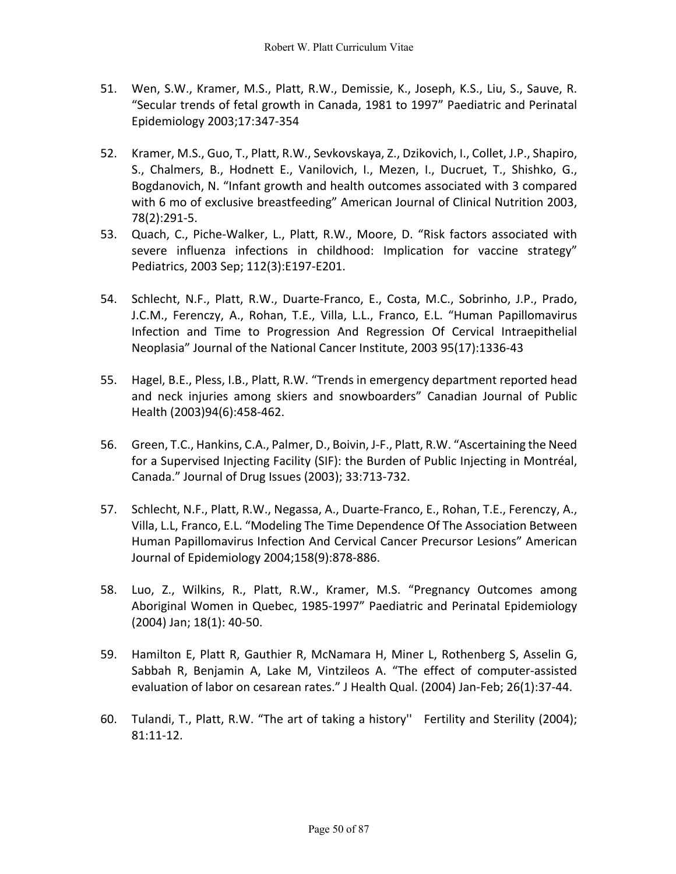- 51. Wen, S.W., Kramer, M.S., Platt, R.W., Demissie, K., Joseph, K.S., Liu, S., Sauve, R. "Secular trends of fetal growth in Canada, 1981 to 1997" Paediatric and Perinatal Epidemiology 2003;17:347-354
- 52. Kramer, M.S., Guo, T., Platt, R.W., Sevkovskaya, Z., Dzikovich, I., Collet, J.P., Shapiro, S., Chalmers, B., Hodnett E., Vanilovich, I., Mezen, I., Ducruet, T., Shishko, G., Bogdanovich, N. "Infant growth and health outcomes associated with 3 compared with 6 mo of exclusive breastfeeding" American Journal of Clinical Nutrition 2003, 78(2):291-5.
- 53. Quach, C., Piche-Walker, L., Platt, R.W., Moore, D. "Risk factors associated with severe influenza infections in childhood: Implication for vaccine strategy" Pediatrics, 2003 Sep; 112(3):E197-E201.
- 54. Schlecht, N.F., Platt, R.W., Duarte-Franco, E., Costa, M.C., Sobrinho, J.P., Prado, J.C.M., Ferenczy, A., Rohan, T.E., Villa, L.L., Franco, E.L. "Human Papillomavirus Infection and Time to Progression And Regression Of Cervical Intraepithelial Neoplasia" Journal of the National Cancer Institute, 2003 95(17):1336-43
- 55. Hagel, B.E., Pless, I.B., Platt, R.W. "Trends in emergency department reported head and neck injuries among skiers and snowboarders" Canadian Journal of Public Health (2003)94(6):458-462.
- 56. Green, T.C., Hankins, C.A., Palmer, D., Boivin, J-F., Platt, R.W. "Ascertaining the Need for a Supervised Injecting Facility (SIF): the Burden of Public Injecting in Montréal, Canada." Journal of Drug Issues (2003); 33:713-732.
- 57. Schlecht, N.F., Platt, R.W., Negassa, A., Duarte-Franco, E., Rohan, T.E., Ferenczy, A., Villa, L.L, Franco, E.L. "Modeling The Time Dependence Of The Association Between Human Papillomavirus Infection And Cervical Cancer Precursor Lesions" American Journal of Epidemiology 2004;158(9):878-886.
- 58. Luo, Z., Wilkins, R., Platt, R.W., Kramer, M.S. "Pregnancy Outcomes among Aboriginal Women in Quebec, 1985-1997" Paediatric and Perinatal Epidemiology (2004) Jan; 18(1): 40-50.
- 59. Hamilton E, Platt R, Gauthier R, McNamara H, Miner L, Rothenberg S, Asselin G, Sabbah R, Benjamin A, Lake M, Vintzileos A. "The effect of computer-assisted evaluation of labor on cesarean rates." J Health Qual. (2004) Jan-Feb; 26(1):37-44.
- 60. Tulandi, T., Platt, R.W. "The art of taking a history'' Fertility and Sterility (2004); 81:11-12.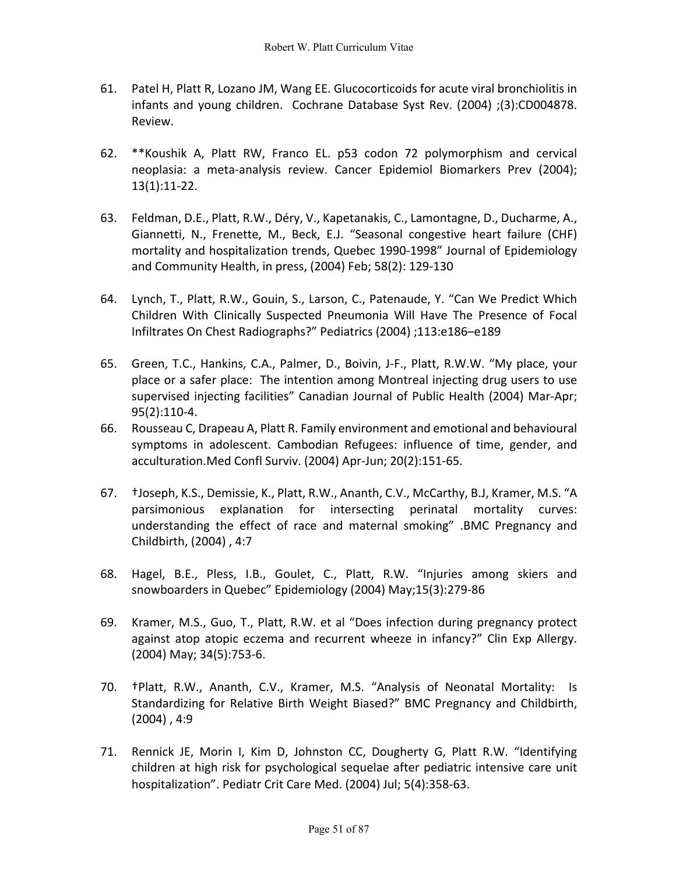- 61. Patel H, Platt R, Lozano JM, Wang EE. Glucocorticoids for acute viral bronchiolitis in infants and young children. Cochrane Database Syst Rev. (2004) ;(3):CD004878. Review.
- 62. \*\*Koushik A, Platt RW, Franco EL. p53 codon 72 polymorphism and cervical neoplasia: a meta-analysis review. Cancer Epidemiol Biomarkers Prev (2004); 13(1):11-22.
- 63. Feldman, D.E., Platt, R.W., Déry, V., Kapetanakis, C., Lamontagne, D., Ducharme, A., Giannetti, N., Frenette, M., Beck, E.J. "Seasonal congestive heart failure (CHF) mortality and hospitalization trends, Quebec 1990-1998" Journal of Epidemiology and Community Health, in press, (2004) Feb; 58(2): 129-130
- 64. Lynch, T., Platt, R.W., Gouin, S., Larson, C., Patenaude, Y. "Can We Predict Which Children With Clinically Suspected Pneumonia Will Have The Presence of Focal Infiltrates On Chest Radiographs?" Pediatrics (2004) ;113:e186–e189
- 65. Green, T.C., Hankins, C.A., Palmer, D., Boivin, J-F., Platt, R.W.W. "My place, your place or a safer place: The intention among Montreal injecting drug users to use supervised injecting facilities" Canadian Journal of Public Health (2004) Mar-Apr; 95(2):110-4.
- 66. Rousseau C, Drapeau A, Platt R. Family environment and emotional and behavioural symptoms in adolescent. Cambodian Refugees: influence of time, gender, and acculturation.Med Confl Surviv. (2004) Apr-Jun; 20(2):151-65.
- 67. †Joseph, K.S., Demissie, K., Platt, R.W., Ananth, C.V., McCarthy, B.J, Kramer, M.S. "A parsimonious explanation for intersecting perinatal mortality curves: understanding the effect of race and maternal smoking" .BMC Pregnancy and Childbirth, (2004) , 4:7
- 68. Hagel, B.E., Pless, I.B., Goulet, C., Platt, R.W. "Injuries among skiers and snowboarders in Quebec" Epidemiology (2004) May;15(3):279-86
- 69. Kramer, M.S., Guo, T., Platt, R.W. et al "Does infection during pregnancy protect against atop atopic eczema and recurrent wheeze in infancy?" Clin Exp Allergy. (2004) May; 34(5):753-6.
- 70. †Platt, R.W., Ananth, C.V., Kramer, M.S. "Analysis of Neonatal Mortality: Is Standardizing for Relative Birth Weight Biased?" BMC Pregnancy and Childbirth,  $(2004)$ , 4:9
- 71. Rennick JE, Morin I, Kim D, Johnston CC, Dougherty G, Platt R.W. "Identifying children at high risk for psychological sequelae after pediatric intensive care unit hospitalization". Pediatr Crit Care Med. (2004) Jul; 5(4):358-63.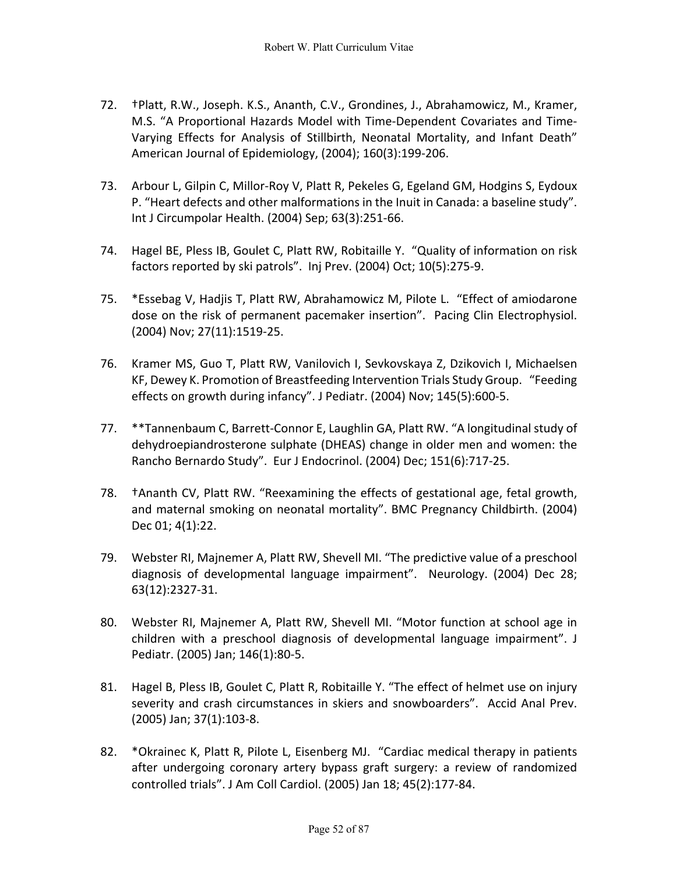- 72. †Platt, R.W., Joseph. K.S., Ananth, C.V., Grondines, J., Abrahamowicz, M., Kramer, M.S. "A Proportional Hazards Model with Time-Dependent Covariates and Time-Varying Effects for Analysis of Stillbirth, Neonatal Mortality, and Infant Death" American Journal of Epidemiology, (2004); 160(3):199-206.
- 73. Arbour L, Gilpin C, Millor-Roy V, Platt R, Pekeles G, Egeland GM, Hodgins S, Eydoux P. "Heart defects and other malformations in the Inuit in Canada: a baseline study". Int J Circumpolar Health. (2004) Sep; 63(3):251-66.
- 74. Hagel BE, Pless IB, Goulet C, Platt RW, Robitaille Y. "Quality of information on risk factors reported by ski patrols". Inj Prev. (2004) Oct; 10(5):275-9.
- 75. \*Essebag V, Hadjis T, Platt RW, Abrahamowicz M, Pilote L. "Effect of amiodarone dose on the risk of permanent pacemaker insertion". Pacing Clin Electrophysiol. (2004) Nov; 27(11):1519-25.
- 76. Kramer MS, Guo T, Platt RW, Vanilovich I, Sevkovskaya Z, Dzikovich I, Michaelsen KF, Dewey K. Promotion of Breastfeeding Intervention Trials Study Group. "Feeding effects on growth during infancy". J Pediatr. (2004) Nov; 145(5):600-5.
- 77. \*\*Tannenbaum C, Barrett-Connor E, Laughlin GA, Platt RW. "A longitudinal study of dehydroepiandrosterone sulphate (DHEAS) change in older men and women: the Rancho Bernardo Study". Eur J Endocrinol. (2004) Dec; 151(6):717-25.
- 78. †Ananth CV, Platt RW. "Reexamining the effects of gestational age, fetal growth, and maternal smoking on neonatal mortality". BMC Pregnancy Childbirth. (2004) Dec 01; 4(1):22.
- 79. Webster RI, Majnemer A, Platt RW, Shevell MI. "The predictive value of a preschool diagnosis of developmental language impairment". Neurology. (2004) Dec 28; 63(12):2327-31.
- 80. Webster RI, Majnemer A, Platt RW, Shevell MI. "Motor function at school age in children with a preschool diagnosis of developmental language impairment". J Pediatr. (2005) Jan; 146(1):80-5.
- 81. Hagel B, Pless IB, Goulet C, Platt R, Robitaille Y. "The effect of helmet use on injury severity and crash circumstances in skiers and snowboarders". Accid Anal Prev. (2005) Jan; 37(1):103-8.
- 82. \*Okrainec K, Platt R, Pilote L, Eisenberg MJ. "Cardiac medical therapy in patients after undergoing coronary artery bypass graft surgery: a review of randomized controlled trials". J Am Coll Cardiol. (2005) Jan 18; 45(2):177-84.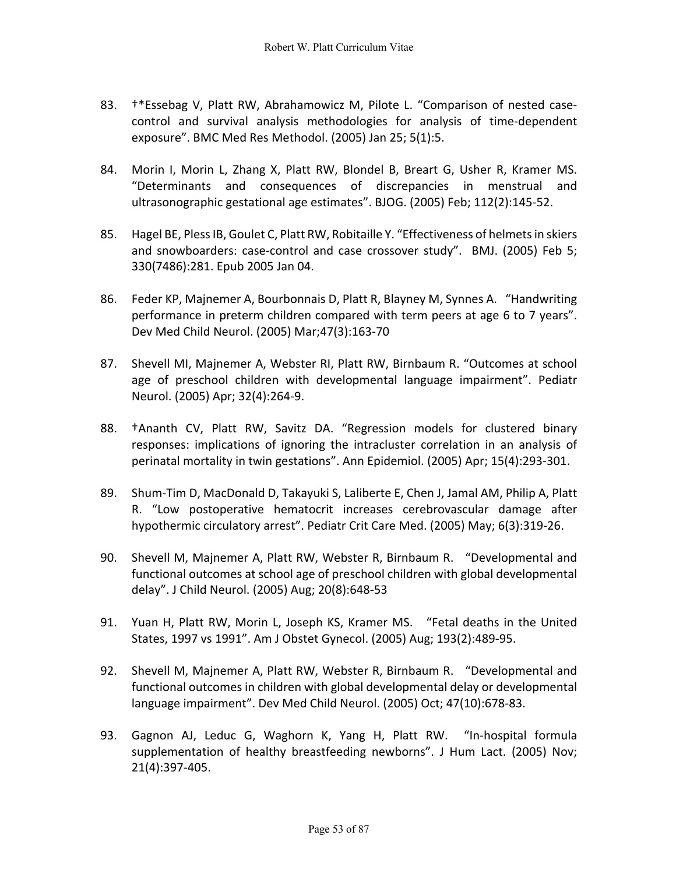- 83. †\*Essebag V, Platt RW, Abrahamowicz M, Pilote L. "Comparison of nested casecontrol and survival analysis methodologies for analysis of time-dependent exposure". BMC Med Res Methodol. (2005) Jan 25; 5(1):5.
- 84. Morin I, Morin L, Zhang X, Platt RW, Blondel B, Breart G, Usher R, Kramer MS. "Determinants and consequences of discrepancies in menstrual and ultrasonographic gestational age estimates". BJOG. (2005) Feb; 112(2):145-52.
- 85. Hagel BE, Pless IB, Goulet C, Platt RW, Robitaille Y. "Effectiveness of helmets in skiers and snowboarders: case-control and case crossover study". BMJ. (2005) Feb 5; 330(7486):281. Epub 2005 Jan 04.
- 86. Feder KP, Majnemer A, Bourbonnais D, Platt R, Blayney M, Synnes A. "Handwriting performance in preterm children compared with term peers at age 6 to 7 years". Dev Med Child Neurol. (2005) Mar;47(3):163-70
- 87. Shevell MI, Majnemer A, Webster RI, Platt RW, Birnbaum R. "Outcomes at school age of preschool children with developmental language impairment". Pediatr Neurol. (2005) Apr; 32(4):264-9.
- 88. †Ananth CV, Platt RW, Savitz DA. "Regression models for clustered binary responses: implications of ignoring the intracluster correlation in an analysis of perinatal mortality in twin gestations". Ann Epidemiol. (2005) Apr; 15(4):293-301.
- 89. Shum-Tim D, MacDonald D, Takayuki S, Laliberte E, Chen J, Jamal AM, Philip A, Platt R. "Low postoperative hematocrit increases cerebrovascular damage after hypothermic circulatory arrest". Pediatr Crit Care Med. (2005) May; 6(3):319-26.
- 90. Shevell M, Majnemer A, Platt RW, Webster R, Birnbaum R. "Developmental and functional outcomes at school age of preschool children with global developmental delay". J Child Neurol. (2005) Aug; 20(8):648-53
- 91. Yuan H, Platt RW, Morin L, Joseph KS, Kramer MS. "Fetal deaths in the United States, 1997 vs 1991". Am J Obstet Gynecol. (2005) Aug; 193(2):489-95.
- 92. Shevell M, Majnemer A, Platt RW, Webster R, Birnbaum R. "Developmental and functional outcomes in children with global developmental delay or developmental language impairment". Dev Med Child Neurol. (2005) Oct; 47(10):678-83.
- 93. Gagnon AJ, Leduc G, Waghorn K, Yang H, Platt RW. "In-hospital formula supplementation of healthy breastfeeding newborns". J Hum Lact. (2005) Nov; 21(4):397-405.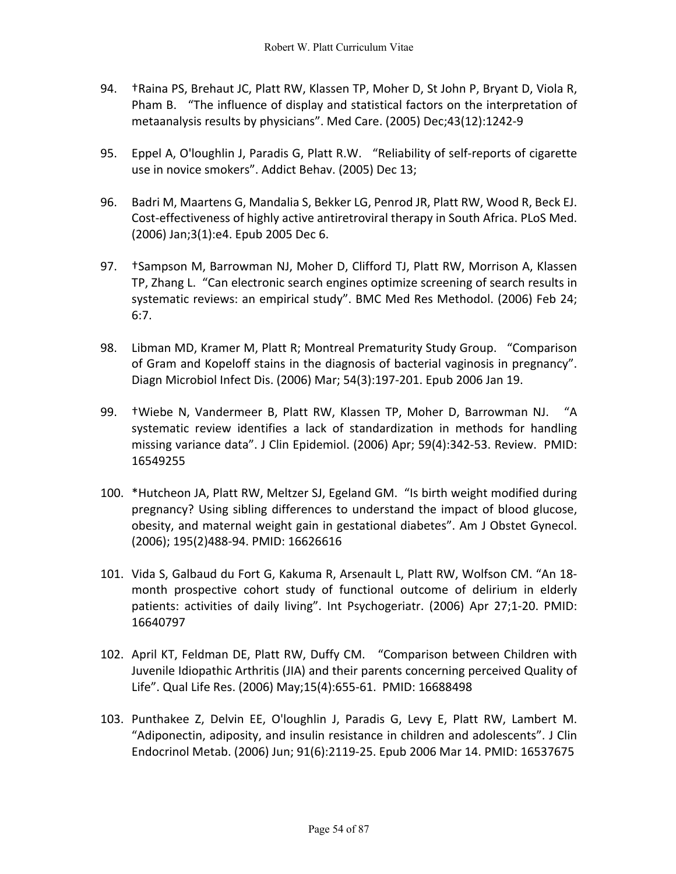- 94. †Raina PS, Brehaut JC, Platt RW, Klassen TP, Moher D, St John P, Bryant D, Viola R, Pham B. "The influence of display and statistical factors on the interpretation of metaanalysis results by physicians". Med Care. (2005) Dec;43(12):1242-9
- 95. Eppel A, O'loughlin J, Paradis G, Platt R.W. "Reliability of self-reports of cigarette use in novice smokers". Addict Behav. (2005) Dec 13;
- 96. Badri M, Maartens G, Mandalia S, Bekker LG, Penrod JR, Platt RW, Wood R, Beck EJ. Cost-effectiveness of highly active antiretroviral therapy in South Africa. PLoS Med. (2006) Jan;3(1):e4. Epub 2005 Dec 6.
- 97. †Sampson M, Barrowman NJ, Moher D, Clifford TJ, Platt RW, Morrison A, Klassen TP, Zhang L. "Can electronic search engines optimize screening of search results in systematic reviews: an empirical study". BMC Med Res Methodol. (2006) Feb 24; 6:7.
- 98. Libman MD, Kramer M, Platt R; Montreal Prematurity Study Group. "Comparison of Gram and Kopeloff stains in the diagnosis of bacterial vaginosis in pregnancy". Diagn Microbiol Infect Dis. (2006) Mar; 54(3):197-201. Epub 2006 Jan 19.
- 99. †Wiebe N, Vandermeer B, Platt RW, Klassen TP, Moher D, Barrowman NJ. "A systematic review identifies a lack of standardization in methods for handling missing variance data". J Clin Epidemiol. (2006) Apr; 59(4):342-53. Review. PMID: 16549255
- 100. \*Hutcheon JA, Platt RW, Meltzer SJ, Egeland GM. "Is birth weight modified during pregnancy? Using sibling differences to understand the impact of blood glucose, obesity, and maternal weight gain in gestational diabetes". Am J Obstet Gynecol. (2006); 195(2)488-94. PMID: 16626616
- 101. Vida S, Galbaud du Fort G, Kakuma R, Arsenault L, Platt RW, Wolfson CM. "An 18 month prospective cohort study of functional outcome of delirium in elderly patients: activities of daily living". Int Psychogeriatr. (2006) Apr 27;1-20. PMID: 16640797
- 102. April KT, Feldman DE, Platt RW, Duffy CM. "Comparison between Children with Juvenile Idiopathic Arthritis (JIA) and their parents concerning perceived Quality of Life". Qual Life Res. (2006) May;15(4):655-61. PMID: 16688498
- 103. Punthakee Z, Delvin EE, O'loughlin J, Paradis G, Levy E, Platt RW, Lambert M. "Adiponectin, adiposity, and insulin resistance in children and adolescents". J Clin Endocrinol Metab. (2006) Jun; 91(6):2119-25. Epub 2006 Mar 14. PMID: 16537675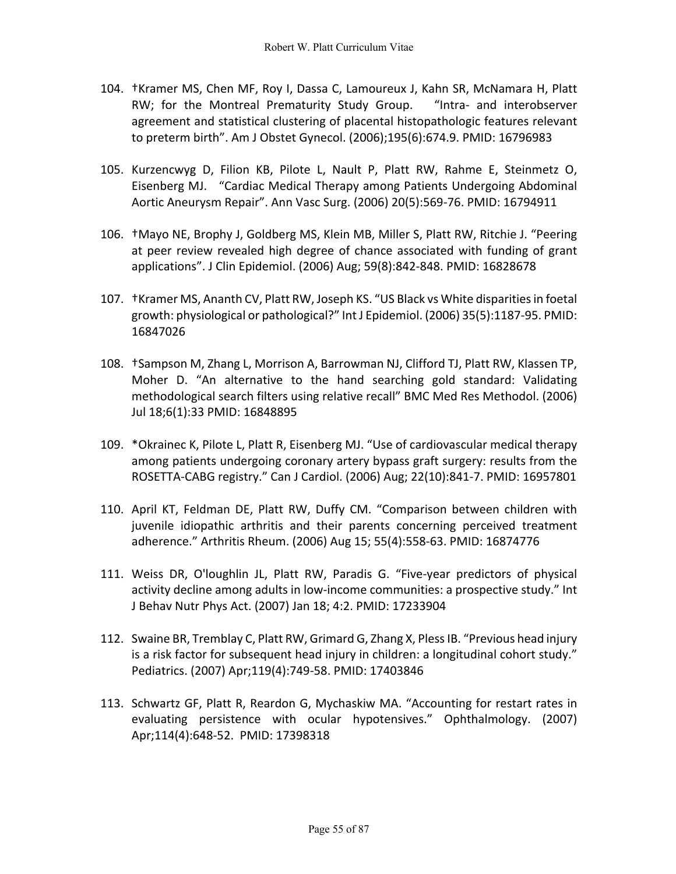- 104. †Kramer MS, Chen MF, Roy I, Dassa C, Lamoureux J, Kahn SR, McNamara H, Platt RW; for the Montreal Prematurity Study Group. "Intra- and interobserver agreement and statistical clustering of placental histopathologic features relevant to preterm birth". Am J Obstet Gynecol. (2006);195(6):674.9. PMID: 16796983
- 105. Kurzencwyg D, Filion KB, Pilote L, Nault P, Platt RW, Rahme E, Steinmetz O, Eisenberg MJ. "Cardiac Medical Therapy among Patients Undergoing Abdominal Aortic Aneurysm Repair". Ann Vasc Surg. (2006) 20(5):569-76. PMID: 16794911
- 106. †Mayo NE, Brophy J, Goldberg MS, Klein MB, Miller S, Platt RW, Ritchie J. "Peering at peer review revealed high degree of chance associated with funding of grant applications". J Clin Epidemiol. (2006) Aug; 59(8):842-848. PMID: 16828678
- 107. †Kramer MS, Ananth CV, Platt RW, Joseph KS. "US Black vs White disparities in foetal growth: physiological or pathological?" Int J Epidemiol. (2006) 35(5):1187-95. PMID: 16847026
- 108. †Sampson M, Zhang L, Morrison A, Barrowman NJ, Clifford TJ, Platt RW, Klassen TP, Moher D. "An alternative to the hand searching gold standard: Validating methodological search filters using relative recall" BMC Med Res Methodol. (2006) Jul 18;6(1):33 PMID: 16848895
- 109. \*Okrainec K, Pilote L, Platt R, Eisenberg MJ. "Use of cardiovascular medical therapy among patients undergoing coronary artery bypass graft surgery: results from the ROSETTA-CABG registry." Can J Cardiol. (2006) Aug; 22(10):841-7. PMID: 16957801
- 110. April KT, Feldman DE, Platt RW, Duffy CM. "Comparison between children with juvenile idiopathic arthritis and their parents concerning perceived treatment adherence." Arthritis Rheum. (2006) Aug 15; 55(4):558-63. PMID: 16874776
- 111. Weiss DR, O'loughlin JL, Platt RW, Paradis G. "Five-year predictors of physical activity decline among adults in low-income communities: a prospective study." Int J Behav Nutr Phys Act. (2007) Jan 18; 4:2. PMID: 17233904
- 112. Swaine BR, Tremblay C, Platt RW, Grimard G, Zhang X, Pless IB. "Previous head injury is a risk factor for subsequent head injury in children: a longitudinal cohort study." Pediatrics. (2007) Apr;119(4):749-58. PMID: 17403846
- 113. Schwartz GF, Platt R, Reardon G, Mychaskiw MA. "Accounting for restart rates in evaluating persistence with ocular hypotensives." Ophthalmology. (2007) Apr;114(4):648-52. PMID: 17398318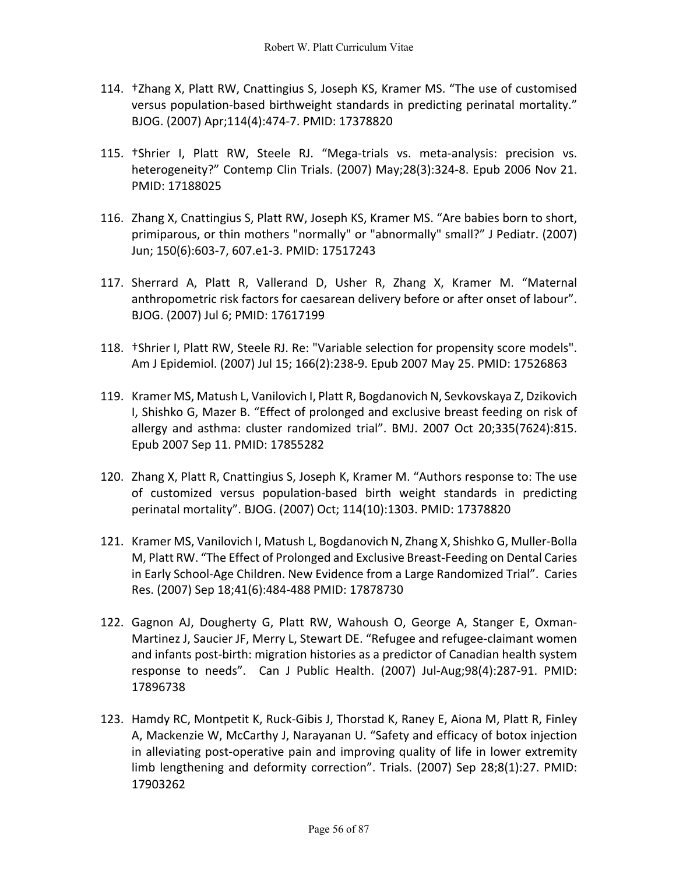- 114. †Zhang X, Platt RW, Cnattingius S, Joseph KS, Kramer MS. "The use of customised versus population-based birthweight standards in predicting perinatal mortality." BJOG. (2007) Apr;114(4):474-7. PMID: 17378820
- 115. †Shrier I, Platt RW, Steele RJ. "Mega-trials vs. meta-analysis: precision vs. heterogeneity?" Contemp Clin Trials. (2007) May;28(3):324-8. Epub 2006 Nov 21. PMID: 17188025
- 116. Zhang X, Cnattingius S, Platt RW, Joseph KS, Kramer MS. "Are babies born to short, primiparous, or thin mothers "normally" or "abnormally" small?" J Pediatr. (2007) Jun; 150(6):603-7, 607.e1-3. PMID: 17517243
- 117. Sherrard A, Platt R, Vallerand D, Usher R, Zhang X, Kramer M. "Maternal anthropometric risk factors for caesarean delivery before or after onset of labour". BJOG. (2007) Jul 6; PMID: 17617199
- 118. †Shrier I, Platt RW, Steele RJ. Re: "Variable selection for propensity score models". Am J Epidemiol. (2007) Jul 15; 166(2):238-9. Epub 2007 May 25. PMID: 17526863
- 119. Kramer MS, Matush L, Vanilovich I, Platt R, Bogdanovich N, Sevkovskaya Z, Dzikovich I, Shishko G, Mazer B. "Effect of prolonged and exclusive breast feeding on risk of allergy and asthma: cluster randomized trial". BMJ. 2007 Oct 20;335(7624):815. Epub 2007 Sep 11. PMID: 17855282
- 120. Zhang X, Platt R, Cnattingius S, Joseph K, Kramer M. "Authors response to: The use of customized versus population-based birth weight standards in predicting perinatal mortality". BJOG. (2007) Oct; 114(10):1303. PMID: 17378820
- 121. Kramer MS, Vanilovich I, Matush L, Bogdanovich N, Zhang X, Shishko G, Muller-Bolla M, Platt RW. "The Effect of Prolonged and Exclusive Breast-Feeding on Dental Caries in Early School-Age Children. New Evidence from a Large Randomized Trial". Caries Res. (2007) Sep 18;41(6):484-488 PMID: 17878730
- 122. Gagnon AJ, Dougherty G, Platt RW, Wahoush O, George A, Stanger E, Oxman-Martinez J, Saucier JF, Merry L, Stewart DE. "Refugee and refugee-claimant women and infants post-birth: migration histories as a predictor of Canadian health system response to needs". Can J Public Health. (2007) Jul-Aug;98(4):287-91. PMID: 17896738
- 123. Hamdy RC, Montpetit K, Ruck-Gibis J, Thorstad K, Raney E, Aiona M, Platt R, Finley A, Mackenzie W, McCarthy J, Narayanan U. "Safety and efficacy of botox injection in alleviating post-operative pain and improving quality of life in lower extremity limb lengthening and deformity correction". Trials. (2007) Sep 28;8(1):27. PMID: 17903262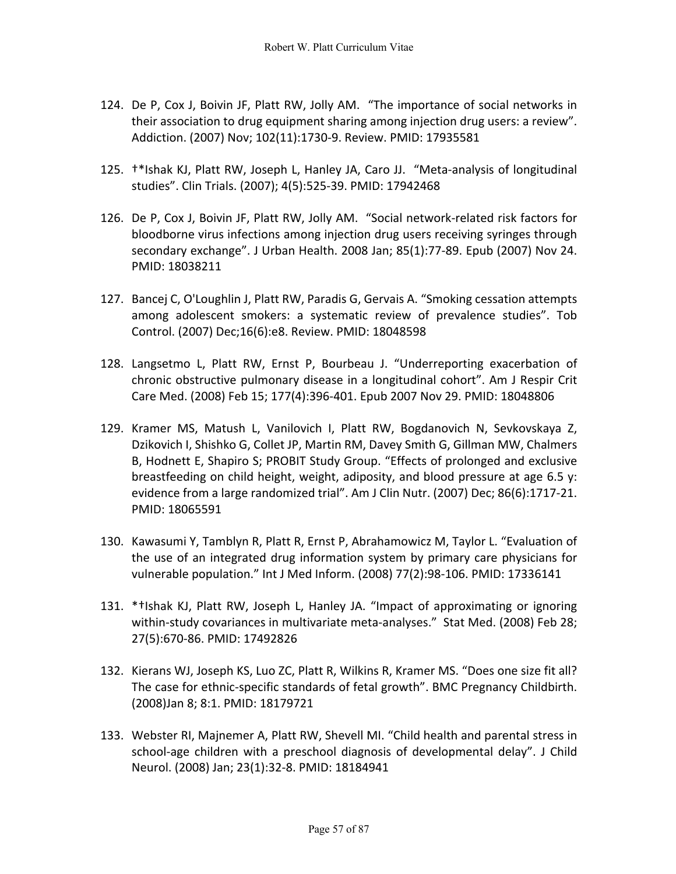- 124. De P, Cox J, Boivin JF, Platt RW, Jolly AM. "The importance of social networks in their association to drug equipment sharing among injection drug users: a review". Addiction. (2007) Nov; 102(11):1730-9. Review. PMID: 17935581
- 125. †\*Ishak KJ, Platt RW, Joseph L, Hanley JA, Caro JJ. "Meta-analysis of longitudinal studies". Clin Trials. (2007); 4(5):525-39. PMID: 17942468
- 126. De P, Cox J, Boivin JF, Platt RW, Jolly AM. "Social network-related risk factors for bloodborne virus infections among injection drug users receiving syringes through secondary exchange". J Urban Health. 2008 Jan; 85(1):77-89. Epub (2007) Nov 24. PMID: 18038211
- 127. Bancej C, O'Loughlin J, Platt RW, Paradis G, Gervais A. "Smoking cessation attempts among adolescent smokers: a systematic review of prevalence studies". Tob Control. (2007) Dec;16(6):e8. Review. PMID: 18048598
- 128. Langsetmo L, Platt RW, Ernst P, Bourbeau J. "Underreporting exacerbation of chronic obstructive pulmonary disease in a longitudinal cohort". Am J Respir Crit Care Med. (2008) Feb 15; 177(4):396-401. Epub 2007 Nov 29. PMID: 18048806
- 129. Kramer MS, Matush L, Vanilovich I, Platt RW, Bogdanovich N, Sevkovskaya Z, Dzikovich I, Shishko G, Collet JP, Martin RM, Davey Smith G, Gillman MW, Chalmers B, Hodnett E, Shapiro S; PROBIT Study Group. "Effects of prolonged and exclusive breastfeeding on child height, weight, adiposity, and blood pressure at age 6.5 y: evidence from a large randomized trial". Am J Clin Nutr. (2007) Dec; 86(6):1717-21. PMID: 18065591
- 130. Kawasumi Y, Tamblyn R, Platt R, Ernst P, Abrahamowicz M, Taylor L. "Evaluation of the use of an integrated drug information system by primary care physicians for vulnerable population." Int J Med Inform. (2008) 77(2):98-106. PMID: 17336141
- 131. \*†Ishak KJ, Platt RW, Joseph L, Hanley JA. "Impact of approximating or ignoring within-study covariances in multivariate meta-analyses." Stat Med. (2008) Feb 28; 27(5):670-86. PMID: 17492826
- 132. Kierans WJ, Joseph KS, Luo ZC, Platt R, Wilkins R, Kramer MS. "Does one size fit all? The case for ethnic-specific standards of fetal growth". BMC Pregnancy Childbirth. (2008)Jan 8; 8:1. PMID: 18179721
- 133. Webster RI, Majnemer A, Platt RW, Shevell MI. "Child health and parental stress in school-age children with a preschool diagnosis of developmental delay". J Child Neurol. (2008) Jan; 23(1):32-8. PMID: 18184941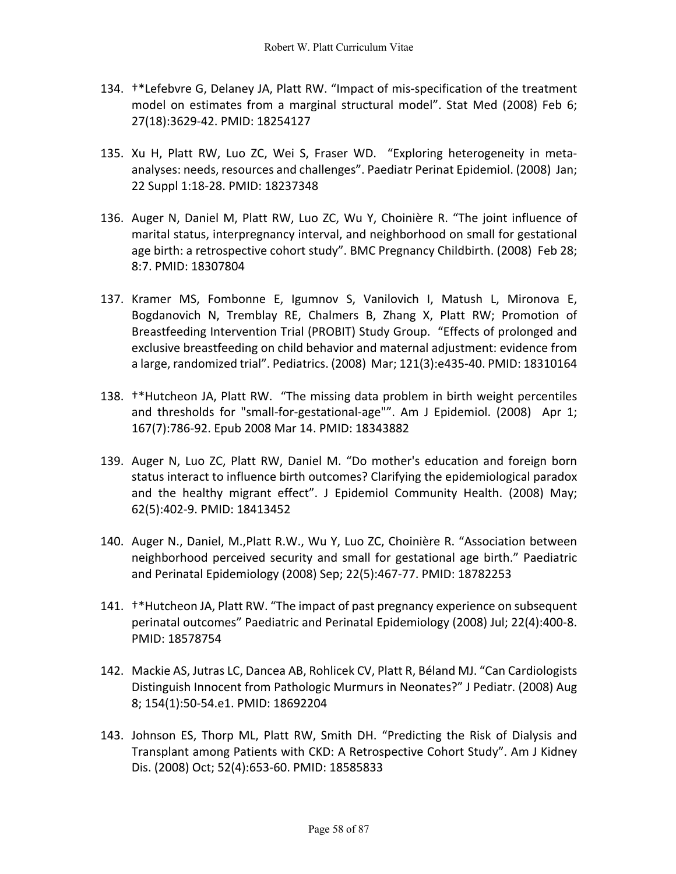- 134. †\*Lefebvre G, Delaney JA, Platt RW. "Impact of mis-specification of the treatment model on estimates from a marginal structural model". Stat Med (2008) Feb 6; 27(18):3629-42. PMID: 18254127
- 135. Xu H, Platt RW, Luo ZC, Wei S, Fraser WD. "Exploring heterogeneity in metaanalyses: needs, resources and challenges". Paediatr Perinat Epidemiol. (2008) Jan; 22 Suppl 1:18-28. PMID: 18237348
- 136. Auger N, Daniel M, Platt RW, Luo ZC, Wu Y, Choinière R. "The joint influence of marital status, interpregnancy interval, and neighborhood on small for gestational age birth: a retrospective cohort study". BMC Pregnancy Childbirth. (2008) Feb 28; 8:7. PMID: 18307804
- 137. Kramer MS, Fombonne E, Igumnov S, Vanilovich I, Matush L, Mironova E, Bogdanovich N, Tremblay RE, Chalmers B, Zhang X, Platt RW; Promotion of Breastfeeding Intervention Trial (PROBIT) Study Group. "Effects of prolonged and exclusive breastfeeding on child behavior and maternal adjustment: evidence from a large, randomized trial". Pediatrics. (2008) Mar; 121(3):e435-40. PMID: 18310164
- 138. †\*Hutcheon JA, Platt RW. "The missing data problem in birth weight percentiles and thresholds for "small-for-gestational-age"". Am J Epidemiol. (2008) Apr 1; 167(7):786-92. Epub 2008 Mar 14. PMID: 18343882
- 139. Auger N, Luo ZC, Platt RW, Daniel M. "Do mother's education and foreign born status interact to influence birth outcomes? Clarifying the epidemiological paradox and the healthy migrant effect". J Epidemiol Community Health. (2008) May; 62(5):402-9. PMID: 18413452
- 140. Auger N., Daniel, M.,Platt R.W., Wu Y, Luo ZC, Choinière R. "Association between neighborhood perceived security and small for gestational age birth." Paediatric and Perinatal Epidemiology (2008) Sep; 22(5):467-77. PMID: 18782253
- 141. †\*Hutcheon JA, Platt RW. "The impact of past pregnancy experience on subsequent perinatal outcomes" Paediatric and Perinatal Epidemiology (2008) Jul; 22(4):400-8. PMID: 18578754
- 142. Mackie AS, Jutras LC, Dancea AB, Rohlicek CV, Platt R, Béland MJ. "Can Cardiologists Distinguish Innocent from Pathologic Murmurs in Neonates?" J Pediatr. (2008) Aug 8; 154(1):50-54.e1. PMID: 18692204
- 143. Johnson ES, Thorp ML, Platt RW, Smith DH. "Predicting the Risk of Dialysis and Transplant among Patients with CKD: A Retrospective Cohort Study". Am J Kidney Dis. (2008) Oct; 52(4):653-60. PMID: 18585833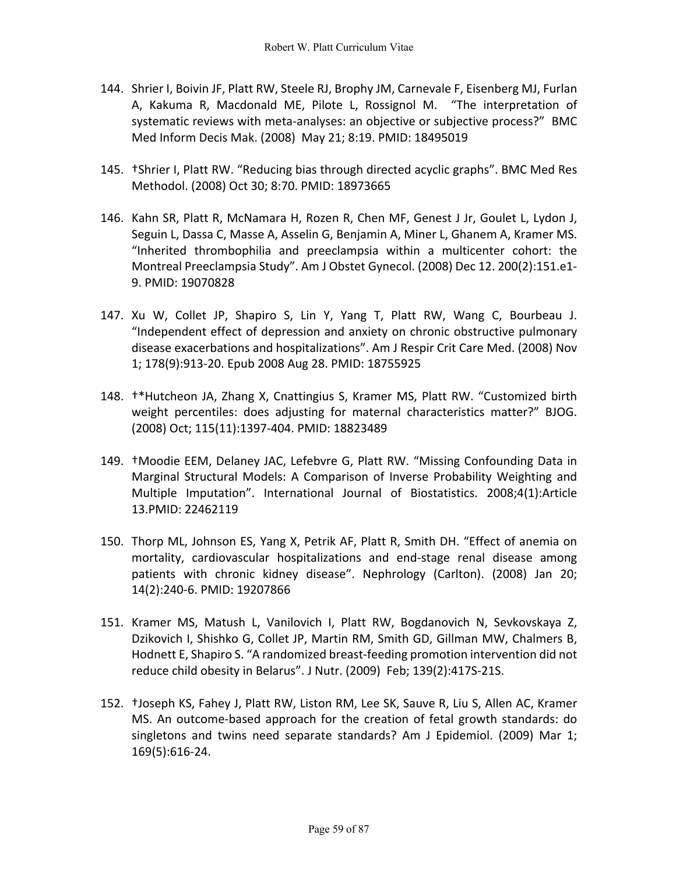- 144. Shrier I, Boivin JF, Platt RW, Steele RJ, Brophy JM, Carnevale F, Eisenberg MJ, Furlan A, Kakuma R, Macdonald ME, Pilote L, Rossignol M. "The interpretation of systematic reviews with meta-analyses: an objective or subjective process?" BMC Med Inform Decis Mak. (2008) May 21; 8:19. PMID: 18495019
- 145. †Shrier I, Platt RW. "Reducing bias through directed acyclic graphs". BMC Med Res Methodol. (2008) Oct 30; 8:70. PMID: 18973665
- 146. Kahn SR, Platt R, McNamara H, Rozen R, Chen MF, Genest J Jr, Goulet L, Lydon J, Seguin L, Dassa C, Masse A, Asselin G, Benjamin A, Miner L, Ghanem A, Kramer MS. "Inherited thrombophilia and preeclampsia within a multicenter cohort: the Montreal Preeclampsia Study". Am J Obstet Gynecol. (2008) Dec 12. 200(2):151.e1- 9. PMID: 19070828
- 147. Xu W, Collet JP, Shapiro S, Lin Y, Yang T, Platt RW, Wang C, Bourbeau J. "Independent effect of depression and anxiety on chronic obstructive pulmonary disease exacerbations and hospitalizations". Am J Respir Crit Care Med. (2008) Nov 1; 178(9):913-20. Epub 2008 Aug 28. PMID: 18755925
- 148. †\*Hutcheon JA, Zhang X, Cnattingius S, Kramer MS, Platt RW. "Customized birth weight percentiles: does adjusting for maternal characteristics matter?" BJOG. (2008) Oct; 115(11):1397-404. PMID: 18823489
- 149. †Moodie EEM, Delaney JAC, Lefebvre G, Platt RW. "Missing Confounding Data in Marginal Structural Models: A Comparison of Inverse Probability Weighting and Multiple Imputation". International Journal of Biostatistics. 2008;4(1):Article 13.PMID: 22462119
- 150. Thorp ML, Johnson ES, Yang X, Petrik AF, Platt R, Smith DH. "Effect of anemia on mortality, cardiovascular hospitalizations and end-stage renal disease among patients with chronic kidney disease". Nephrology (Carlton). (2008) Jan 20; 14(2):240-6. PMID: 19207866
- 151. Kramer MS, Matush L, Vanilovich I, Platt RW, Bogdanovich N, Sevkovskaya Z, Dzikovich I, Shishko G, Collet JP, Martin RM, Smith GD, Gillman MW, Chalmers B, Hodnett E, Shapiro S. "A randomized breast-feeding promotion intervention did not reduce child obesity in Belarus". J Nutr. (2009) Feb; 139(2):417S-21S.
- 152. †Joseph KS, Fahey J, Platt RW, Liston RM, Lee SK, Sauve R, Liu S, Allen AC, Kramer MS. An outcome-based approach for the creation of fetal growth standards: do singletons and twins need separate standards? Am J Epidemiol. (2009) Mar 1; 169(5):616-24.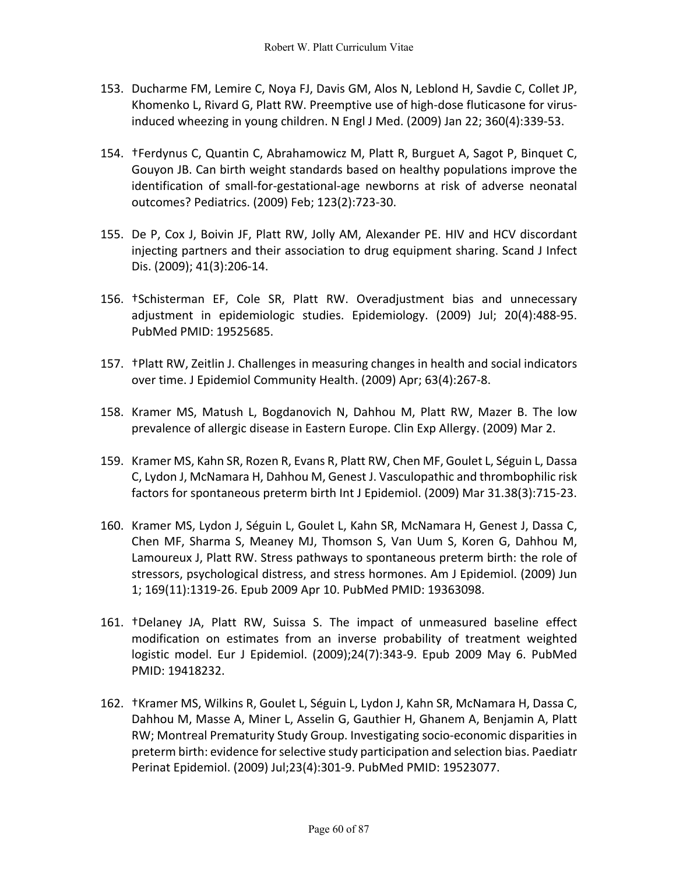- 153. Ducharme FM, Lemire C, Noya FJ, Davis GM, Alos N, Leblond H, Savdie C, Collet JP, Khomenko L, Rivard G, Platt RW. Preemptive use of high-dose fluticasone for virusinduced wheezing in young children. N Engl J Med. (2009) Jan 22; 360(4):339-53.
- 154. †Ferdynus C, Quantin C, Abrahamowicz M, Platt R, Burguet A, Sagot P, Binquet C, Gouyon JB. Can birth weight standards based on healthy populations improve the identification of small-for-gestational-age newborns at risk of adverse neonatal outcomes? Pediatrics. (2009) Feb; 123(2):723-30.
- 155. De P, Cox J, Boivin JF, Platt RW, Jolly AM, Alexander PE. HIV and HCV discordant injecting partners and their association to drug equipment sharing. Scand J Infect Dis. (2009); 41(3):206-14.
- 156. †Schisterman EF, Cole SR, Platt RW. Overadjustment bias and unnecessary adjustment in epidemiologic studies. Epidemiology. (2009) Jul; 20(4):488-95. PubMed PMID: 19525685.
- 157. †Platt RW, Zeitlin J. Challenges in measuring changes in health and social indicators over time. J Epidemiol Community Health. (2009) Apr; 63(4):267-8.
- 158. Kramer MS, Matush L, Bogdanovich N, Dahhou M, Platt RW, Mazer B. The low prevalence of allergic disease in Eastern Europe. Clin Exp Allergy. (2009) Mar 2.
- 159. Kramer MS, Kahn SR, Rozen R, Evans R, Platt RW, Chen MF, Goulet L, Séguin L, Dassa C, Lydon J, McNamara H, Dahhou M, Genest J. Vasculopathic and thrombophilic risk factors for spontaneous preterm birth Int J Epidemiol. (2009) Mar 31.38(3):715-23.
- 160. Kramer MS, Lydon J, Séguin L, Goulet L, Kahn SR, McNamara H, Genest J, Dassa C, Chen MF, Sharma S, Meaney MJ, Thomson S, Van Uum S, Koren G, Dahhou M, Lamoureux J, Platt RW. Stress pathways to spontaneous preterm birth: the role of stressors, psychological distress, and stress hormones. Am J Epidemiol. (2009) Jun 1; 169(11):1319-26. Epub 2009 Apr 10. PubMed PMID: 19363098.
- 161. †Delaney JA, Platt RW, Suissa S. The impact of unmeasured baseline effect modification on estimates from an inverse probability of treatment weighted logistic model. Eur J Epidemiol. (2009);24(7):343-9. Epub 2009 May 6. PubMed PMID: 19418232.
- 162. †Kramer MS, Wilkins R, Goulet L, Séguin L, Lydon J, Kahn SR, McNamara H, Dassa C, Dahhou M, Masse A, Miner L, Asselin G, Gauthier H, Ghanem A, Benjamin A, Platt RW; Montreal Prematurity Study Group. Investigating socio-economic disparities in preterm birth: evidence for selective study participation and selection bias. Paediatr Perinat Epidemiol. (2009) Jul;23(4):301-9. PubMed PMID: 19523077.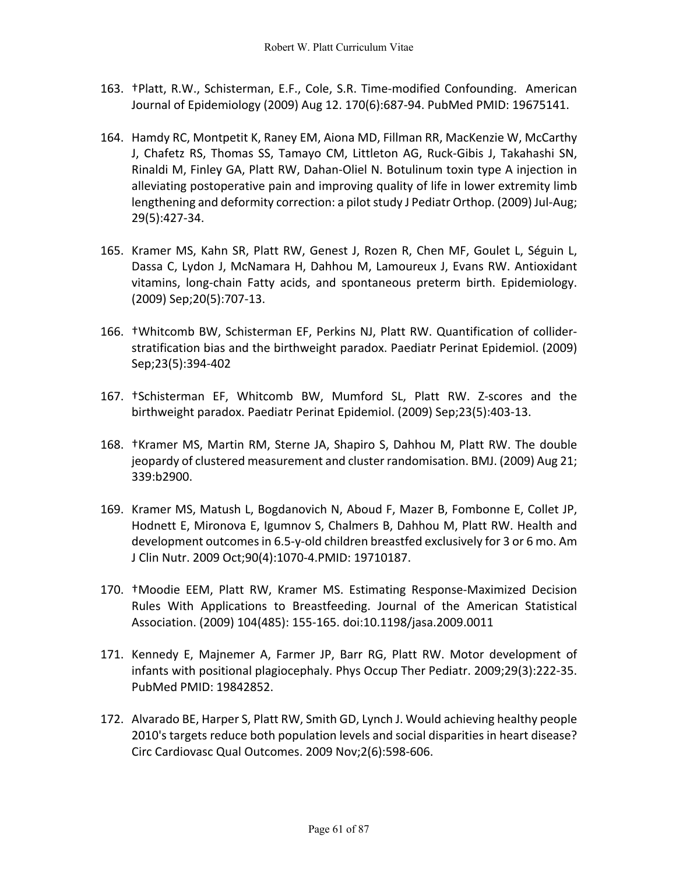- 163. †Platt, R.W., Schisterman, E.F., Cole, S.R. Time-modified Confounding. American Journal of Epidemiology (2009) Aug 12. 170(6):687-94. PubMed PMID: 19675141.
- 164. Hamdy RC, Montpetit K, Raney EM, Aiona MD, Fillman RR, MacKenzie W, McCarthy J, Chafetz RS, Thomas SS, Tamayo CM, Littleton AG, Ruck-Gibis J, Takahashi SN, Rinaldi M, Finley GA, Platt RW, Dahan-Oliel N. Botulinum toxin type A injection in alleviating postoperative pain and improving quality of life in lower extremity limb lengthening and deformity correction: a pilot study J Pediatr Orthop. (2009) Jul-Aug; 29(5):427-34.
- 165. Kramer MS, Kahn SR, Platt RW, Genest J, Rozen R, Chen MF, Goulet L, Séguin L, Dassa C, Lydon J, McNamara H, Dahhou M, Lamoureux J, Evans RW. Antioxidant vitamins, long-chain Fatty acids, and spontaneous preterm birth. Epidemiology. (2009) Sep;20(5):707-13.
- 166. †Whitcomb BW, Schisterman EF, Perkins NJ, Platt RW. Quantification of colliderstratification bias and the birthweight paradox. Paediatr Perinat Epidemiol. (2009) Sep;23(5):394-402
- 167. †Schisterman EF, Whitcomb BW, Mumford SL, Platt RW. Z-scores and the birthweight paradox. Paediatr Perinat Epidemiol. (2009) Sep;23(5):403-13.
- 168. †Kramer MS, Martin RM, Sterne JA, Shapiro S, Dahhou M, Platt RW. The double jeopardy of clustered measurement and cluster randomisation. BMJ. (2009) Aug 21; 339:b2900.
- 169. Kramer MS, Matush L, Bogdanovich N, Aboud F, Mazer B, Fombonne E, Collet JP, Hodnett E, Mironova E, Igumnov S, Chalmers B, Dahhou M, Platt RW. Health and development outcomes in 6.5-y-old children breastfed exclusively for 3 or 6 mo. Am J Clin Nutr. 2009 Oct;90(4):1070-4.PMID: 19710187.
- 170. †Moodie EEM, Platt RW, Kramer MS. Estimating Response-Maximized Decision Rules With Applications to Breastfeeding. Journal of the American Statistical Association. (2009) 104(485): 155-165. doi:10.1198/jasa.2009.0011
- 171. Kennedy E, Majnemer A, Farmer JP, Barr RG, Platt RW. Motor development of infants with positional plagiocephaly. Phys Occup Ther Pediatr. 2009;29(3):222-35. PubMed PMID: 19842852.
- 172. Alvarado BE, Harper S, Platt RW, Smith GD, Lynch J. Would achieving healthy people 2010's targets reduce both population levels and social disparities in heart disease? Circ Cardiovasc Qual Outcomes. 2009 Nov;2(6):598-606.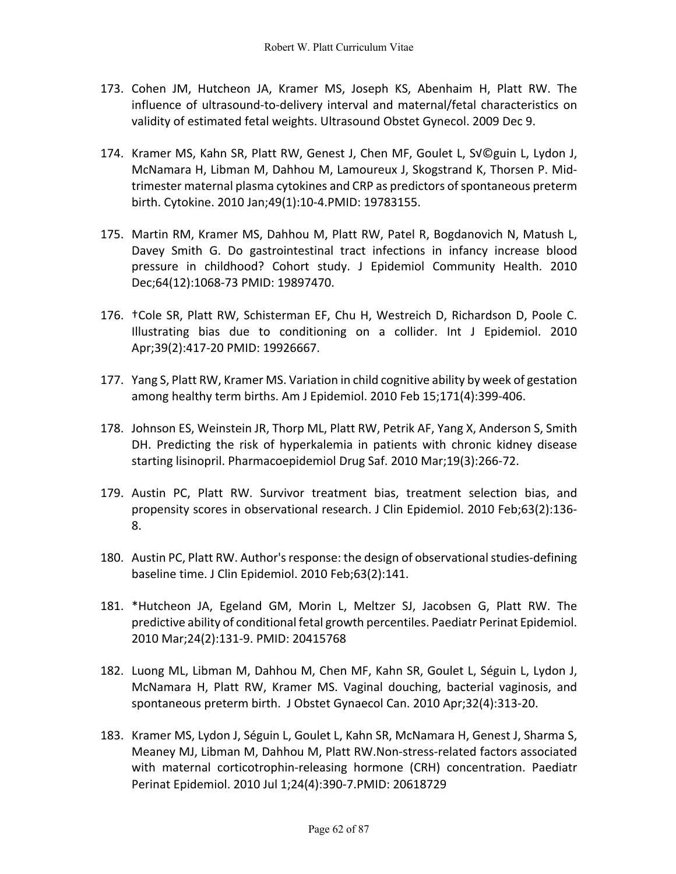- 173. Cohen JM, Hutcheon JA, Kramer MS, Joseph KS, Abenhaim H, Platt RW. The influence of ultrasound-to-delivery interval and maternal/fetal characteristics on validity of estimated fetal weights. Ultrasound Obstet Gynecol. 2009 Dec 9.
- 174. Kramer MS, Kahn SR, Platt RW, Genest J, Chen MF, Goulet L, Sv©guin L, Lydon J, McNamara H, Libman M, Dahhou M, Lamoureux J, Skogstrand K, Thorsen P. Midtrimester maternal plasma cytokines and CRP as predictors of spontaneous preterm birth. Cytokine. 2010 Jan;49(1):10-4.PMID: 19783155.
- 175. Martin RM, Kramer MS, Dahhou M, Platt RW, Patel R, Bogdanovich N, Matush L, Davey Smith G. Do gastrointestinal tract infections in infancy increase blood pressure in childhood? Cohort study. J Epidemiol Community Health. 2010 Dec;64(12):1068-73 PMID: 19897470.
- 176. †Cole SR, Platt RW, Schisterman EF, Chu H, Westreich D, Richardson D, Poole C. Illustrating bias due to conditioning on a collider. Int J Epidemiol. 2010 Apr;39(2):417-20 PMID: 19926667.
- 177. Yang S, Platt RW, Kramer MS. Variation in child cognitive ability by week of gestation among healthy term births. Am J Epidemiol. 2010 Feb 15;171(4):399-406.
- 178. Johnson ES, Weinstein JR, Thorp ML, Platt RW, Petrik AF, Yang X, Anderson S, Smith DH. Predicting the risk of hyperkalemia in patients with chronic kidney disease starting lisinopril. Pharmacoepidemiol Drug Saf. 2010 Mar;19(3):266-72.
- 179. Austin PC, Platt RW. Survivor treatment bias, treatment selection bias, and propensity scores in observational research. J Clin Epidemiol. 2010 Feb;63(2):136- 8.
- 180. Austin PC, Platt RW. Author's response: the design of observational studies-defining baseline time. J Clin Epidemiol. 2010 Feb;63(2):141.
- 181. \*Hutcheon JA, Egeland GM, Morin L, Meltzer SJ, Jacobsen G, Platt RW. The predictive ability of conditional fetal growth percentiles. Paediatr Perinat Epidemiol. 2010 Mar;24(2):131-9. PMID: 20415768
- 182. Luong ML, Libman M, Dahhou M, Chen MF, Kahn SR, Goulet L, Séguin L, Lydon J, McNamara H, Platt RW, Kramer MS. Vaginal douching, bacterial vaginosis, and spontaneous preterm birth. J Obstet Gynaecol Can. 2010 Apr;32(4):313-20.
- 183. Kramer MS, Lydon J, Séguin L, Goulet L, Kahn SR, McNamara H, Genest J, Sharma S, Meaney MJ, Libman M, Dahhou M, Platt RW.Non-stress-related factors associated with maternal corticotrophin-releasing hormone (CRH) concentration. Paediatr Perinat Epidemiol. 2010 Jul 1;24(4):390-7.PMID: 20618729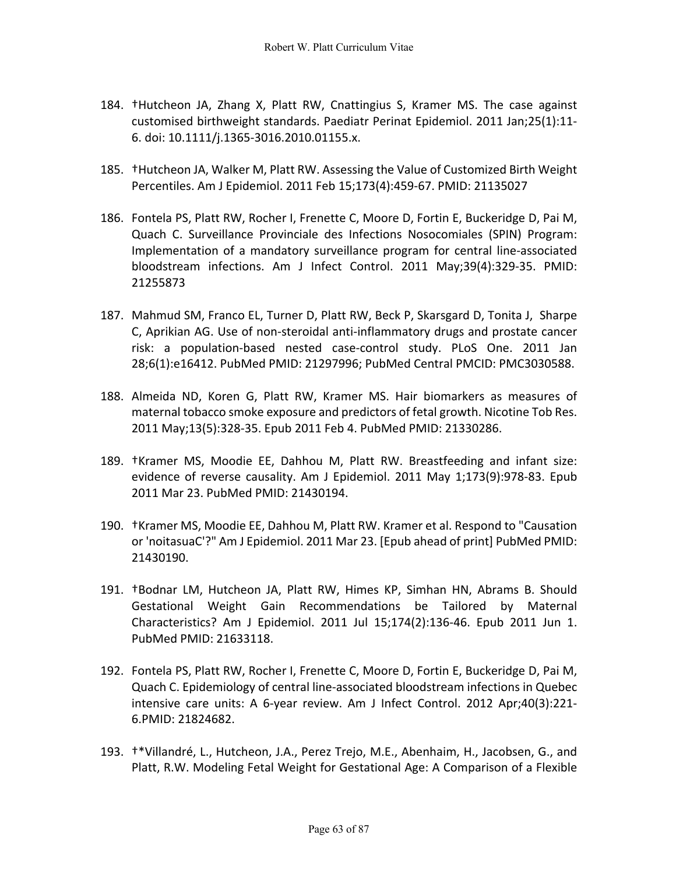- 184. †Hutcheon JA, Zhang X, Platt RW, Cnattingius S, Kramer MS. The case against customised birthweight standards. Paediatr Perinat Epidemiol. 2011 Jan;25(1):11- 6. doi: 10.1111/j.1365-3016.2010.01155.x.
- 185. †Hutcheon JA, Walker M, Platt RW. Assessing the Value of Customized Birth Weight Percentiles. Am J Epidemiol. 2011 Feb 15;173(4):459-67. PMID: 21135027
- 186. Fontela PS, Platt RW, Rocher I, Frenette C, Moore D, Fortin E, Buckeridge D, Pai M, Quach C. Surveillance Provinciale des Infections Nosocomiales (SPIN) Program: Implementation of a mandatory surveillance program for central line-associated bloodstream infections. Am J Infect Control. 2011 May;39(4):329-35. PMID: 21255873
- 187. Mahmud SM, Franco EL, Turner D, Platt RW, Beck P, Skarsgard D, Tonita J, Sharpe C, Aprikian AG. Use of non-steroidal anti-inflammatory drugs and prostate cancer risk: a population-based nested case-control study. PLoS One. 2011 Jan 28;6(1):e16412. PubMed PMID: 21297996; PubMed Central PMCID: PMC3030588.
- 188. Almeida ND, Koren G, Platt RW, Kramer MS. Hair biomarkers as measures of maternal tobacco smoke exposure and predictors of fetal growth. Nicotine Tob Res. 2011 May;13(5):328-35. Epub 2011 Feb 4. PubMed PMID: 21330286.
- 189. †Kramer MS, Moodie EE, Dahhou M, Platt RW. Breastfeeding and infant size: evidence of reverse causality. Am J Epidemiol. 2011 May 1;173(9):978-83. Epub 2011 Mar 23. PubMed PMID: 21430194.
- 190. †Kramer MS, Moodie EE, Dahhou M, Platt RW. Kramer et al. Respond to "Causation or 'noitasuaC'?" Am J Epidemiol. 2011 Mar 23. [Epub ahead of print] PubMed PMID: 21430190.
- 191. †Bodnar LM, Hutcheon JA, Platt RW, Himes KP, Simhan HN, Abrams B. Should Gestational Weight Gain Recommendations be Tailored by Maternal Characteristics? Am J Epidemiol. 2011 Jul 15;174(2):136-46. Epub 2011 Jun 1. PubMed PMID: 21633118.
- 192. Fontela PS, Platt RW, Rocher I, Frenette C, Moore D, Fortin E, Buckeridge D, Pai M, Quach C. Epidemiology of central line-associated bloodstream infections in Quebec intensive care units: A 6-year review. Am J Infect Control. 2012 Apr;40(3):221- 6.PMID: 21824682.
- 193. †\*Villandré, L., Hutcheon, J.A., Perez Trejo, M.E., Abenhaim, H., Jacobsen, G., and Platt, R.W. Modeling Fetal Weight for Gestational Age: A Comparison of a Flexible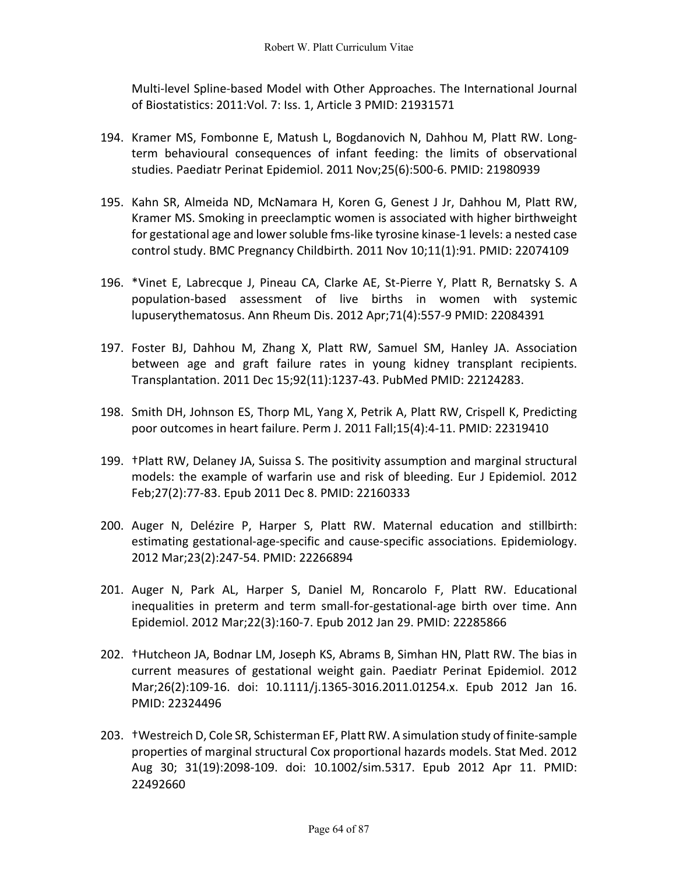Multi-level Spline-based Model with Other Approaches. The International Journal of Biostatistics: 2011:Vol. 7: Iss. 1, Article 3 PMID: 21931571

- 194. Kramer MS, Fombonne E, Matush L, Bogdanovich N, Dahhou M, Platt RW. Longterm behavioural consequences of infant feeding: the limits of observational studies. Paediatr Perinat Epidemiol. 2011 Nov;25(6):500-6. PMID: 21980939
- 195. Kahn SR, Almeida ND, McNamara H, Koren G, Genest J Jr, Dahhou M, Platt RW, Kramer MS. Smoking in preeclamptic women is associated with higher birthweight for gestational age and lower soluble fms-like tyrosine kinase-1 levels: a nested case control study. BMC Pregnancy Childbirth. 2011 Nov 10;11(1):91. PMID: 22074109
- 196. \*Vinet E, Labrecque J, Pineau CA, Clarke AE, St-Pierre Y, Platt R, Bernatsky S. A population-based assessment of live births in women with systemic lupuserythematosus. Ann Rheum Dis. 2012 Apr;71(4):557-9 PMID: 22084391
- 197. Foster BJ, Dahhou M, Zhang X, Platt RW, Samuel SM, Hanley JA. Association between age and graft failure rates in young kidney transplant recipients. Transplantation. 2011 Dec 15;92(11):1237-43. PubMed PMID: 22124283.
- 198. Smith DH, Johnson ES, Thorp ML, Yang X, Petrik A, Platt RW, Crispell K, Predicting poor outcomes in heart failure. Perm J. 2011 Fall;15(4):4-11. PMID: 22319410
- 199. †Platt RW, Delaney JA, Suissa S. The positivity assumption and marginal structural models: the example of warfarin use and risk of bleeding. Eur J Epidemiol. 2012 Feb;27(2):77-83. Epub 2011 Dec 8. PMID: 22160333
- 200. Auger N, Delézire P, Harper S, Platt RW. Maternal education and stillbirth: estimating gestational-age-specific and cause-specific associations. Epidemiology. 2012 Mar;23(2):247-54. PMID: 22266894
- 201. Auger N, Park AL, Harper S, Daniel M, Roncarolo F, Platt RW. Educational inequalities in preterm and term small-for-gestational-age birth over time. Ann Epidemiol. 2012 Mar;22(3):160-7. Epub 2012 Jan 29. PMID: 22285866
- 202. †Hutcheon JA, Bodnar LM, Joseph KS, Abrams B, Simhan HN, Platt RW. The bias in current measures of gestational weight gain. Paediatr Perinat Epidemiol. 2012 Mar;26(2):109-16. doi: 10.1111/j.1365-3016.2011.01254.x. Epub 2012 Jan 16. PMID: 22324496
- 203. †Westreich D, Cole SR, Schisterman EF, Platt RW. A simulation study of finite-sample properties of marginal structural Cox proportional hazards models. Stat Med. 2012 Aug 30; 31(19):2098-109. doi: 10.1002/sim.5317. Epub 2012 Apr 11. PMID: 22492660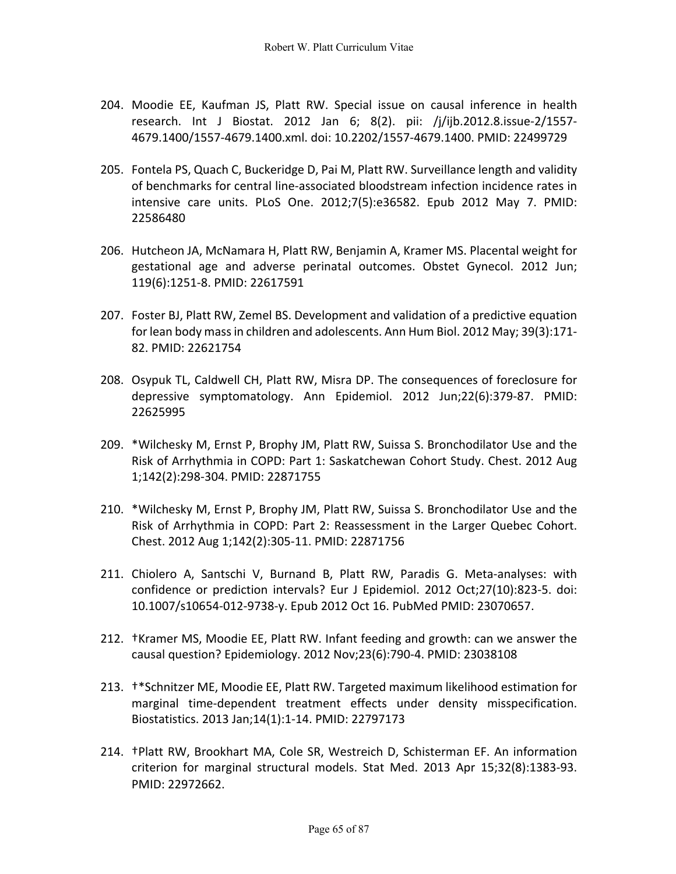- 204. Moodie EE, Kaufman JS, Platt RW. Special issue on causal inference in health research. Int J Biostat. 2012 Jan 6; 8(2). pii: /j/ijb.2012.8.issue-2/1557- 4679.1400/1557-4679.1400.xml. doi: 10.2202/1557-4679.1400. PMID: 22499729
- 205. Fontela PS, Quach C, Buckeridge D, Pai M, Platt RW. Surveillance length and validity of benchmarks for central line-associated bloodstream infection incidence rates in intensive care units. PLoS One. 2012;7(5):e36582. Epub 2012 May 7. PMID: 22586480
- 206. Hutcheon JA, McNamara H, Platt RW, Benjamin A, Kramer MS. Placental weight for gestational age and adverse perinatal outcomes. Obstet Gynecol. 2012 Jun; 119(6):1251-8. PMID: 22617591
- 207. Foster BJ, Platt RW, Zemel BS. Development and validation of a predictive equation for lean body mass in children and adolescents. Ann Hum Biol. 2012 May; 39(3):171- 82. PMID: 22621754
- 208. Osypuk TL, Caldwell CH, Platt RW, Misra DP. The consequences of foreclosure for depressive symptomatology. Ann Epidemiol. 2012 Jun;22(6):379-87. PMID: 22625995
- 209. \*Wilchesky M, Ernst P, Brophy JM, Platt RW, Suissa S. Bronchodilator Use and the Risk of Arrhythmia in COPD: Part 1: Saskatchewan Cohort Study. Chest. 2012 Aug 1;142(2):298-304. PMID: 22871755
- 210. \*Wilchesky M, Ernst P, Brophy JM, Platt RW, Suissa S. Bronchodilator Use and the Risk of Arrhythmia in COPD: Part 2: Reassessment in the Larger Quebec Cohort. Chest. 2012 Aug 1;142(2):305-11. PMID: 22871756
- 211. Chiolero A, Santschi V, Burnand B, Platt RW, Paradis G. Meta-analyses: with confidence or prediction intervals? Eur J Epidemiol. 2012 Oct;27(10):823-5. doi: 10.1007/s10654-012-9738-y. Epub 2012 Oct 16. PubMed PMID: 23070657.
- 212. †Kramer MS, Moodie EE, Platt RW. Infant feeding and growth: can we answer the causal question? Epidemiology. 2012 Nov;23(6):790-4. PMID: 23038108
- 213. †\*Schnitzer ME, Moodie EE, Platt RW. Targeted maximum likelihood estimation for marginal time-dependent treatment effects under density misspecification. Biostatistics. 2013 Jan;14(1):1-14. PMID: 22797173
- 214. †Platt RW, Brookhart MA, Cole SR, Westreich D, Schisterman EF. An information criterion for marginal structural models. Stat Med. 2013 Apr 15;32(8):1383-93. PMID: 22972662.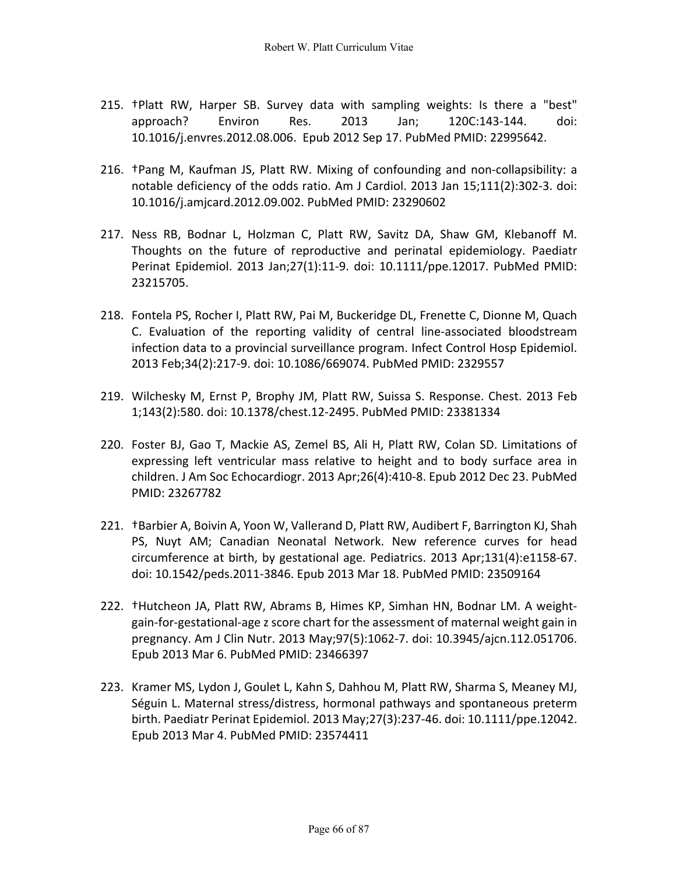- 215. †Platt RW, Harper SB. Survey data with sampling weights: Is there a "best" approach? Environ Res. 2013 Jan; 120C:143-144. doi: 10.1016/j.envres.2012.08.006. Epub 2012 Sep 17. PubMed PMID: 22995642.
- 216. †Pang M, Kaufman JS, Platt RW. Mixing of confounding and non-collapsibility: a notable deficiency of the odds ratio. Am J Cardiol. 2013 Jan 15;111(2):302-3. doi: 10.1016/j.amjcard.2012.09.002. PubMed PMID: 23290602
- 217. Ness RB, Bodnar L, Holzman C, Platt RW, Savitz DA, Shaw GM, Klebanoff M. Thoughts on the future of reproductive and perinatal epidemiology. Paediatr Perinat Epidemiol. 2013 Jan;27(1):11-9. doi: 10.1111/ppe.12017. PubMed PMID: 23215705.
- 218. Fontela PS, Rocher I, Platt RW, Pai M, Buckeridge DL, Frenette C, Dionne M, Quach C. Evaluation of the reporting validity of central line-associated bloodstream infection data to a provincial surveillance program. Infect Control Hosp Epidemiol. 2013 Feb;34(2):217-9. doi: 10.1086/669074. PubMed PMID: 2329557
- 219. Wilchesky M, Ernst P, Brophy JM, Platt RW, Suissa S. Response. Chest. 2013 Feb 1;143(2):580. doi: 10.1378/chest.12-2495. PubMed PMID: 23381334
- 220. Foster BJ, Gao T, Mackie AS, Zemel BS, Ali H, Platt RW, Colan SD. Limitations of expressing left ventricular mass relative to height and to body surface area in children. J Am Soc Echocardiogr. 2013 Apr;26(4):410-8. Epub 2012 Dec 23. PubMed PMID: 23267782
- 221. †Barbier A, Boivin A, Yoon W, Vallerand D, Platt RW, Audibert F, Barrington KJ, Shah PS, Nuyt AM; Canadian Neonatal Network. New reference curves for head circumference at birth, by gestational age. Pediatrics. 2013 Apr;131(4):e1158-67. doi: 10.1542/peds.2011-3846. Epub 2013 Mar 18. PubMed PMID: 23509164
- 222. †Hutcheon JA, Platt RW, Abrams B, Himes KP, Simhan HN, Bodnar LM. A weightgain-for-gestational-age z score chart for the assessment of maternal weight gain in pregnancy. Am J Clin Nutr. 2013 May;97(5):1062-7. doi: 10.3945/ajcn.112.051706. Epub 2013 Mar 6. PubMed PMID: 23466397
- 223. Kramer MS, Lydon J, Goulet L, Kahn S, Dahhou M, Platt RW, Sharma S, Meaney MJ, Séguin L. Maternal stress/distress, hormonal pathways and spontaneous preterm birth. Paediatr Perinat Epidemiol. 2013 May;27(3):237-46. doi: 10.1111/ppe.12042. Epub 2013 Mar 4. PubMed PMID: 23574411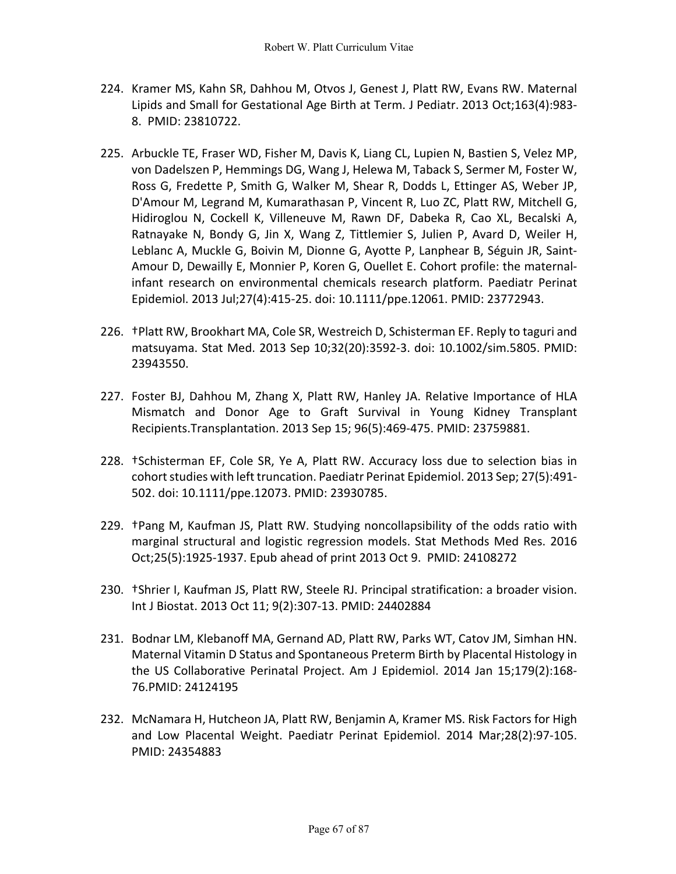- 224. Kramer MS, Kahn SR, Dahhou M, Otvos J, Genest J, Platt RW, Evans RW. Maternal Lipids and Small for Gestational Age Birth at Term. J Pediatr. 2013 Oct;163(4):983- 8. PMID: 23810722.
- 225. Arbuckle TE, Fraser WD, Fisher M, Davis K, Liang CL, Lupien N, Bastien S, Velez MP, von Dadelszen P, Hemmings DG, Wang J, Helewa M, Taback S, Sermer M, Foster W, Ross G, Fredette P, Smith G, Walker M, Shear R, Dodds L, Ettinger AS, Weber JP, D'Amour M, Legrand M, Kumarathasan P, Vincent R, Luo ZC, Platt RW, Mitchell G, Hidiroglou N, Cockell K, Villeneuve M, Rawn DF, Dabeka R, Cao XL, Becalski A, Ratnayake N, Bondy G, Jin X, Wang Z, Tittlemier S, Julien P, Avard D, Weiler H, Leblanc A, Muckle G, Boivin M, Dionne G, Ayotte P, Lanphear B, Séguin JR, Saint-Amour D, Dewailly E, Monnier P, Koren G, Ouellet E. Cohort profile: the maternalinfant research on environmental chemicals research platform. Paediatr Perinat Epidemiol. 2013 Jul;27(4):415-25. doi: 10.1111/ppe.12061. PMID: 23772943.
- 226. †Platt RW, Brookhart MA, Cole SR, Westreich D, Schisterman EF. Reply to taguri and matsuyama. Stat Med. 2013 Sep 10;32(20):3592-3. doi: 10.1002/sim.5805. PMID: 23943550.
- 227. Foster BJ, Dahhou M, Zhang X, Platt RW, Hanley JA. Relative Importance of HLA Mismatch and Donor Age to Graft Survival in Young Kidney Transplant Recipients.Transplantation. 2013 Sep 15; 96(5):469-475. PMID: 23759881.
- 228. †Schisterman EF, Cole SR, Ye A, Platt RW. Accuracy loss due to selection bias in cohort studies with left truncation. Paediatr Perinat Epidemiol. 2013 Sep; 27(5):491- 502. doi: 10.1111/ppe.12073. PMID: 23930785.
- 229. †Pang M, Kaufman JS, Platt RW. Studying noncollapsibility of the odds ratio with marginal structural and logistic regression models. Stat Methods Med Res. 2016 Oct;25(5):1925-1937. Epub ahead of print 2013 Oct 9. PMID: 24108272
- 230. †Shrier I, Kaufman JS, Platt RW, Steele RJ. Principal stratification: a broader vision. Int J Biostat. 2013 Oct 11; 9(2):307-13. PMID: 24402884
- 231. Bodnar LM, Klebanoff MA, Gernand AD, Platt RW, Parks WT, Catov JM, Simhan HN. Maternal Vitamin D Status and Spontaneous Preterm Birth by Placental Histology in the US Collaborative Perinatal Project. Am J Epidemiol. 2014 Jan 15;179(2):168- 76.PMID: 24124195
- 232. McNamara H, Hutcheon JA, Platt RW, Benjamin A, Kramer MS. Risk Factors for High and Low Placental Weight. Paediatr Perinat Epidemiol. 2014 Mar;28(2):97-105. PMID: 24354883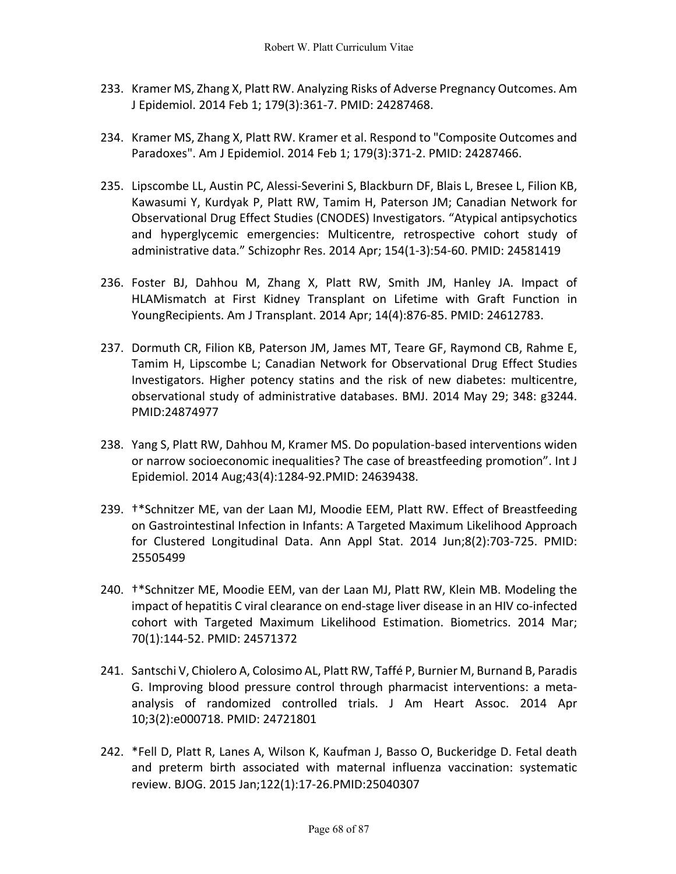- 233. Kramer MS, Zhang X, Platt RW. Analyzing Risks of Adverse Pregnancy Outcomes. Am J Epidemiol. 2014 Feb 1; 179(3):361-7. PMID: 24287468.
- 234. Kramer MS, Zhang X, Platt RW. Kramer et al. Respond to "Composite Outcomes and Paradoxes". Am J Epidemiol. 2014 Feb 1; 179(3):371-2. PMID: 24287466.
- 235. Lipscombe LL, Austin PC, Alessi-Severini S, Blackburn DF, Blais L, Bresee L, Filion KB, Kawasumi Y, Kurdyak P, Platt RW, Tamim H, Paterson JM; Canadian Network for Observational Drug Effect Studies (CNODES) Investigators. "Atypical antipsychotics and hyperglycemic emergencies: Multicentre, retrospective cohort study of administrative data." Schizophr Res. 2014 Apr; 154(1-3):54-60. PMID: 24581419
- 236. Foster BJ, Dahhou M, Zhang X, Platt RW, Smith JM, Hanley JA. Impact of HLAMismatch at First Kidney Transplant on Lifetime with Graft Function in YoungRecipients. Am J Transplant. 2014 Apr; 14(4):876-85. PMID: 24612783.
- 237. Dormuth CR, Filion KB, Paterson JM, James MT, Teare GF, Raymond CB, Rahme E, Tamim H, Lipscombe L; Canadian Network for Observational Drug Effect Studies Investigators. Higher potency statins and the risk of new diabetes: multicentre, observational study of administrative databases. BMJ. 2014 May 29; 348: g3244. PMID:24874977
- 238. Yang S, Platt RW, Dahhou M, Kramer MS. Do population-based interventions widen or narrow socioeconomic inequalities? The case of breastfeeding promotion". Int J Epidemiol. 2014 Aug;43(4):1284-92.PMID: 24639438.
- 239. †\*Schnitzer ME, van der Laan MJ, Moodie EEM, Platt RW. Effect of Breastfeeding on Gastrointestinal Infection in Infants: A Targeted Maximum Likelihood Approach for Clustered Longitudinal Data. Ann Appl Stat. 2014 Jun;8(2):703-725. PMID: 25505499
- 240. †\*Schnitzer ME, Moodie EEM, van der Laan MJ, Platt RW, Klein MB. Modeling the impact of hepatitis C viral clearance on end-stage liver disease in an HIV co-infected cohort with Targeted Maximum Likelihood Estimation. Biometrics. 2014 Mar; 70(1):144-52. PMID: 24571372
- 241. Santschi V, Chiolero A, Colosimo AL, Platt RW, Taffé P, Burnier M, Burnand B, Paradis G. Improving blood pressure control through pharmacist interventions: a metaanalysis of randomized controlled trials. J Am Heart Assoc. 2014 Apr 10;3(2):e000718. PMID: 24721801
- 242. \*Fell D, Platt R, Lanes A, Wilson K, Kaufman J, Basso O, Buckeridge D. Fetal death and preterm birth associated with maternal influenza vaccination: systematic review. BJOG. 2015 Jan;122(1):17-26.PMID:25040307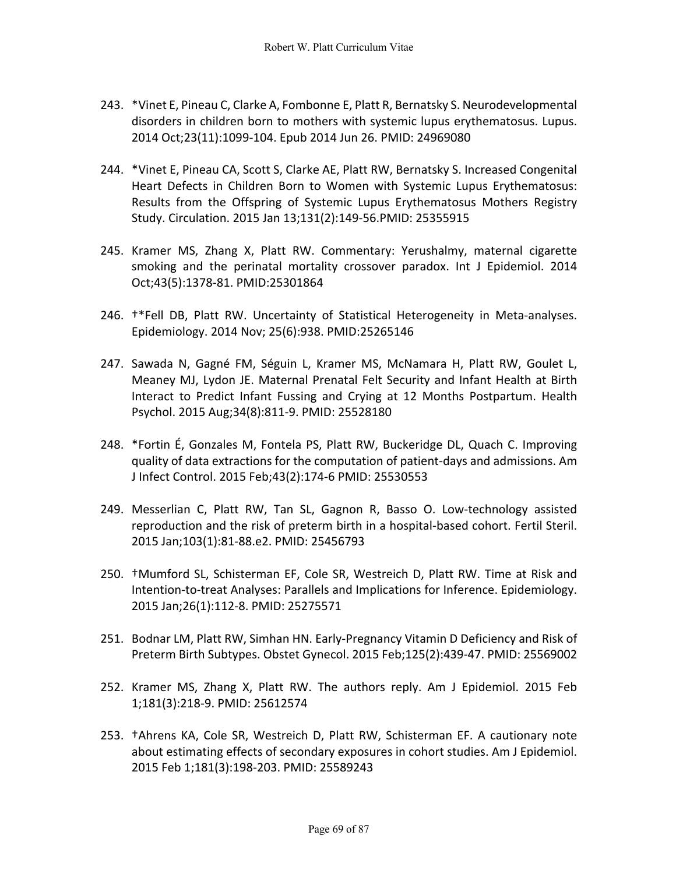- 243. \*Vinet E, Pineau C, Clarke A, Fombonne E, Platt R, Bernatsky S. Neurodevelopmental disorders in children born to mothers with systemic lupus erythematosus. Lupus. 2014 Oct;23(11):1099-104. Epub 2014 Jun 26. PMID: 24969080
- 244. \*Vinet E, Pineau CA, Scott S, Clarke AE, Platt RW, Bernatsky S. Increased Congenital Heart Defects in Children Born to Women with Systemic Lupus Erythematosus: Results from the Offspring of Systemic Lupus Erythematosus Mothers Registry Study. Circulation. 2015 Jan 13;131(2):149-56.PMID: 25355915
- 245. Kramer MS, Zhang X, Platt RW. Commentary: Yerushalmy, maternal cigarette smoking and the perinatal mortality crossover paradox. Int J Epidemiol. 2014 Oct;43(5):1378-81. PMID:25301864
- 246. †\*Fell DB, Platt RW. Uncertainty of Statistical Heterogeneity in Meta-analyses. Epidemiology. 2014 Nov; 25(6):938. PMID:25265146
- 247. Sawada N, Gagné FM, Séguin L, Kramer MS, McNamara H, Platt RW, Goulet L, Meaney MJ, Lydon JE. Maternal Prenatal Felt Security and Infant Health at Birth Interact to Predict Infant Fussing and Crying at 12 Months Postpartum. Health Psychol. 2015 Aug;34(8):811-9. PMID: 25528180
- 248. \*Fortin É, Gonzales M, Fontela PS, Platt RW, Buckeridge DL, Quach C. Improving quality of data extractions for the computation of patient-days and admissions. Am J Infect Control. 2015 Feb;43(2):174-6 PMID: 25530553
- 249. Messerlian C, Platt RW, Tan SL, Gagnon R, Basso O. Low-technology assisted reproduction and the risk of preterm birth in a hospital-based cohort. Fertil Steril. 2015 Jan;103(1):81-88.e2. PMID: 25456793
- 250. †Mumford SL, Schisterman EF, Cole SR, Westreich D, Platt RW. Time at Risk and Intention-to-treat Analyses: Parallels and Implications for Inference. Epidemiology. 2015 Jan;26(1):112-8. PMID: 25275571
- 251. Bodnar LM, Platt RW, Simhan HN. Early-Pregnancy Vitamin D Deficiency and Risk of Preterm Birth Subtypes. Obstet Gynecol. 2015 Feb;125(2):439-47. PMID: 25569002
- 252. Kramer MS, Zhang X, Platt RW. The authors reply. Am J Epidemiol. 2015 Feb 1;181(3):218-9. PMID: 25612574
- 253. †Ahrens KA, Cole SR, Westreich D, Platt RW, Schisterman EF. A cautionary note about estimating effects of secondary exposures in cohort studies. Am J Epidemiol. 2015 Feb 1;181(3):198-203. PMID: 25589243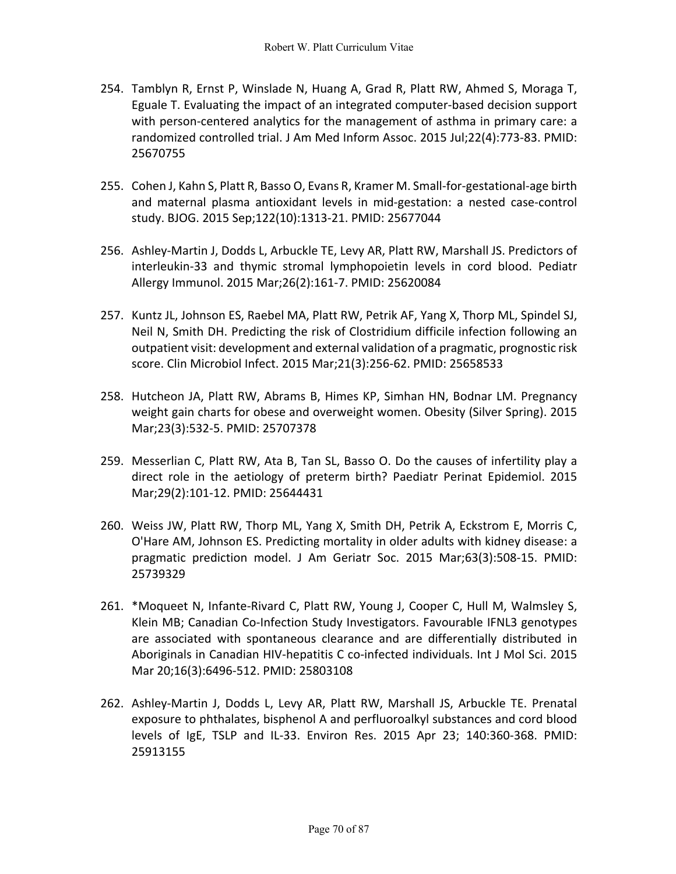- 254. Tamblyn R, Ernst P, Winslade N, Huang A, Grad R, Platt RW, Ahmed S, Moraga T, Eguale T. Evaluating the impact of an integrated computer-based decision support with person-centered analytics for the management of asthma in primary care: a randomized controlled trial. J Am Med Inform Assoc. 2015 Jul;22(4):773-83. PMID: 25670755
- 255. Cohen J, Kahn S, Platt R, Basso O, Evans R, Kramer M. Small-for-gestational-age birth and maternal plasma antioxidant levels in mid-gestation: a nested case-control study. BJOG. 2015 Sep;122(10):1313-21. PMID: 25677044
- 256. Ashley-Martin J, Dodds L, Arbuckle TE, Levy AR, Platt RW, Marshall JS. Predictors of interleukin-33 and thymic stromal lymphopoietin levels in cord blood. Pediatr Allergy Immunol. 2015 Mar;26(2):161-7. PMID: 25620084
- 257. Kuntz JL, Johnson ES, Raebel MA, Platt RW, Petrik AF, Yang X, Thorp ML, Spindel SJ, Neil N, Smith DH. Predicting the risk of Clostridium difficile infection following an outpatient visit: development and external validation of a pragmatic, prognostic risk score. Clin Microbiol Infect. 2015 Mar;21(3):256-62. PMID: 25658533
- 258. Hutcheon JA, Platt RW, Abrams B, Himes KP, Simhan HN, Bodnar LM. Pregnancy weight gain charts for obese and overweight women. Obesity (Silver Spring). 2015 Mar;23(3):532-5. PMID: 25707378
- 259. Messerlian C, Platt RW, Ata B, Tan SL, Basso O. Do the causes of infertility play a direct role in the aetiology of preterm birth? Paediatr Perinat Epidemiol. 2015 Mar;29(2):101-12. PMID: 25644431
- 260. Weiss JW, Platt RW, Thorp ML, Yang X, Smith DH, Petrik A, Eckstrom E, Morris C, O'Hare AM, Johnson ES. Predicting mortality in older adults with kidney disease: a pragmatic prediction model. J Am Geriatr Soc. 2015 Mar;63(3):508-15. PMID: 25739329
- 261. \*Moqueet N, Infante-Rivard C, Platt RW, Young J, Cooper C, Hull M, Walmsley S, Klein MB; Canadian Co-Infection Study Investigators. Favourable IFNL3 genotypes are associated with spontaneous clearance and are differentially distributed in Aboriginals in Canadian HIV-hepatitis C co-infected individuals. Int J Mol Sci. 2015 Mar 20;16(3):6496-512. PMID: 25803108
- 262. Ashley-Martin J, Dodds L, Levy AR, Platt RW, Marshall JS, Arbuckle TE. Prenatal exposure to phthalates, bisphenol A and perfluoroalkyl substances and cord blood levels of IgE, TSLP and IL-33. Environ Res. 2015 Apr 23; 140:360-368. PMID: 25913155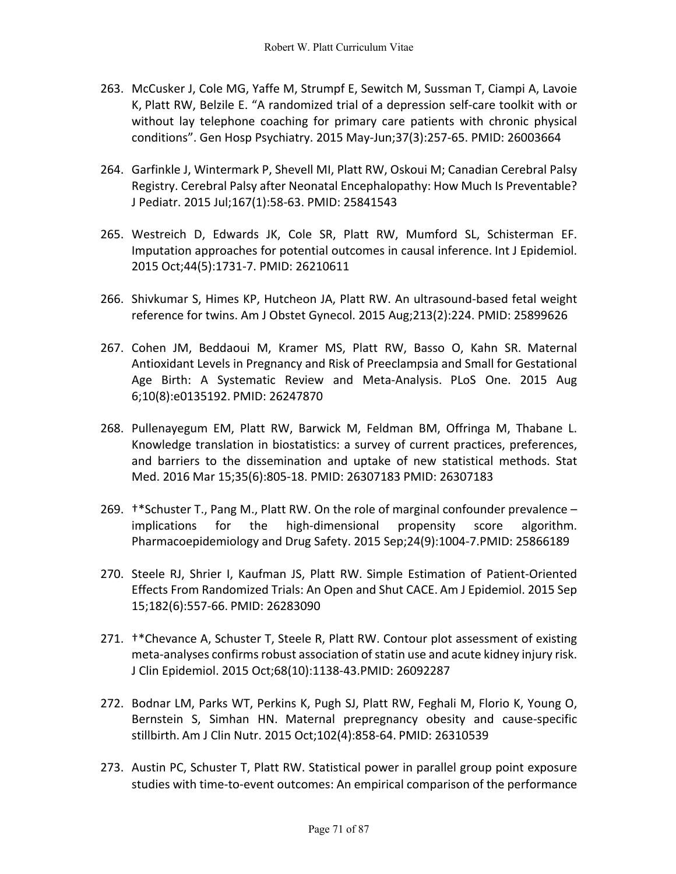- 263. McCusker J, Cole MG, Yaffe M, Strumpf E, Sewitch M, Sussman T, Ciampi A, Lavoie K, Platt RW, Belzile E. "A randomized trial of a depression self-care toolkit with or without lay telephone coaching for primary care patients with chronic physical conditions". Gen Hosp Psychiatry. 2015 May-Jun;37(3):257-65. PMID: 26003664
- 264. Garfinkle J, Wintermark P, Shevell MI, Platt RW, Oskoui M; Canadian Cerebral Palsy Registry. Cerebral Palsy after Neonatal Encephalopathy: How Much Is Preventable? J Pediatr. 2015 Jul;167(1):58-63. PMID: 25841543
- 265. Westreich D, Edwards JK, Cole SR, Platt RW, Mumford SL, Schisterman EF. Imputation approaches for potential outcomes in causal inference. Int J Epidemiol. 2015 Oct;44(5):1731-7. PMID: 26210611
- 266. Shivkumar S, Himes KP, Hutcheon JA, Platt RW. An ultrasound-based fetal weight reference for twins. Am J Obstet Gynecol. 2015 Aug;213(2):224. PMID: 25899626
- 267. Cohen JM, Beddaoui M, Kramer MS, Platt RW, Basso O, Kahn SR. Maternal Antioxidant Levels in Pregnancy and Risk of Preeclampsia and Small for Gestational Age Birth: A Systematic Review and Meta-Analysis. PLoS One. 2015 Aug 6;10(8):e0135192. PMID: 26247870
- 268. Pullenayegum EM, Platt RW, Barwick M, Feldman BM, Offringa M, Thabane L. Knowledge translation in biostatistics: a survey of current practices, preferences, and barriers to the dissemination and uptake of new statistical methods. Stat Med. 2016 Mar 15;35(6):805-18. PMID: 26307183 PMID: 26307183
- 269. †\*Schuster T., Pang M., Platt RW. On the role of marginal confounder prevalence implications for the high-dimensional propensity score algorithm. Pharmacoepidemiology and Drug Safety. 2015 Sep;24(9):1004-7.PMID: 25866189
- 270. Steele RJ, Shrier I, Kaufman JS, Platt RW. Simple Estimation of Patient-Oriented Effects From Randomized Trials: An Open and Shut CACE. Am J Epidemiol. 2015 Sep 15;182(6):557-66. PMID: 26283090
- 271. †\*Chevance A, Schuster T, Steele R, Platt RW. Contour plot assessment of existing meta-analyses confirms robust association of statin use and acute kidney injury risk. J Clin Epidemiol. 2015 Oct;68(10):1138-43.PMID: 26092287
- 272. Bodnar LM, Parks WT, Perkins K, Pugh SJ, Platt RW, Feghali M, Florio K, Young O, Bernstein S, Simhan HN. Maternal prepregnancy obesity and cause-specific stillbirth. Am J Clin Nutr. 2015 Oct;102(4):858-64. PMID: 26310539
- 273. Austin PC, Schuster T, Platt RW. Statistical power in parallel group point exposure studies with time-to-event outcomes: An empirical comparison of the performance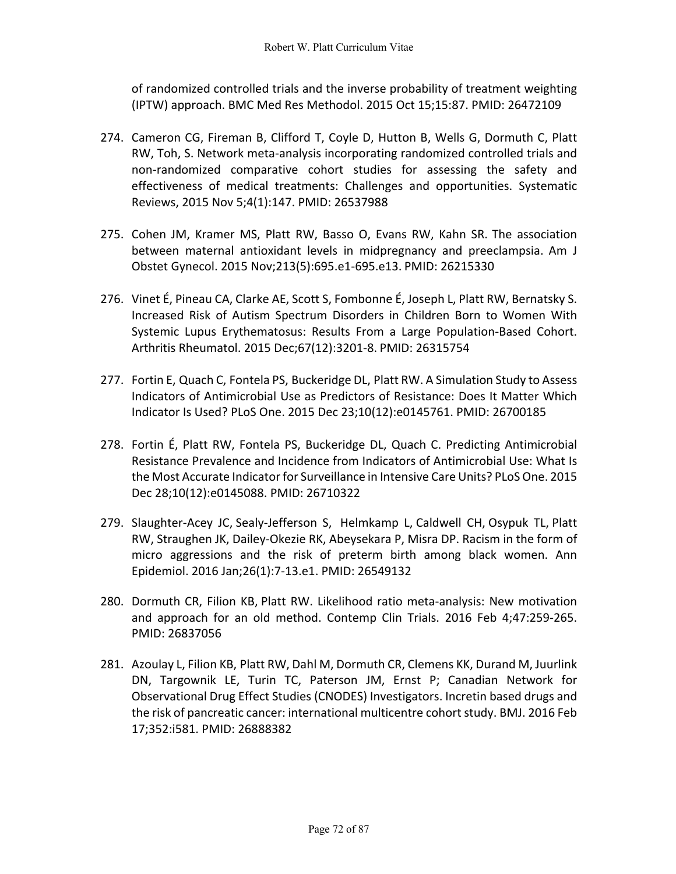of randomized controlled trials and the inverse probability of treatment weighting (IPTW) approach. BMC Med Res Methodol. 2015 Oct 15;15:87. PMID: 26472109

- 274. Cameron CG, Fireman B, Clifford T, Coyle D, Hutton B, Wells G, Dormuth C, Platt RW, Toh, S. Network meta-analysis incorporating randomized controlled trials and non-randomized comparative cohort studies for assessing the safety and effectiveness of medical treatments: Challenges and opportunities. Systematic Reviews, 2015 Nov 5;4(1):147. PMID: 26537988
- 275. Cohen JM, Kramer MS, Platt RW, Basso O, Evans RW, Kahn SR. The association between maternal antioxidant levels in midpregnancy and preeclampsia. Am J Obstet Gynecol. 2015 Nov;213(5):695.e1-695.e13. PMID: 26215330
- 276. Vinet É, Pineau CA, Clarke AE, Scott S, Fombonne É, Joseph L, Platt RW, Bernatsky S. Increased Risk of Autism Spectrum Disorders in Children Born to Women With Systemic Lupus Erythematosus: Results From a Large Population-Based Cohort. Arthritis Rheumatol. 2015 Dec;67(12):3201-8. PMID: 26315754
- 277. Fortin E, Quach C, Fontela PS, Buckeridge DL, Platt RW. A Simulation Study to Assess Indicators of Antimicrobial Use as Predictors of Resistance: Does It Matter Which Indicator Is Used? PLoS One. 2015 Dec 23;10(12):e0145761. PMID: 26700185
- 278. Fortin É, Platt RW, Fontela PS, Buckeridge DL, Quach C. Predicting Antimicrobial Resistance Prevalence and Incidence from Indicators of Antimicrobial Use: What Is the Most Accurate Indicator for Surveillance in Intensive Care Units? PLoS One. 2015 Dec 28;10(12):e0145088. PMID: 26710322
- 279. Slaughter-Acey JC, Sealy-Jefferson S, Helmkamp L, Caldwell CH, Osypuk TL, Platt RW, Straughen JK, Dailey-Okezie RK, Abeysekara P, Misra DP. Racism in the form of micro aggressions and the risk of preterm birth among black women. Ann Epidemiol. 2016 Jan;26(1):7-13.e1. PMID: 26549132
- 280. Dormuth CR, Filion KB, Platt RW. Likelihood ratio meta-analysis: New motivation and approach for an old method. Contemp Clin Trials. 2016 Feb 4;47:259-265. PMID: 26837056
- 281. Azoulay L, Filion KB, Platt RW, Dahl M, Dormuth CR, Clemens KK, Durand M, Juurlink DN, Targownik LE, Turin TC, Paterson JM, Ernst P; Canadian Network for Observational Drug Effect Studies (CNODES) Investigators. Incretin based drugs and the risk of pancreatic cancer: international multicentre cohort study. BMJ. 2016 Feb 17;352:i581. PMID: 26888382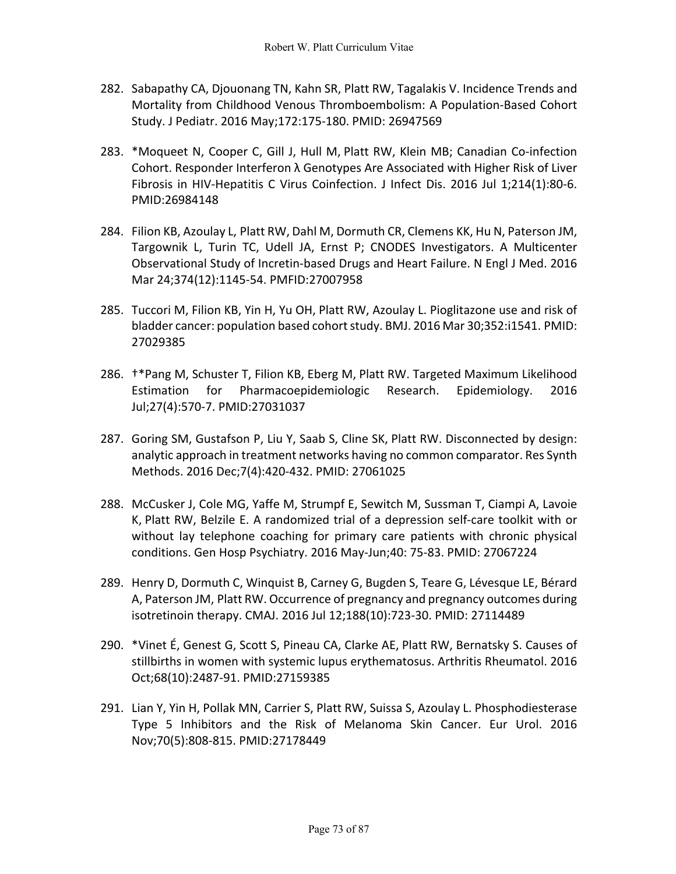- 282. Sabapathy CA, Djouonang TN, Kahn SR, Platt RW, Tagalakis V. Incidence Trends and Mortality from Childhood Venous Thromboembolism: A Population-Based Cohort Study. J Pediatr. 2016 May;172:175-180. PMID: 26947569
- 283. \*Moqueet N, Cooper C, Gill J, Hull M, Platt RW, Klein MB; Canadian Co-infection Cohort. Responder Interferon λ Genotypes Are Associated with Higher Risk of Liver Fibrosis in HIV-Hepatitis C Virus Coinfection. J Infect Dis. 2016 Jul 1;214(1):80-6. PMID:26984148
- 284. Filion KB, Azoulay L, Platt RW, Dahl M, Dormuth CR, Clemens KK, Hu N, Paterson JM, Targownik L, Turin TC, Udell JA, Ernst P; CNODES Investigators. A Multicenter Observational Study of Incretin-based Drugs and Heart Failure. N Engl J Med. 2016 Mar 24;374(12):1145-54. PMFID:27007958
- 285. Tuccori M, Filion KB, Yin H, Yu OH, Platt RW, Azoulay L. Pioglitazone use and risk of bladder cancer: population based cohort study. BMJ. 2016 Mar 30;352:i1541. PMID: 27029385
- 286. †\*Pang M, Schuster T, Filion KB, Eberg M, Platt RW. Targeted Maximum Likelihood Estimation for Pharmacoepidemiologic Research. Epidemiology. 2016 Jul;27(4):570-7. PMID:27031037
- 287. Goring SM, Gustafson P, Liu Y, Saab S, Cline SK, Platt RW. Disconnected by design: analytic approach in treatment networks having no common comparator. Res Synth Methods. 2016 Dec;7(4):420-432. PMID: 27061025
- 288. McCusker J, Cole MG, Yaffe M, Strumpf E, Sewitch M, Sussman T, Ciampi A, Lavoie K, Platt RW, Belzile E. A randomized trial of a depression self-care toolkit with or without lay telephone coaching for primary care patients with chronic physical conditions. Gen Hosp Psychiatry. 2016 May-Jun;40: 75-83. PMID: 27067224
- 289. Henry D, Dormuth C, Winquist B, Carney G, Bugden S, Teare G, Lévesque LE, Bérard A, Paterson JM, Platt RW. Occurrence of pregnancy and pregnancy outcomes during isotretinoin therapy. CMAJ. 2016 Jul 12;188(10):723-30. PMID: 27114489
- 290. \*Vinet É, Genest G, Scott S, Pineau CA, Clarke AE, Platt RW, Bernatsky S. Causes of stillbirths in women with systemic lupus erythematosus. Arthritis Rheumatol. 2016 Oct;68(10):2487-91. PMID:27159385
- 291. Lian Y, Yin H, Pollak MN, Carrier S, Platt RW, Suissa S, Azoulay L. Phosphodiesterase Type 5 Inhibitors and the Risk of Melanoma Skin Cancer. Eur Urol. 2016 Nov;70(5):808-815. PMID:27178449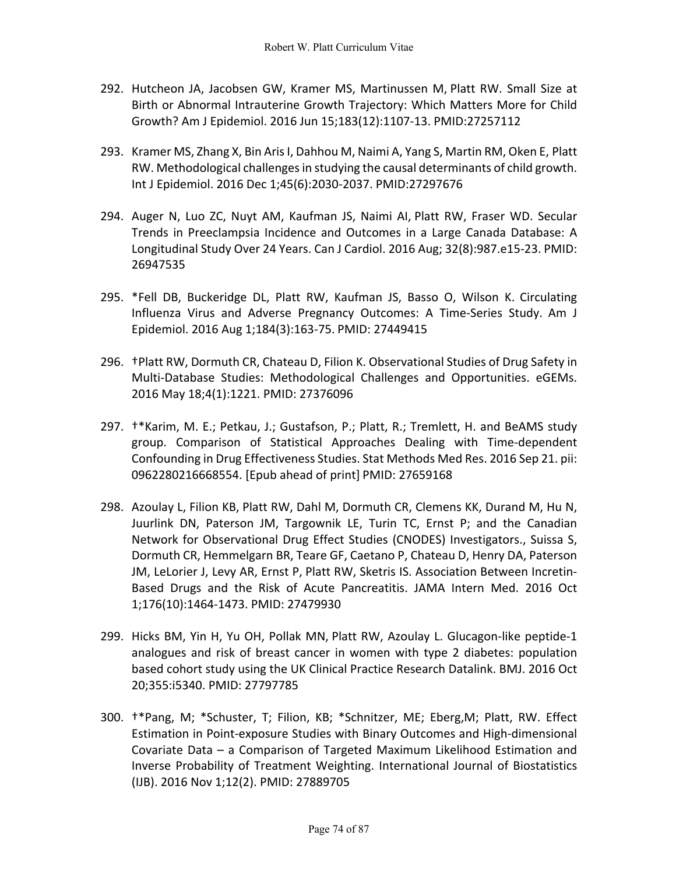- 292. Hutcheon JA, Jacobsen GW, Kramer MS, Martinussen M, Platt RW. Small Size at Birth or Abnormal Intrauterine Growth Trajectory: Which Matters More for Child Growth? Am J Epidemiol. 2016 Jun 15;183(12):1107-13. PMID:27257112
- 293. Kramer MS, Zhang X, Bin Aris I, Dahhou M, Naimi A, Yang S, Martin RM, Oken E, Platt RW. Methodological challenges in studying the causal determinants of child growth. Int J Epidemiol. 2016 Dec 1;45(6):2030-2037. PMID:27297676
- 294. Auger N, Luo ZC, Nuyt AM, Kaufman JS, Naimi AI, Platt RW, Fraser WD. Secular Trends in Preeclampsia Incidence and Outcomes in a Large Canada Database: A Longitudinal Study Over 24 Years. Can J Cardiol. 2016 Aug; 32(8):987.e15-23. PMID: 26947535
- 295. \*Fell DB, Buckeridge DL, Platt RW, Kaufman JS, Basso O, Wilson K. Circulating Influenza Virus and Adverse Pregnancy Outcomes: A Time-Series Study. Am J Epidemiol. 2016 Aug 1;184(3):163-75. PMID: 27449415
- 296. †Platt RW, Dormuth CR, Chateau D, Filion K. Observational Studies of Drug Safety in Multi-Database Studies: Methodological Challenges and Opportunities. eGEMs. 2016 May 18;4(1):1221. PMID: 27376096
- 297. †\*Karim, M. E.; Petkau, J.; Gustafson, P.; Platt, R.; Tremlett, H. and BeAMS study group. Comparison of Statistical Approaches Dealing with Time-dependent Confounding in Drug Effectiveness Studies. Stat Methods Med Res. 2016 Sep 21. pii: 0962280216668554. [Epub ahead of print] PMID: 27659168
- 298. Azoulay L, Filion KB, Platt RW, Dahl M, Dormuth CR, Clemens KK, Durand M, Hu N, Juurlink DN, Paterson JM, Targownik LE, Turin TC, Ernst P; and the Canadian Network for Observational Drug Effect Studies (CNODES) Investigators., Suissa S, Dormuth CR, Hemmelgarn BR, Teare GF, Caetano P, Chateau D, Henry DA, Paterson JM, LeLorier J, Levy AR, Ernst P, Platt RW, Sketris IS. Association Between Incretin-Based Drugs and the Risk of Acute Pancreatitis. JAMA Intern Med. 2016 Oct 1;176(10):1464-1473. PMID: 27479930
- 299. Hicks BM, Yin H, Yu OH, Pollak MN, Platt RW, Azoulay L. Glucagon-like peptide-1 analogues and risk of breast cancer in women with type 2 diabetes: population based cohort study using the UK Clinical Practice Research Datalink. BMJ. 2016 Oct 20;355:i5340. PMID: 27797785
- 300. †\*Pang, M; \*Schuster, T; Filion, KB; \*Schnitzer, ME; Eberg,M; Platt, RW. Effect Estimation in Point-exposure Studies with Binary Outcomes and High-dimensional Covariate Data – a Comparison of Targeted Maximum Likelihood Estimation and Inverse Probability of Treatment Weighting. International Journal of Biostatistics (IJB). 2016 Nov 1;12(2). PMID: 27889705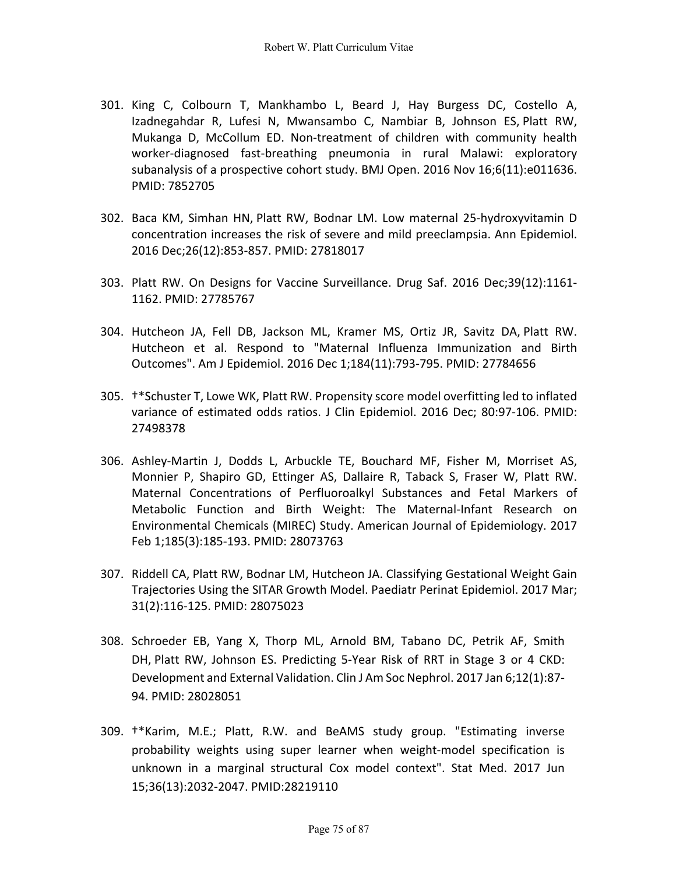- 301. King C, Colbourn T, Mankhambo L, Beard J, Hay Burgess DC, Costello A, Izadnegahdar R, Lufesi N, Mwansambo C, Nambiar B, Johnson ES, Platt RW, Mukanga D, McCollum ED. Non-treatment of children with community health worker-diagnosed fast-breathing pneumonia in rural Malawi: exploratory subanalysis of a prospective cohort study. BMJ Open. 2016 Nov 16;6(11):e011636. PMID: 7852705
- 302. Baca KM, Simhan HN, Platt RW, Bodnar LM. Low maternal 25-hydroxyvitamin D concentration increases the risk of severe and mild preeclampsia. Ann Epidemiol. 2016 Dec;26(12):853-857. PMID: 27818017
- 303. Platt RW. On Designs for Vaccine Surveillance. Drug Saf. 2016 Dec;39(12):1161- 1162. PMID: 27785767
- 304. Hutcheon JA, Fell DB, Jackson ML, Kramer MS, Ortiz JR, Savitz DA, Platt RW. Hutcheon et al. Respond to "Maternal Influenza Immunization and Birth Outcomes". Am J Epidemiol. 2016 Dec 1;184(11):793-795. PMID: 27784656
- 305. †\*Schuster T, Lowe WK, Platt RW. Propensity score model overfitting led to inflated variance of estimated odds ratios. J Clin Epidemiol. 2016 Dec; 80:97-106. PMID: 27498378
- 306. Ashley-Martin J, Dodds L, Arbuckle TE, Bouchard MF, Fisher M, Morriset AS, Monnier P, Shapiro GD, Ettinger AS, Dallaire R, Taback S, Fraser W, Platt RW. Maternal Concentrations of Perfluoroalkyl Substances and Fetal Markers of Metabolic Function and Birth Weight: The Maternal-Infant Research on Environmental Chemicals (MIREC) Study. American Journal of Epidemiology. 2017 Feb 1;185(3):185-193. PMID: 28073763
- 307. Riddell CA, Platt RW, Bodnar LM, Hutcheon JA. Classifying Gestational Weight Gain Trajectories Using the SITAR Growth Model. Paediatr Perinat Epidemiol. 2017 Mar; 31(2):116-125. PMID: 28075023
- 308. Schroeder EB, Yang X, Thorp ML, Arnold BM, Tabano DC, Petrik AF, Smith DH, Platt RW, Johnson ES. Predicting 5-Year Risk of RRT in Stage 3 or 4 CKD: Development and External Validation. Clin J Am Soc Nephrol. 2017 Jan 6;12(1):87- 94. PMID: 28028051
- 309. †\*Karim, M.E.; Platt, R.W. and BeAMS study group. "Estimating inverse probability weights using super learner when weight-model specification is unknown in a marginal structural Cox model context". Stat Med. 2017 Jun 15;36(13):2032-2047. PMID:28219110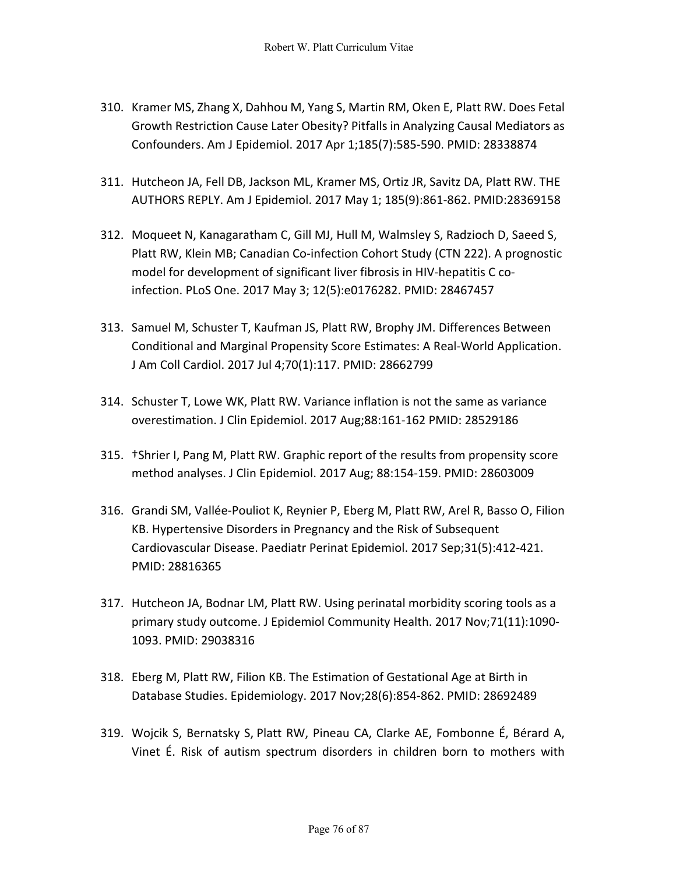- 310. Kramer MS, Zhang X, Dahhou M, Yang S, Martin RM, Oken E, Platt RW. Does Fetal Growth Restriction Cause Later Obesity? Pitfalls in Analyzing Causal Mediators as Confounders. Am J Epidemiol. 2017 Apr 1;185(7):585-590. PMID: 28338874
- 311. Hutcheon JA, Fell DB, Jackson ML, Kramer MS, Ortiz JR, Savitz DA, Platt RW. THE AUTHORS REPLY. Am J Epidemiol. 2017 May 1; 185(9):861-862. PMID:28369158
- 312. Moqueet N, Kanagaratham C, Gill MJ, Hull M, Walmsley S, Radzioch D, Saeed S, Platt RW, Klein MB; Canadian Co-infection Cohort Study (CTN 222). A prognostic model for development of significant liver fibrosis in HIV-hepatitis C coinfection. PLoS One. 2017 May 3; 12(5):e0176282. PMID: 28467457
- 313. Samuel M, Schuster T, Kaufman JS, Platt RW, Brophy JM. Differences Between Conditional and Marginal Propensity Score Estimates: A Real-World Application. J Am Coll Cardiol. 2017 Jul 4;70(1):117. PMID: 28662799
- 314. Schuster T, Lowe WK, Platt RW. Variance inflation is not the same as variance overestimation. J Clin Epidemiol. 2017 Aug;88:161-162 PMID: 28529186
- 315. †Shrier I, Pang M, Platt RW. Graphic report of the results from propensity score method analyses. J Clin Epidemiol. 2017 Aug; 88:154-159. PMID: 28603009
- 316. Grandi SM, Vallée-Pouliot K, Reynier P, Eberg M, Platt RW, Arel R, Basso O, Filion KB. Hypertensive Disorders in Pregnancy and the Risk of Subsequent Cardiovascular Disease. Paediatr Perinat Epidemiol. 2017 Sep;31(5):412-421. PMID: 28816365
- 317. Hutcheon JA, Bodnar LM, Platt RW. Using perinatal morbidity scoring tools as a primary study outcome. J Epidemiol Community Health. 2017 Nov;71(11):1090- 1093. PMID: 29038316
- 318. Eberg M, Platt RW, Filion KB. The Estimation of Gestational Age at Birth in Database Studies. Epidemiology. 2017 Nov;28(6):854-862. PMID: 28692489
- 319. Wojcik S, Bernatsky S, Platt RW, Pineau CA, Clarke AE, Fombonne É, Bérard A, Vinet É. Risk of autism spectrum disorders in children born to mothers with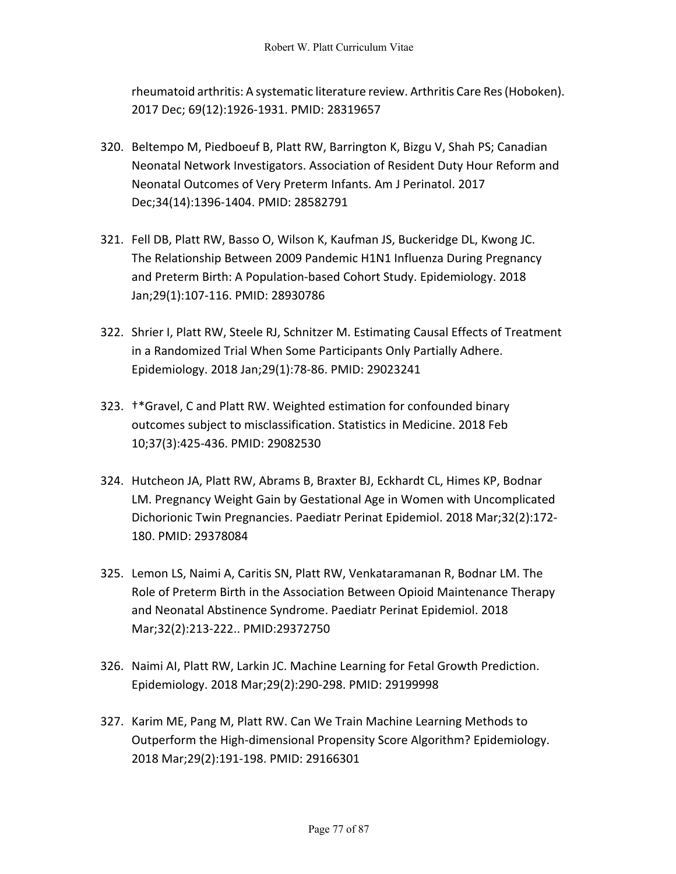rheumatoid arthritis: A systematic literature review. Arthritis Care Res (Hoboken). 2017 Dec; 69(12):1926-1931. PMID: 28319657

- 320. Beltempo M, Piedboeuf B, Platt RW, Barrington K, Bizgu V, Shah PS; Canadian Neonatal Network Investigators. Association of Resident Duty Hour Reform and Neonatal Outcomes of Very Preterm Infants. Am J Perinatol. 2017 Dec;34(14):1396-1404. PMID: 28582791
- 321. Fell DB, Platt RW, Basso O, Wilson K, Kaufman JS, Buckeridge DL, Kwong JC. The Relationship Between 2009 Pandemic H1N1 Influenza During Pregnancy and Preterm Birth: A Population-based Cohort Study. Epidemiology. 2018 Jan;29(1):107-116. PMID: 28930786
- 322. Shrier I, Platt RW, Steele RJ, Schnitzer M. Estimating Causal Effects of Treatment in a Randomized Trial When Some Participants Only Partially Adhere. Epidemiology. 2018 Jan;29(1):78-86. PMID: 29023241
- 323. †\*Gravel, C and Platt RW. Weighted estimation for confounded binary outcomes subject to misclassification. Statistics in Medicine. 2018 Feb 10;37(3):425-436. PMID: 29082530
- 324. Hutcheon JA, Platt RW, Abrams B, Braxter BJ, Eckhardt CL, Himes KP, Bodnar LM. Pregnancy Weight Gain by Gestational Age in Women with Uncomplicated Dichorionic Twin Pregnancies. Paediatr Perinat Epidemiol. 2018 Mar;32(2):172- 180. PMID: 29378084
- 325. Lemon LS, Naimi A, Caritis SN, Platt RW, Venkataramanan R, Bodnar LM. The Role of Preterm Birth in the Association Between Opioid Maintenance Therapy and Neonatal Abstinence Syndrome. Paediatr Perinat Epidemiol. 2018 Mar;32(2):213-222.. PMID:29372750
- 326. Naimi AI, Platt RW, Larkin JC. Machine Learning for Fetal Growth Prediction. Epidemiology. 2018 Mar;29(2):290-298. PMID: 29199998
- 327. Karim ME, Pang M, Platt RW. Can We Train Machine Learning Methods to Outperform the High-dimensional Propensity Score Algorithm? Epidemiology. 2018 Mar;29(2):191-198. PMID: 29166301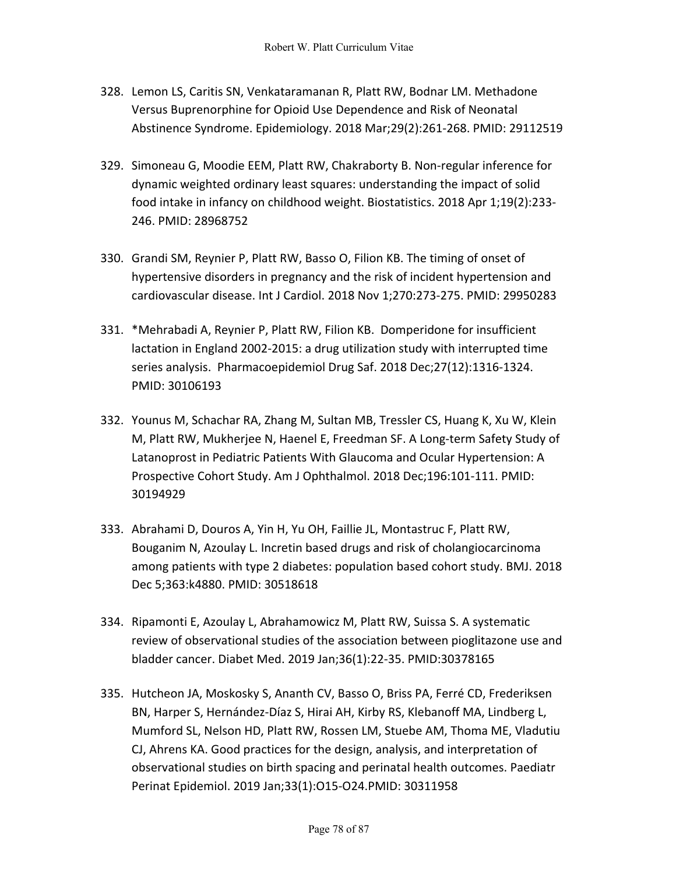- 328. Lemon LS, Caritis SN, Venkataramanan R, Platt RW, Bodnar LM. Methadone Versus Buprenorphine for Opioid Use Dependence and Risk of Neonatal Abstinence Syndrome. Epidemiology. 2018 Mar;29(2):261-268. PMID: 29112519
- 329. Simoneau G, Moodie EEM, Platt RW, Chakraborty B. Non-regular inference for dynamic weighted ordinary least squares: understanding the impact of solid food intake in infancy on childhood weight. Biostatistics. 2018 Apr 1;19(2):233- 246. PMID: 28968752
- 330. Grandi SM, Reynier P, Platt RW, Basso O, Filion KB. The timing of onset of hypertensive disorders in pregnancy and the risk of incident hypertension and cardiovascular disease. Int J Cardiol. 2018 Nov 1;270:273-275. PMID: 29950283
- 331. \*Mehrabadi A, Reynier P, Platt RW, Filion KB. Domperidone for insufficient lactation in England 2002-2015: a drug utilization study with interrupted time series analysis. Pharmacoepidemiol Drug Saf. 2018 Dec;27(12):1316-1324. PMID: 30106193
- 332. Younus M, Schachar RA, Zhang M, Sultan MB, Tressler CS, Huang K, Xu W, Klein M, Platt RW, Mukherjee N, Haenel E, Freedman SF. A Long-term Safety Study of Latanoprost in Pediatric Patients With Glaucoma and Ocular Hypertension: A Prospective Cohort Study. Am J Ophthalmol. 2018 Dec;196:101-111. PMID: 30194929
- 333. Abrahami D, Douros A, Yin H, Yu OH, Faillie JL, Montastruc F, Platt RW, Bouganim N, Azoulay L. Incretin based drugs and risk of cholangiocarcinoma among patients with type 2 diabetes: population based cohort study. BMJ. 2018 Dec 5;363:k4880. PMID: 30518618
- 334. Ripamonti E, Azoulay L, Abrahamowicz M, Platt RW, Suissa S. A systematic review of observational studies of the association between pioglitazone use and bladder cancer. Diabet Med. 2019 Jan;36(1):22-35. PMID:30378165
- 335. Hutcheon JA, Moskosky S, Ananth CV, Basso O, Briss PA, Ferré CD, Frederiksen BN, Harper S, Hernández-Díaz S, Hirai AH, Kirby RS, Klebanoff MA, Lindberg L, Mumford SL, Nelson HD, Platt RW, Rossen LM, Stuebe AM, Thoma ME, Vladutiu CJ, Ahrens KA. Good practices for the design, analysis, and interpretation of observational studies on birth spacing and perinatal health outcomes. Paediatr Perinat Epidemiol. 2019 Jan;33(1):O15-O24.PMID: 30311958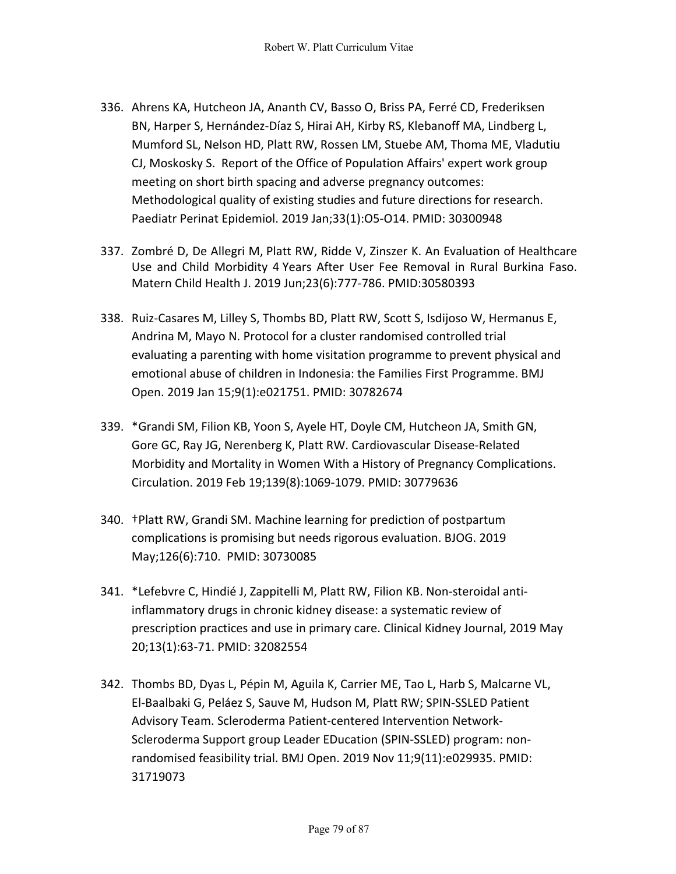- 336. Ahrens KA, Hutcheon JA, Ananth CV, Basso O, Briss PA, Ferré CD, Frederiksen BN, Harper S, Hernández-Díaz S, Hirai AH, Kirby RS, Klebanoff MA, Lindberg L, Mumford SL, Nelson HD, Platt RW, Rossen LM, Stuebe AM, Thoma ME, Vladutiu CJ, Moskosky S. Report of the Office of Population Affairs' expert work group meeting on short birth spacing and adverse pregnancy outcomes: Methodological quality of existing studies and future directions for research. Paediatr Perinat Epidemiol. 2019 Jan;33(1):O5-O14. PMID: 30300948
- 337. Zombré D, De Allegri M, Platt RW, Ridde V, Zinszer K. An Evaluation of Healthcare Use and Child Morbidity 4 Years After User Fee Removal in Rural Burkina Faso. Matern Child Health J. 2019 Jun;23(6):777-786. PMID:30580393
- 338. Ruiz-Casares M, Lilley S, Thombs BD, Platt RW, Scott S, Isdijoso W, Hermanus E, Andrina M, Mayo N. Protocol for a cluster randomised controlled trial evaluating a parenting with home visitation programme to prevent physical and emotional abuse of children in Indonesia: the Families First Programme. BMJ Open. 2019 Jan 15;9(1):e021751. PMID: 30782674
- 339. \*Grandi SM, Filion KB, Yoon S, Ayele HT, Doyle CM, Hutcheon JA, Smith GN, Gore GC, Ray JG, Nerenberg K, Platt RW. Cardiovascular Disease-Related Morbidity and Mortality in Women With a History of Pregnancy Complications. Circulation. 2019 Feb 19;139(8):1069-1079. PMID: 30779636
- 340. †Platt RW, Grandi SM. Machine learning for prediction of postpartum complications is promising but needs rigorous evaluation. BJOG. 2019 May;126(6):710. PMID: 30730085
- 341. \*Lefebvre C, Hindié J, Zappitelli M, Platt RW, Filion KB. Non-steroidal antiinflammatory drugs in chronic kidney disease: a systematic review of prescription practices and use in primary care. Clinical Kidney Journal, 2019 May 20;13(1):63-71. PMID: 32082554
- 342. Thombs BD, Dyas L, Pépin M, Aguila K, Carrier ME, Tao L, Harb S, Malcarne VL, El-Baalbaki G, Peláez S, Sauve M, Hudson M, Platt RW; SPIN-SSLED Patient Advisory Team. Scleroderma Patient-centered Intervention Network-Scleroderma Support group Leader EDucation (SPIN-SSLED) program: nonrandomised feasibility trial. BMJ Open. 2019 Nov 11;9(11):e029935. PMID: 31719073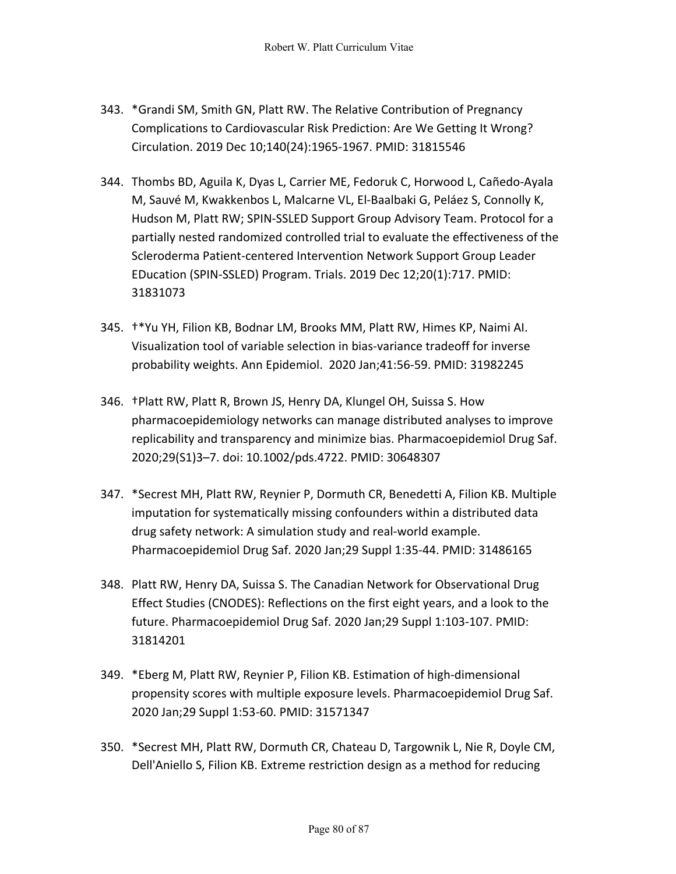- 343. \*Grandi SM, Smith GN, Platt RW. The Relative Contribution of Pregnancy Complications to Cardiovascular Risk Prediction: Are We Getting It Wrong? Circulation. 2019 Dec 10;140(24):1965-1967. PMID: 31815546
- 344. Thombs BD, Aguila K, Dyas L, Carrier ME, Fedoruk C, Horwood L, Cañedo-Ayala M, Sauvé M, Kwakkenbos L, Malcarne VL, El-Baalbaki G, Peláez S, Connolly K, Hudson M, Platt RW; SPIN-SSLED Support Group Advisory Team. Protocol for a partially nested randomized controlled trial to evaluate the effectiveness of the Scleroderma Patient-centered Intervention Network Support Group Leader EDucation (SPIN-SSLED) Program. Trials. 2019 Dec 12;20(1):717. PMID: 31831073
- 345. †\*Yu YH, Filion KB, Bodnar LM, Brooks MM, Platt RW, Himes KP, Naimi AI. Visualization tool of variable selection in bias-variance tradeoff for inverse probability weights. Ann Epidemiol. 2020 Jan;41:56-59. PMID: 31982245
- 346. †Platt RW, Platt R, Brown JS, Henry DA, Klungel OH, Suissa S. How pharmacoepidemiology networks can manage distributed analyses to improve replicability and transparency and minimize bias. Pharmacoepidemiol Drug Saf. 2020;29(S1)3–7. doi: 10.1002/pds.4722. PMID: 30648307
- 347. \*Secrest MH, Platt RW, Reynier P, Dormuth CR, Benedetti A, Filion KB. Multiple imputation for systematically missing confounders within a distributed data drug safety network: A simulation study and real-world example. Pharmacoepidemiol Drug Saf. 2020 Jan;29 Suppl 1:35-44. PMID: 31486165
- 348. Platt RW, Henry DA, Suissa S. The Canadian Network for Observational Drug Effect Studies (CNODES): Reflections on the first eight years, and a look to the future. Pharmacoepidemiol Drug Saf. 2020 Jan;29 Suppl 1:103-107. PMID: 31814201
- 349. \*Eberg M, Platt RW, Reynier P, Filion KB. Estimation of high-dimensional propensity scores with multiple exposure levels. Pharmacoepidemiol Drug Saf. 2020 Jan;29 Suppl 1:53-60. PMID: 31571347
- 350. \*Secrest MH, Platt RW, Dormuth CR, Chateau D, Targownik L, Nie R, Doyle CM, Dell'Aniello S, Filion KB. Extreme restriction design as a method for reducing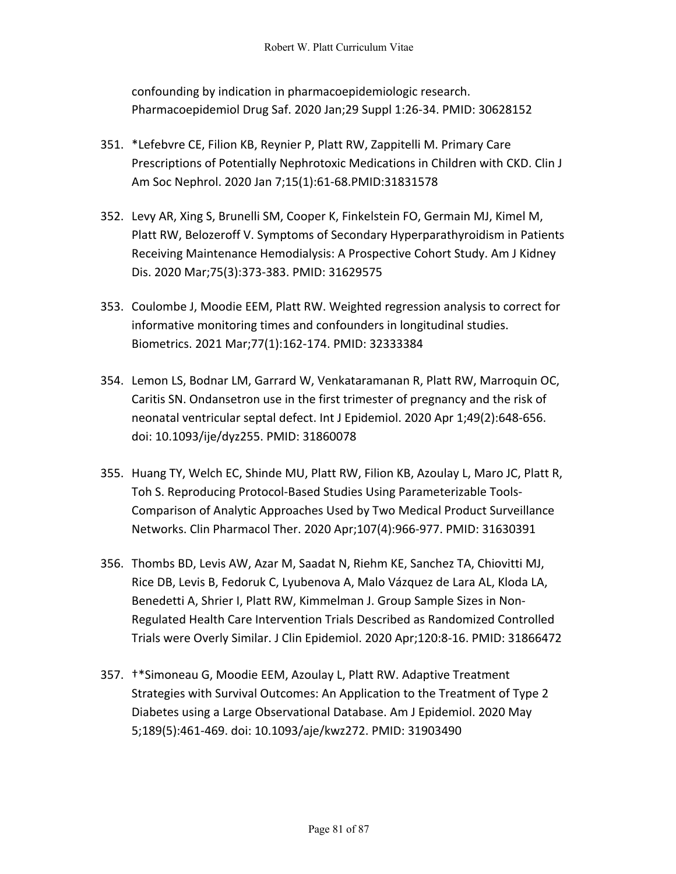confounding by indication in pharmacoepidemiologic research. Pharmacoepidemiol Drug Saf. 2020 Jan;29 Suppl 1:26-34. PMID: 30628152

- 351. \*Lefebvre CE, Filion KB, Reynier P, Platt RW, Zappitelli M. Primary Care Prescriptions of Potentially Nephrotoxic Medications in Children with CKD. Clin J Am Soc Nephrol. 2020 Jan 7;15(1):61-68.PMID:31831578
- 352. Levy AR, Xing S, Brunelli SM, Cooper K, Finkelstein FO, Germain MJ, Kimel M, Platt RW, Belozeroff V. Symptoms of Secondary Hyperparathyroidism in Patients Receiving Maintenance Hemodialysis: A Prospective Cohort Study. Am J Kidney Dis. 2020 Mar;75(3):373-383. PMID: 31629575
- 353. Coulombe J, Moodie EEM, Platt RW. Weighted regression analysis to correct for informative monitoring times and confounders in longitudinal studies. Biometrics. 2021 Mar;77(1):162-174. PMID: 32333384
- 354. Lemon LS, Bodnar LM, Garrard W, Venkataramanan R, Platt RW, Marroquin OC, Caritis SN. Ondansetron use in the first trimester of pregnancy and the risk of neonatal ventricular septal defect. Int J Epidemiol. 2020 Apr 1;49(2):648-656. doi: 10.1093/ije/dyz255. PMID: 31860078
- 355. Huang TY, Welch EC, Shinde MU, Platt RW, Filion KB, Azoulay L, Maro JC, Platt R, Toh S. Reproducing Protocol-Based Studies Using Parameterizable Tools-Comparison of Analytic Approaches Used by Two Medical Product Surveillance Networks. Clin Pharmacol Ther. 2020 Apr;107(4):966-977. PMID: 31630391
- 356. Thombs BD, Levis AW, Azar M, Saadat N, Riehm KE, Sanchez TA, Chiovitti MJ, Rice DB, Levis B, Fedoruk C, Lyubenova A, Malo Vázquez de Lara AL, Kloda LA, Benedetti A, Shrier I, Platt RW, Kimmelman J. Group Sample Sizes in Non-Regulated Health Care Intervention Trials Described as Randomized Controlled Trials were Overly Similar. J Clin Epidemiol. 2020 Apr;120:8-16. PMID: 31866472
- 357. †\*Simoneau G, Moodie EEM, Azoulay L, Platt RW. Adaptive Treatment Strategies with Survival Outcomes: An Application to the Treatment of Type 2 Diabetes using a Large Observational Database. Am J Epidemiol. 2020 May 5;189(5):461-469. doi: 10.1093/aje/kwz272. PMID: 31903490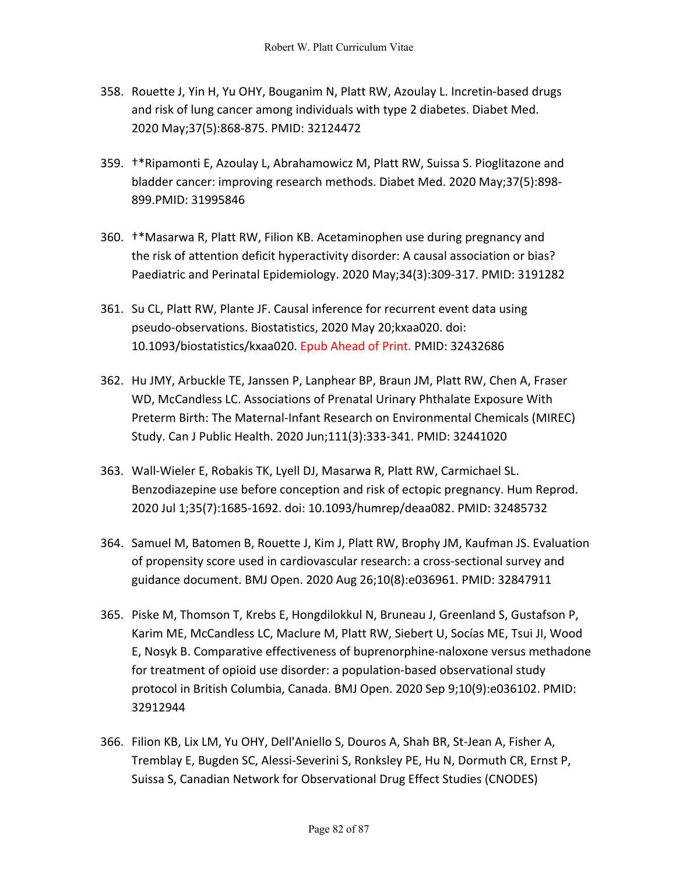- 358. Rouette J, Yin H, Yu OHY, Bouganim N, Platt RW, Azoulay L. Incretin-based drugs and risk of lung cancer among individuals with type 2 diabetes. Diabet Med. 2020 May;37(5):868-875. PMID: 32124472
- 359. †\*Ripamonti E, Azoulay L, Abrahamowicz M, Platt RW, Suissa S. Pioglitazone and bladder cancer: improving research methods. Diabet Med. 2020 May;37(5):898- 899.PMID: 31995846
- 360. †\*Masarwa R, Platt RW, Filion KB. Acetaminophen use during pregnancy and the risk of attention deficit hyperactivity disorder: A causal association or bias? Paediatric and Perinatal Epidemiology. 2020 May;34(3):309-317. PMID: 3191282
- 361. Su CL, Platt RW, Plante JF. Causal inference for recurrent event data using pseudo-observations. Biostatistics, 2020 May 20;kxaa020. doi: 10.1093/biostatistics/kxaa020. Epub Ahead of Print. PMID: 32432686
- 362. Hu JMY, Arbuckle TE, Janssen P, Lanphear BP, Braun JM, Platt RW, Chen A, Fraser WD, McCandless LC. Associations of Prenatal Urinary Phthalate Exposure With Preterm Birth: The Maternal-Infant Research on Environmental Chemicals (MIREC) Study. Can J Public Health. 2020 Jun;111(3):333-341. PMID: 32441020
- 363. Wall-Wieler E, Robakis TK, Lyell DJ, Masarwa R, Platt RW, Carmichael SL. Benzodiazepine use before conception and risk of ectopic pregnancy. Hum Reprod. 2020 Jul 1;35(7):1685-1692. doi: 10.1093/humrep/deaa082. PMID: 32485732
- 364. Samuel M, Batomen B, Rouette J, Kim J, Platt RW, Brophy JM, Kaufman JS. Evaluation of propensity score used in cardiovascular research: a cross-sectional survey and guidance document. BMJ Open. 2020 Aug 26;10(8):e036961. PMID: 32847911
- 365. Piske M, Thomson T, Krebs E, Hongdilokkul N, Bruneau J, Greenland S, Gustafson P, Karim ME, McCandless LC, Maclure M, Platt RW, Siebert U, Socías ME, Tsui JI, Wood E, Nosyk B. Comparative effectiveness of buprenorphine-naloxone versus methadone for treatment of opioid use disorder: a population-based observational study protocol in British Columbia, Canada. BMJ Open. 2020 Sep 9;10(9):e036102. PMID: 32912944
- 366. Filion KB, Lix LM, Yu OHY, Dell'Aniello S, Douros A, Shah BR, St-Jean A, Fisher A, Tremblay E, Bugden SC, Alessi-Severini S, Ronksley PE, Hu N, Dormuth CR, Ernst P, Suissa S, Canadian Network for Observational Drug Effect Studies (CNODES)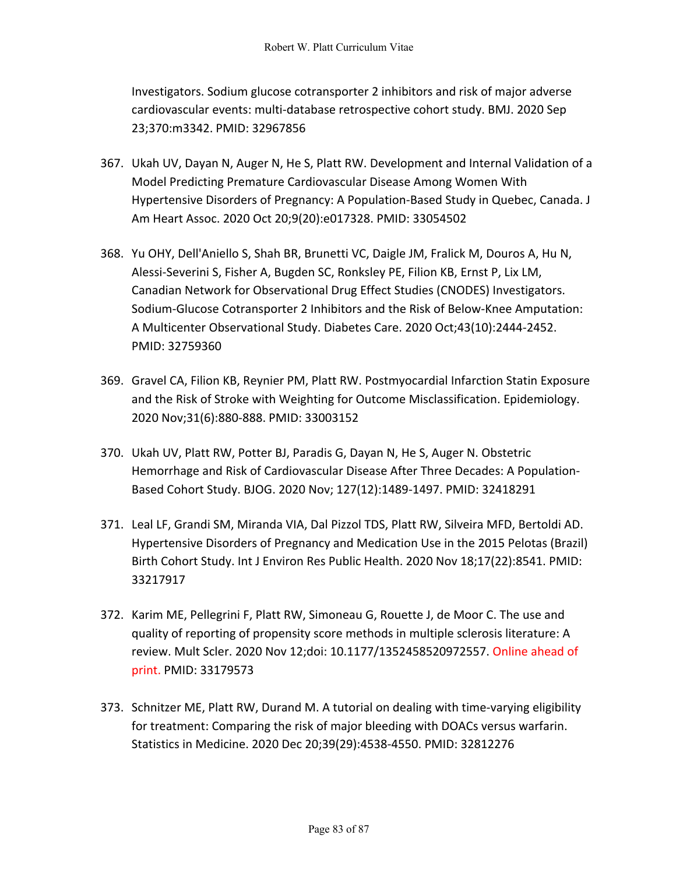Investigators. Sodium glucose cotransporter 2 inhibitors and risk of major adverse cardiovascular events: multi-database retrospective cohort study. BMJ. 2020 Sep 23;370:m3342. PMID: 32967856

- 367. Ukah UV, Dayan N, Auger N, He S, Platt RW. Development and Internal Validation of a Model Predicting Premature Cardiovascular Disease Among Women With Hypertensive Disorders of Pregnancy: A Population-Based Study in Quebec, Canada. J Am Heart Assoc. 2020 Oct 20;9(20):e017328. PMID: 33054502
- 368. Yu OHY, Dell'Aniello S, Shah BR, Brunetti VC, Daigle JM, Fralick M, Douros A, Hu N, Alessi-Severini S, Fisher A, Bugden SC, Ronksley PE, Filion KB, Ernst P, Lix LM, Canadian Network for Observational Drug Effect Studies (CNODES) Investigators. Sodium-Glucose Cotransporter 2 Inhibitors and the Risk of Below-Knee Amputation: A Multicenter Observational Study. Diabetes Care. 2020 Oct;43(10):2444-2452. PMID: 32759360
- 369. Gravel CA, Filion KB, Reynier PM, Platt RW. Postmyocardial Infarction Statin Exposure and the Risk of Stroke with Weighting for Outcome Misclassification. Epidemiology. 2020 Nov;31(6):880-888. PMID: 33003152
- 370. Ukah UV, Platt RW, Potter BJ, Paradis G, Dayan N, He S, Auger N. Obstetric Hemorrhage and Risk of Cardiovascular Disease After Three Decades: A Population-Based Cohort Study. BJOG. 2020 Nov; 127(12):1489-1497. PMID: 32418291
- 371. Leal LF, Grandi SM, Miranda VIA, Dal Pizzol TDS, Platt RW, Silveira MFD, Bertoldi AD. Hypertensive Disorders of Pregnancy and Medication Use in the 2015 Pelotas (Brazil) Birth Cohort Study. Int J Environ Res Public Health. 2020 Nov 18;17(22):8541. PMID: 33217917
- 372. Karim ME, Pellegrini F, Platt RW, Simoneau G, Rouette J, de Moor C. The use and quality of reporting of propensity score methods in multiple sclerosis literature: A review. Mult Scler. 2020 Nov 12;doi: 10.1177/1352458520972557. Online ahead of print. PMID: 33179573
- 373. Schnitzer ME, Platt RW, Durand M. A tutorial on dealing with time-varying eligibility for treatment: Comparing the risk of major bleeding with DOACs versus warfarin. Statistics in Medicine. 2020 Dec 20;39(29):4538-4550. PMID: 32812276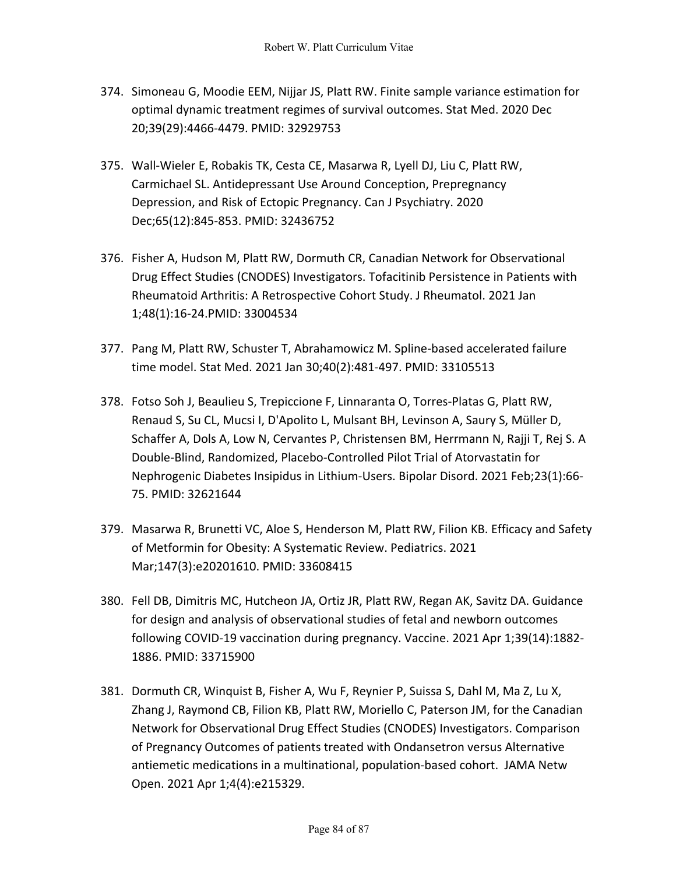- 374. Simoneau G, Moodie EEM, Nijjar JS, Platt RW. Finite sample variance estimation for optimal dynamic treatment regimes of survival outcomes. Stat Med. 2020 Dec 20;39(29):4466-4479. PMID: 32929753
- 375. Wall-Wieler E, Robakis TK, Cesta CE, Masarwa R, Lyell DJ, Liu C, Platt RW, Carmichael SL. Antidepressant Use Around Conception, Prepregnancy Depression, and Risk of Ectopic Pregnancy. Can J Psychiatry. 2020 Dec;65(12):845-853. PMID: 32436752
- 376. Fisher A, Hudson M, Platt RW, Dormuth CR, Canadian Network for Observational Drug Effect Studies (CNODES) Investigators. Tofacitinib Persistence in Patients with Rheumatoid Arthritis: A Retrospective Cohort Study. J Rheumatol. 2021 Jan 1;48(1):16-24.PMID: 33004534
- 377. Pang M, Platt RW, Schuster T, Abrahamowicz M. Spline-based accelerated failure time model. Stat Med. 2021 Jan 30;40(2):481-497. PMID: 33105513
- 378. Fotso Soh J, Beaulieu S, Trepiccione F, Linnaranta O, Torres-Platas G, Platt RW, Renaud S, Su CL, Mucsi I, D'Apolito L, Mulsant BH, Levinson A, Saury S, Müller D, Schaffer A, Dols A, Low N, Cervantes P, Christensen BM, Herrmann N, Rajji T, Rej S. A Double-Blind, Randomized, Placebo-Controlled Pilot Trial of Atorvastatin for Nephrogenic Diabetes Insipidus in Lithium-Users. Bipolar Disord. 2021 Feb;23(1):66- 75. PMID: 32621644
- 379. Masarwa R, Brunetti VC, Aloe S, Henderson M, Platt RW, Filion KB. Efficacy and Safety of Metformin for Obesity: A Systematic Review. Pediatrics. 2021 Mar;147(3):e20201610. PMID: 33608415
- 380. Fell DB, Dimitris MC, Hutcheon JA, Ortiz JR, Platt RW, Regan AK, Savitz DA. Guidance for design and analysis of observational studies of fetal and newborn outcomes following COVID-19 vaccination during pregnancy. Vaccine. 2021 Apr 1;39(14):1882- 1886. PMID: 33715900
- 381. Dormuth CR, Winquist B, Fisher A, Wu F, Reynier P, Suissa S, Dahl M, Ma Z, Lu X, Zhang J, Raymond CB, Filion KB, Platt RW, Moriello C, Paterson JM, for the Canadian Network for Observational Drug Effect Studies (CNODES) Investigators. Comparison of Pregnancy Outcomes of patients treated with Ondansetron versus Alternative antiemetic medications in a multinational, population-based cohort. JAMA Netw Open. 2021 Apr 1;4(4):e215329.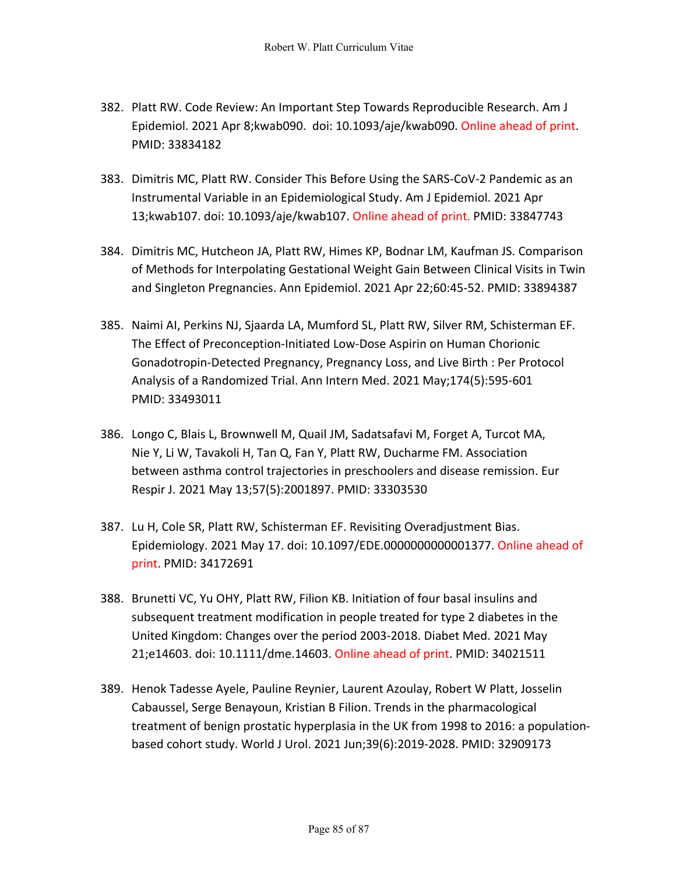- 382. Platt RW. Code Review: An Important Step Towards Reproducible Research. Am J Epidemiol. 2021 Apr 8;kwab090. doi: 10.1093/aje/kwab090. Online ahead of print. PMID: 33834182
- 383. Dimitris MC, Platt RW. Consider This Before Using the SARS-CoV-2 Pandemic as an Instrumental Variable in an Epidemiological Study. Am J Epidemiol. 2021 Apr 13;kwab107. doi: 10.1093/aje/kwab107. Online ahead of print. PMID: 33847743
- 384. Dimitris MC, Hutcheon JA, Platt RW, Himes KP, Bodnar LM, Kaufman JS. Comparison of Methods for Interpolating Gestational Weight Gain Between Clinical Visits in Twin and Singleton Pregnancies. Ann Epidemiol. 2021 Apr 22;60:45-52. PMID: 33894387
- 385. Naimi AI, Perkins NJ, Sjaarda LA, Mumford SL, Platt RW, Silver RM, Schisterman EF. The Effect of Preconception-Initiated Low-Dose Aspirin on Human Chorionic Gonadotropin-Detected Pregnancy, Pregnancy Loss, and Live Birth : Per Protocol Analysis of a Randomized Trial. Ann Intern Med. 2021 May;174(5):595-601 PMID: 33493011
- 386. Longo C, Blais L, Brownwell M, Quail JM, Sadatsafavi M, Forget A, Turcot MA, Nie Y, Li W, Tavakoli H, Tan Q, Fan Y, Platt RW, Ducharme FM. Association between asthma control trajectories in preschoolers and disease remission. Eur Respir J. 2021 May 13;57(5):2001897. PMID: 33303530
- 387. Lu H, Cole SR, Platt RW, Schisterman EF. Revisiting Overadjustment Bias. Epidemiology. 2021 May 17. doi: 10.1097/EDE.0000000000001377. Online ahead of print. PMID: 34172691
- 388. Brunetti VC, Yu OHY, Platt RW, Filion KB. Initiation of four basal insulins and subsequent treatment modification in people treated for type 2 diabetes in the United Kingdom: Changes over the period 2003-2018. Diabet Med. 2021 May 21;e14603. doi: 10.1111/dme.14603. Online ahead of print. PMID: 34021511
- 389. Henok Tadesse Ayele, Pauline Reynier, Laurent Azoulay, Robert W Platt, Josselin Cabaussel, Serge Benayoun, Kristian B Filion. Trends in the pharmacological treatment of benign prostatic hyperplasia in the UK from 1998 to 2016: a populationbased cohort study. World J Urol. 2021 Jun;39(6):2019-2028. PMID: 32909173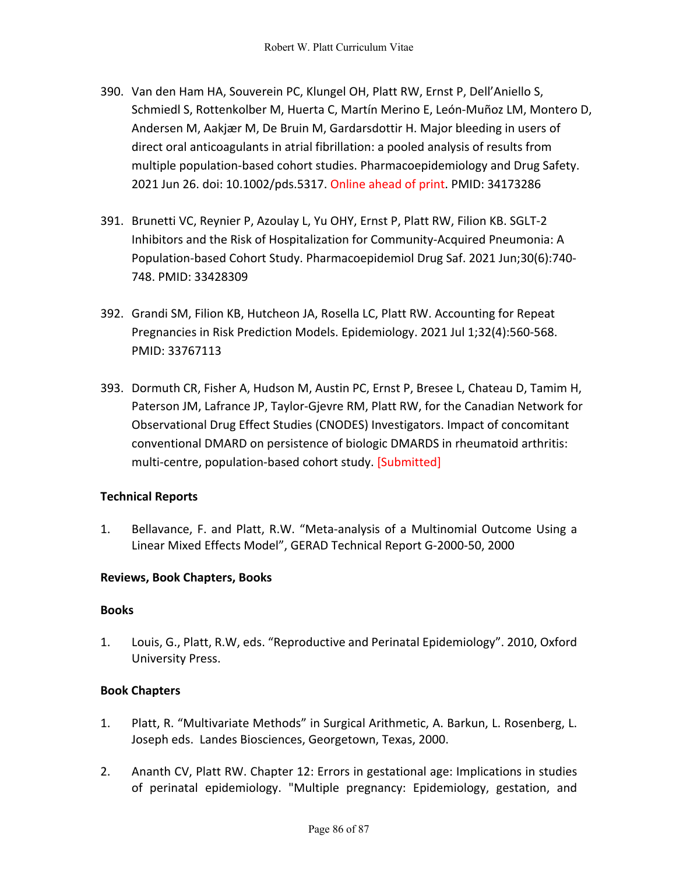- 390. Van den Ham HA, Souverein PC, Klungel OH, Platt RW, Ernst P, Dell'Aniello S, Schmiedl S, Rottenkolber M, Huerta C, Martín Merino E, León-Muñoz LM, Montero D, Andersen M, Aakjær M, De Bruin M, Gardarsdottir H. Major bleeding in users of direct oral anticoagulants in atrial fibrillation: a pooled analysis of results from multiple population-based cohort studies. Pharmacoepidemiology and Drug Safety. 2021 Jun 26. doi: 10.1002/pds.5317. Online ahead of print. PMID: 34173286
- 391. Brunetti VC, Reynier P, Azoulay L, Yu OHY, Ernst P, Platt RW, Filion KB. SGLT-2 Inhibitors and the Risk of Hospitalization for Community-Acquired Pneumonia: A Population-based Cohort Study. Pharmacoepidemiol Drug Saf. 2021 Jun;30(6):740- 748. PMID: 33428309
- 392. Grandi SM, Filion KB, Hutcheon JA, Rosella LC, Platt RW. Accounting for Repeat Pregnancies in Risk Prediction Models. Epidemiology. 2021 Jul 1;32(4):560-568. PMID: 33767113
- 393. Dormuth CR, Fisher A, Hudson M, Austin PC, Ernst P, Bresee L, Chateau D, Tamim H, Paterson JM, Lafrance JP, Taylor-Gjevre RM, Platt RW, for the Canadian Network for Observational Drug Effect Studies (CNODES) Investigators. Impact of concomitant conventional DMARD on persistence of biologic DMARDS in rheumatoid arthritis: multi-centre, population-based cohort study. [Submitted]

## **Technical Reports**

1. Bellavance, F. and Platt, R.W. "Meta-analysis of a Multinomial Outcome Using a Linear Mixed Effects Model", GERAD Technical Report G-2000-50, 2000

## **Reviews, Book Chapters, Books**

## **Books**

1. Louis, G., Platt, R.W, eds. "Reproductive and Perinatal Epidemiology". 2010, Oxford University Press.

## **Book Chapters**

- 1. Platt, R. "Multivariate Methods" in Surgical Arithmetic, A. Barkun, L. Rosenberg, L. Joseph eds. Landes Biosciences, Georgetown, Texas, 2000.
- 2. Ananth CV, Platt RW. Chapter 12: Errors in gestational age: Implications in studies of perinatal epidemiology. "Multiple pregnancy: Epidemiology, gestation, and